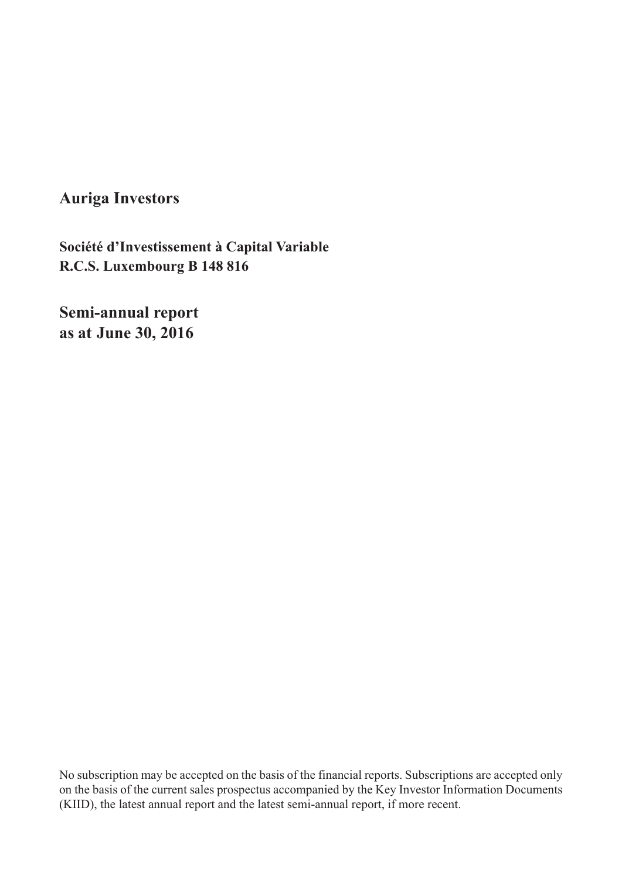**Auriga Investors**

**R.C.S. Luxembourg B 148 816Société d'Investissement à Capital Variable**

**Semi-annual report as at June 30, 2016**

No subscription may be accepted on the basis of the financial reports. Subscriptions are accepted only on the basis of the current sales prospectus accompanied by the Key Investor Information Documents (KIID), the latest annual report and the latest semi-annual report, if more recent.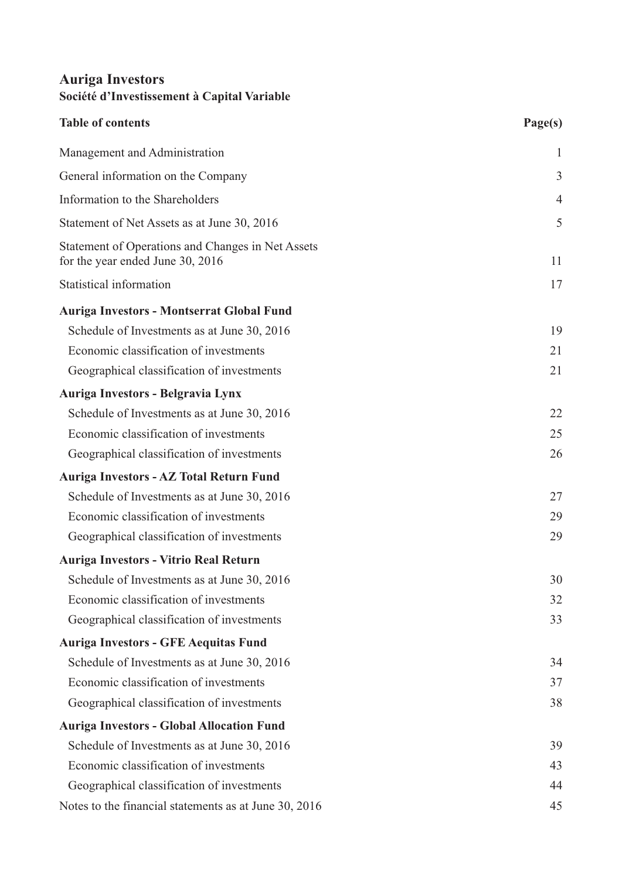| <b>Table of contents</b>                                                              | Page(s)        |
|---------------------------------------------------------------------------------------|----------------|
| Management and Administration                                                         | $\mathbf{1}$   |
| General information on the Company                                                    | 3              |
| Information to the Shareholders                                                       | $\overline{4}$ |
| Statement of Net Assets as at June 30, 2016                                           | 5              |
| Statement of Operations and Changes in Net Assets<br>for the year ended June 30, 2016 | 11             |
| Statistical information                                                               | 17             |
| <b>Auriga Investors - Montserrat Global Fund</b>                                      |                |
| Schedule of Investments as at June 30, 2016                                           | 19             |
| Economic classification of investments                                                | 21             |
| Geographical classification of investments                                            | 21             |
| Auriga Investors - Belgravia Lynx                                                     |                |
| Schedule of Investments as at June 30, 2016                                           | 22             |
| Economic classification of investments                                                | 25             |
| Geographical classification of investments                                            | 26             |
| Auriga Investors - AZ Total Return Fund                                               |                |
| Schedule of Investments as at June 30, 2016                                           | 27             |
| Economic classification of investments                                                | 29             |
| Geographical classification of investments                                            | 29             |
| Auriga Investors - Vitrio Real Return                                                 |                |
| Schedule of Investments as at June 30, 2016                                           | 30             |
| Economic classification of investments                                                | 32             |
| Geographical classification of investments                                            | 33             |
| <b>Auriga Investors - GFE Aequitas Fund</b>                                           |                |
| Schedule of Investments as at June 30, 2016                                           | 34             |
| Economic classification of investments                                                | 37             |
| Geographical classification of investments                                            | 38             |
| <b>Auriga Investors - Global Allocation Fund</b>                                      |                |
| Schedule of Investments as at June 30, 2016                                           | 39             |
| Economic classification of investments                                                | 43             |
| Geographical classification of investments                                            | 44             |
| Notes to the financial statements as at June 30, 2016                                 | 45             |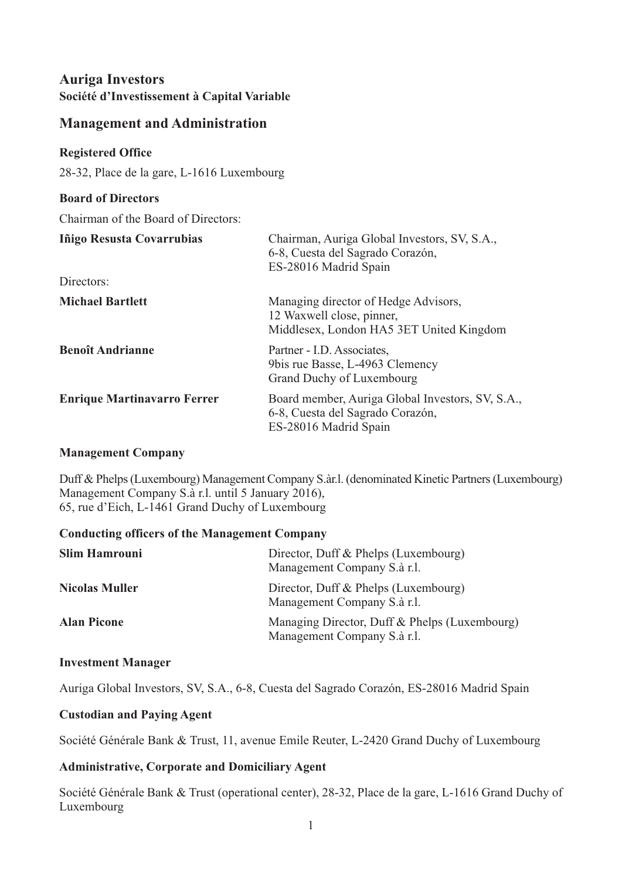#### <span id="page-2-0"></span>**Management and Administration**

#### **Registered Office**

28-32, Place de la gare, L-1616 Luxembourg

#### **Board of Directors** Chairman of the Board of Directors: **Iñigo Resusta Covarrubias** Chairman, Auriga Global Investors, SV, S.A., 6-8, Cuesta del Sagrado Corazón, ES-28016 Madrid Spain  $\sum_{n=1}^{\infty}$

| DIFECTOLS:                         |                                                                                                               |
|------------------------------------|---------------------------------------------------------------------------------------------------------------|
| <b>Michael Bartlett</b>            | Managing director of Hedge Advisors,<br>12 Waxwell close, pinner,<br>Middlesex, London HA5 3ET United Kingdom |
| <b>Benoît Andrianne</b>            | Partner - I.D. Associates,<br>9bis rue Basse, L-4963 Clemency<br>Grand Duchy of Luxembourg                    |
| <b>Enrique Martinavarro Ferrer</b> | Board member, Auriga Global Investors, SV, S.A.,<br>6-8, Cuesta del Sagrado Corazón,<br>ES-28016 Madrid Spain |

#### **Management Company**

Duff & Phelps(Luxembourg) Management Company S.àr.l. (denominated Kinetic Partners(Luxembourg) Management Company S.à r.l. until 5 January 2016), 65, rue d'Eich, L-1461 Grand Duchy of Luxembourg

#### **Conducting officers of the Management Company**

| <b>Slim Hamrouni</b>  | Director, Duff & Phelps (Luxembourg)<br>Management Company S.à r.l.          |
|-----------------------|------------------------------------------------------------------------------|
| <b>Nicolas Muller</b> | Director, Duff & Phelps (Luxembourg)<br>Management Company S.à r.l.          |
| <b>Alan Picone</b>    | Managing Director, Duff & Phelps (Luxembourg)<br>Management Company S.à r.l. |

#### **Investment Manager**

Auriga Global Investors, SV, S.A., 6-8, Cuesta del Sagrado Corazón, ES-28016 Madrid Spain

#### **Custodian and Paying Agent**

Société Générale Bank & Trust, 11, avenue Emile Reuter, L-2420 Grand Duchy of Luxembourg

#### **Administrative, Corporate and Domiciliary Agent**

Société Générale Bank & Trust (operational center), 28-32, Place de la gare, L-1616 Grand Duchy of Luxembourg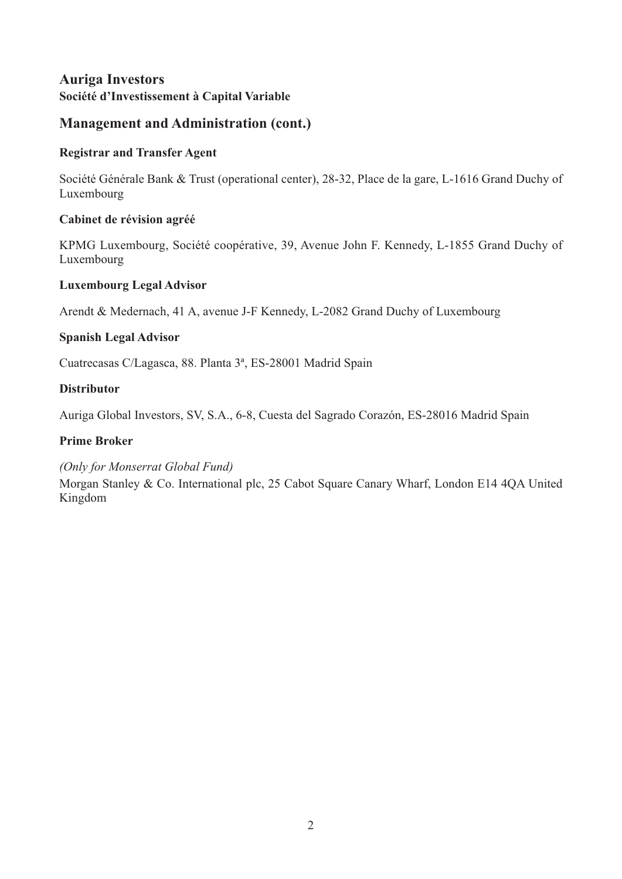#### **Management and Administration (cont.)**

#### **Registrar and Transfer Agent**

Société Générale Bank & Trust (operational center), 28-32, Place de la gare, L-1616 Grand Duchy of Luxembourg

#### **Cabinet de révision agréé**

KPMG Luxembourg, Société coopérative, 39, Avenue John F. Kennedy, L-1855 Grand Duchy of Luxembourg

#### **Luxembourg Legal Advisor**

Arendt & Medernach, 41 A, avenue J-F Kennedy, L-2082 Grand Duchy of Luxembourg

#### **Spanish Legal Advisor**

Cuatrecasas C/Lagasca, 88. Planta 3ª, ES-28001 Madrid Spain

#### **Distributor**

Auriga Global Investors, SV, S.A., 6-8, Cuesta del Sagrado Corazón, ES-28016 Madrid Spain

#### **Prime Broker**

#### *(Only for Monserrat Global Fund)*

Morgan Stanley & Co. International plc, 25 Cabot Square Canary Wharf, London E14 4QA United Kingdom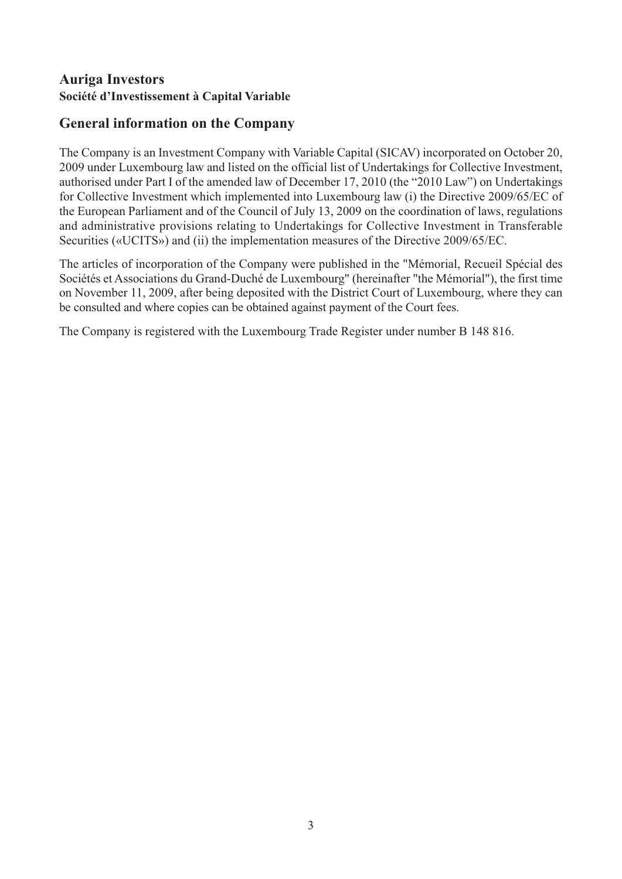## <span id="page-4-0"></span>**General information on the Company**

The Company is an Investment Company with Variable Capital (SICAV) incorporated on October 20, 2009 under Luxembourg law and listed on the official list of Undertakings for Collective Investment, authorised under Part I of the amended law of December 17, 2010 (the "2010 Law") on Undertakings for Collective Investment which implemented into Luxembourg law (i) the Directive 2009/65/EC of the European Parliament and of the Council of July 13, 2009 on the coordination of laws, regulations and administrative provisions relating to Undertakings for Collective Investment in Transferable Securities («UCITS») and (ii) the implementation measures of the Directive 2009/65/EC.

The articles of incorporation of the Company were published in the "Mémorial, Recueil Spécial des Sociétés et Associations du Grand-Duché de Luxembourg" (hereinafter "the Mémorial"), the first time on November 11, 2009, after being deposited with the District Court of Luxembourg, where they can be consulted and where copies can be obtained against payment of the Court fees.

The Company is registered with the Luxembourg Trade Register under number B 148 816.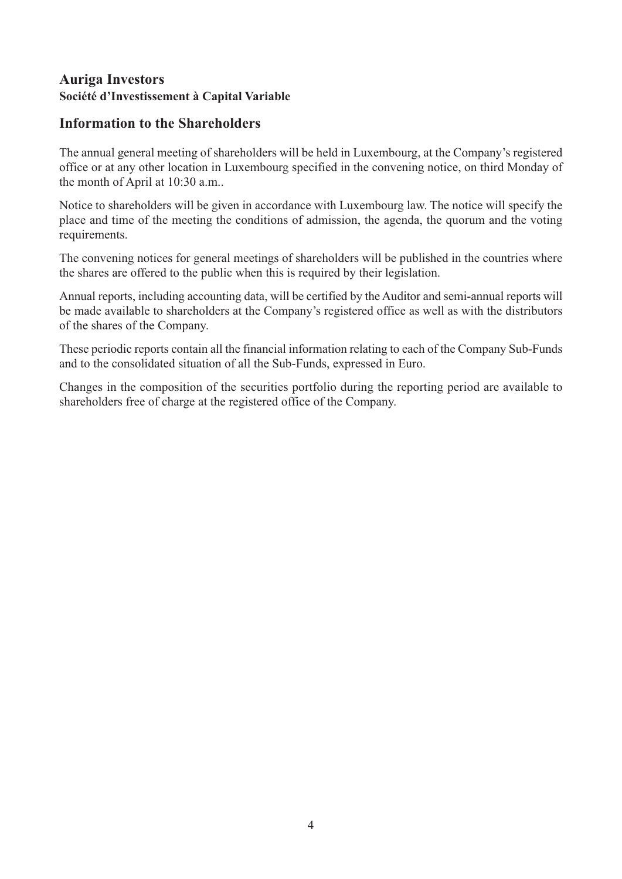#### <span id="page-5-0"></span>**Information to the Shareholders**

The annual general meeting of shareholders will be held in Luxembourg, at the Company's registered office or at any other location in Luxembourg specified in the convening notice, on third Monday of the month of April at 10:30 a.m..

Notice to shareholders will be given in accordance with Luxembourg law. The notice will specify the place and time of the meeting the conditions of admission, the agenda, the quorum and the voting requirements.

The convening notices for general meetings of shareholders will be published in the countries where the shares are offered to the public when this is required by their legislation.

Annual reports, including accounting data, will be certified by the Auditor and semi-annual reports will be made available to shareholders at the Company's registered office as well as with the distributors of the shares of the Company.

These periodic reports contain all the financial information relating to each of the Company Sub-Funds and to the consolidated situation of all the Sub-Funds, expressed in Euro.

Changes in the composition of the securities portfolio during the reporting period are available to shareholders free of charge at the registered office of the Company.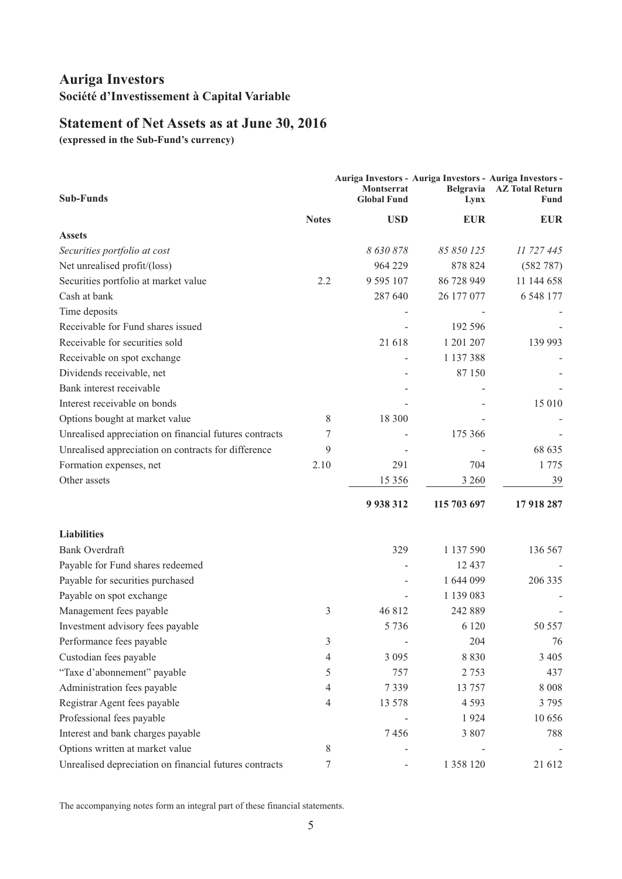## <span id="page-6-0"></span>**Statement of Net Assets as at June 30, 2016**

**(expressed in the Sub-Fund's currency)**

| <b>Sub-Funds</b>                                       |              | Montserrat<br><b>Global Fund</b> | Auriga Investors - Auriga Investors - Auriga Investors -<br>Belgravia<br>Lynx | <b>AZ Total Return</b><br>Fund |
|--------------------------------------------------------|--------------|----------------------------------|-------------------------------------------------------------------------------|--------------------------------|
|                                                        | <b>Notes</b> | <b>USD</b>                       | <b>EUR</b>                                                                    | <b>EUR</b>                     |
| <b>Assets</b>                                          |              |                                  |                                                                               |                                |
| Securities portfolio at cost                           |              | 8 630 878                        | 85 850 125                                                                    | 11 727 445                     |
| Net unrealised profit/(loss)                           |              | 964 229                          | 878 824                                                                       | (582 787)                      |
| Securities portfolio at market value                   | 2.2          | 9 5 9 5 1 0 7                    | 86 728 949                                                                    | 11 144 658                     |
| Cash at bank                                           |              | 287 640                          | 26 177 077                                                                    | 6 548 177                      |
| Time deposits                                          |              |                                  |                                                                               |                                |
| Receivable for Fund shares issued                      |              |                                  | 192 596                                                                       |                                |
| Receivable for securities sold                         |              | 21 618                           | 1 201 207                                                                     | 139 993                        |
| Receivable on spot exchange                            |              |                                  | 1 137 388                                                                     |                                |
| Dividends receivable, net                              |              |                                  | 87 150                                                                        |                                |
| Bank interest receivable                               |              |                                  |                                                                               |                                |
| Interest receivable on bonds                           |              |                                  |                                                                               | 15 010                         |
| Options bought at market value                         | 8            | 18 300                           |                                                                               |                                |
| Unrealised appreciation on financial futures contracts | 7            |                                  | 175 366                                                                       |                                |
| Unrealised appreciation on contracts for difference    | 9            |                                  |                                                                               | 68 635                         |
| Formation expenses, net                                | 2.10         | 291                              | 704                                                                           | 1 775                          |
| Other assets                                           |              | 15 3 5 6                         | 3 260                                                                         | 39                             |
|                                                        |              | 9 9 38 312                       | 115 703 697                                                                   | 17 918 287                     |
| <b>Liabilities</b>                                     |              |                                  |                                                                               |                                |
| <b>Bank Overdraft</b>                                  |              | 329                              | 1 137 590                                                                     | 136 567                        |
| Payable for Fund shares redeemed                       |              |                                  | 12 437                                                                        |                                |
| Payable for securities purchased                       |              |                                  | 1 644 099                                                                     | 206 335                        |
| Payable on spot exchange                               |              |                                  | 1 139 083                                                                     |                                |
| Management fees payable                                | 3            | 46 812                           | 242 889                                                                       |                                |
| Investment advisory fees payable                       |              | 5 7 3 6                          | 6 1 2 0                                                                       | 50 557                         |
| Performance fees payable                               | 3            |                                  | 204                                                                           | 76                             |
| Custodian fees payable                                 | 4            | 3 0 9 5                          | 8 8 3 0                                                                       | 3 4 0 5                        |
| "Taxe d'abonnement" payable                            | 5            | 757                              | 2 7 5 3                                                                       | 437                            |
| Administration fees payable                            | 4            | 7339                             | 13 757                                                                        | $8\;008$                       |
| Registrar Agent fees payable                           | 4            | 13 578                           | 4 5 9 3                                                                       | 3795                           |
| Professional fees payable                              |              |                                  | 1924                                                                          | 10 656                         |
| Interest and bank charges payable                      |              | 7456                             | 3 807                                                                         | 788                            |
| Options written at market value                        | 8            |                                  |                                                                               |                                |
| Unrealised depreciation on financial futures contracts | 7            |                                  | 1 358 120                                                                     | 21 612                         |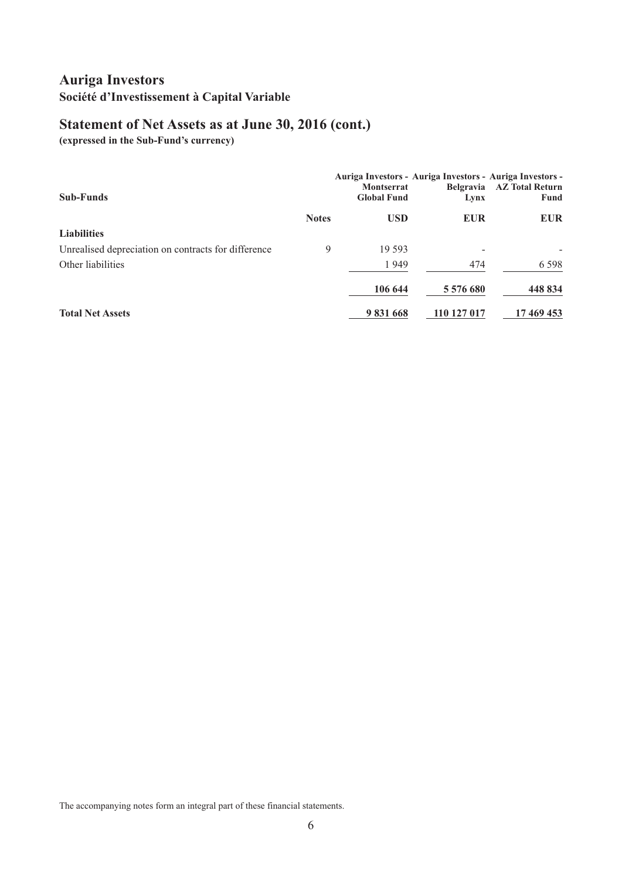# **Statement of Net Assets as at June 30, 2016 (cont.)**

**(expressed in the Sub-Fund's currency)**

| <b>Sub-Funds</b>                                    |              | Auriga Investors - Auriga Investors - Auriga Investors -<br><b>Montserrat</b><br><b>Global Fund</b> | Lynx        | Belgravia AZ Total Return<br>Fund |
|-----------------------------------------------------|--------------|-----------------------------------------------------------------------------------------------------|-------------|-----------------------------------|
|                                                     | <b>Notes</b> | <b>USD</b>                                                                                          | <b>EUR</b>  | <b>EUR</b>                        |
| <b>Liabilities</b>                                  |              |                                                                                                     |             |                                   |
| Unrealised depreciation on contracts for difference | 9            | 19 593                                                                                              |             |                                   |
| Other liabilities                                   |              | 1949                                                                                                | 474         | 6 5 9 8                           |
|                                                     |              | 106 644                                                                                             | 5 576 680   | 448 834                           |
| <b>Total Net Assets</b>                             |              | 9831668                                                                                             | 110 127 017 | 17 469 453                        |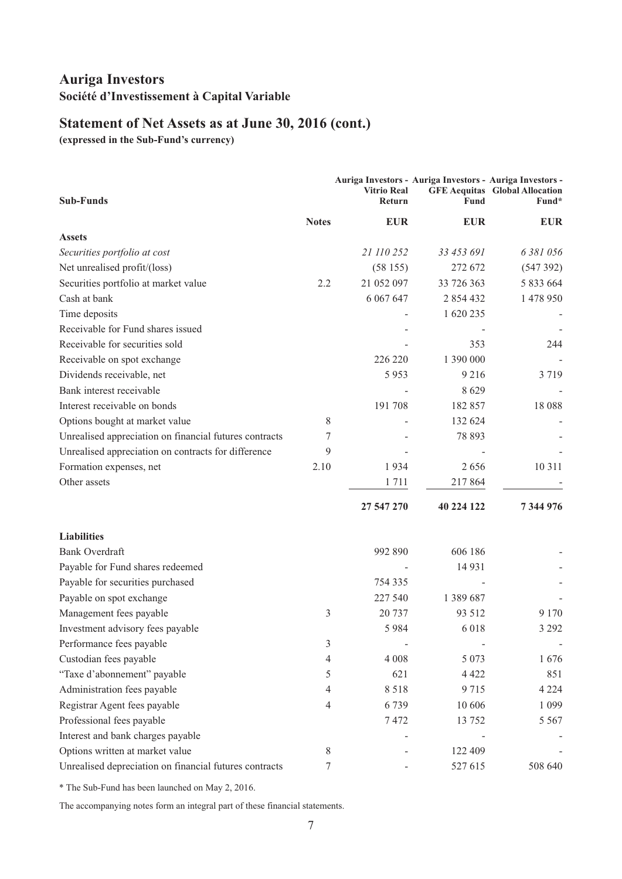## **Statement of Net Assets as at June 30, 2016 (cont.)**

**(expressed in the Sub-Fund's currency)**

| <b>Sub-Funds</b>                                       |              | <b>Vitrio Real</b><br><b>Return</b> | Auriga Investors - Auriga Investors - Auriga Investors -<br><b>Fund</b> | <b>GFE Aequitas</b> Global Allocation<br>Fund* |
|--------------------------------------------------------|--------------|-------------------------------------|-------------------------------------------------------------------------|------------------------------------------------|
|                                                        | <b>Notes</b> | <b>EUR</b>                          | <b>EUR</b>                                                              | <b>EUR</b>                                     |
| <b>Assets</b>                                          |              |                                     |                                                                         |                                                |
| Securities portfolio at cost                           |              | 21 110 252                          | 33 453 691                                                              | 6 381 056                                      |
| Net unrealised profit/(loss)                           |              | (58155)                             | 272 672                                                                 | (547392)                                       |
| Securities portfolio at market value                   | 2.2          | 21 052 097                          | 33 726 363                                                              | 5 833 664                                      |
| Cash at bank                                           |              | 6 0 6 7 6 4 7                       | 2 854 432                                                               | 1 478 950                                      |
| Time deposits                                          |              |                                     | 1 620 235                                                               |                                                |
| Receivable for Fund shares issued                      |              |                                     |                                                                         |                                                |
| Receivable for securities sold                         |              |                                     | 353                                                                     | 244                                            |
| Receivable on spot exchange                            |              | 226 220                             | 1 390 000                                                               |                                                |
| Dividends receivable, net                              |              | 5953                                | 9 2 1 6                                                                 | 3 7 1 9                                        |
| Bank interest receivable                               |              |                                     | 8629                                                                    |                                                |
| Interest receivable on bonds                           |              | 191 708                             | 182 857                                                                 | 18 088                                         |
| Options bought at market value                         | 8            |                                     | 132 624                                                                 |                                                |
| Unrealised appreciation on financial futures contracts | 7            |                                     | 78 893                                                                  |                                                |
| Unrealised appreciation on contracts for difference    | 9            |                                     |                                                                         |                                                |
| Formation expenses, net                                | 2.10         | 1934                                | 2656                                                                    | 10 3 11                                        |
| Other assets                                           |              | 1711                                | 217864                                                                  |                                                |
|                                                        |              | 27 547 270                          | 40 224 122                                                              | 7 344 976                                      |
| <b>Liabilities</b>                                     |              |                                     |                                                                         |                                                |
| <b>Bank Overdraft</b>                                  |              | 992 890                             | 606 186                                                                 |                                                |
| Payable for Fund shares redeemed                       |              |                                     | 14 9 31                                                                 |                                                |
| Payable for securities purchased                       |              | 754 335                             |                                                                         |                                                |
| Payable on spot exchange                               |              | 227 540                             | 1 389 687                                                               |                                                |
| Management fees payable                                | 3            | 20 737                              | 93 512                                                                  | 9 1 7 0                                        |
| Investment advisory fees payable                       |              | 5 9 8 4                             | 6 0 1 8                                                                 | 3 2 9 2                                        |
| Performance fees payable                               | 3            |                                     |                                                                         |                                                |
| Custodian fees payable                                 | 4            | 4 0 0 8                             | 5 0 7 3                                                                 | 1676                                           |
| "Taxe d'abonnement" payable                            | 5            | 621                                 | 4 4 2 2                                                                 | 851                                            |
| Administration fees payable                            | 4            | 8518                                | 9715                                                                    | 4 2 2 4                                        |
| Registrar Agent fees payable                           | 4            | 6739                                | 10 60 6                                                                 | 1 0 9 9                                        |
| Professional fees payable                              |              | 7472                                | 13 752                                                                  | 5 5 6 7                                        |
| Interest and bank charges payable                      |              |                                     |                                                                         |                                                |
| Options written at market value                        | 8            |                                     | 122 409                                                                 |                                                |
| Unrealised depreciation on financial futures contracts | 7            |                                     | 527 615                                                                 | 508 640                                        |

\* The Sub-Fund has been launched on May 2, 2016.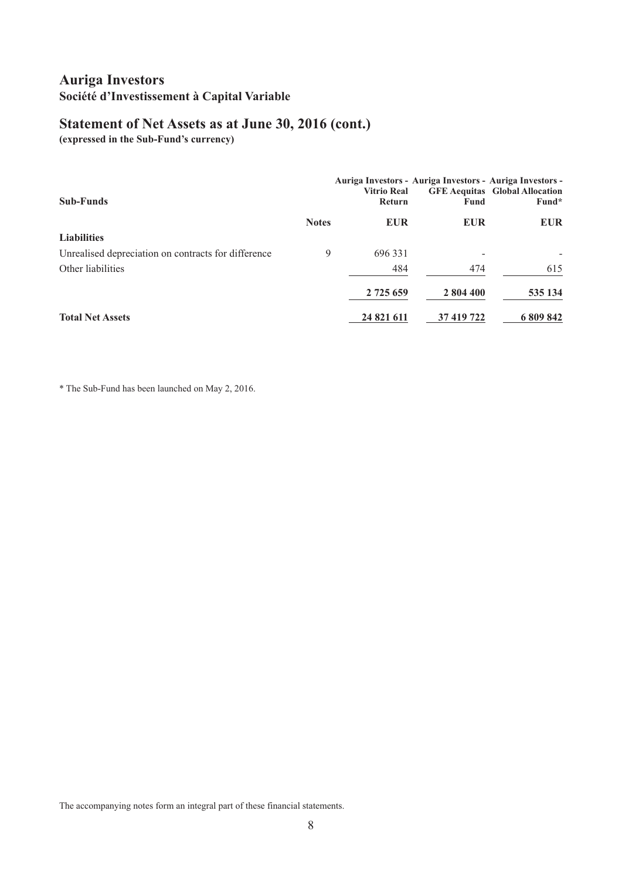## **Statement of Net Assets as at June 30, 2016 (cont.)**

**(expressed in the Sub-Fund's currency)**

| <b>Sub-Funds</b>                                    |              | Auriga Investors - Auriga Investors - Auriga Investors -<br><b>Vitrio Real</b><br>Return | <b>Fund</b> | <b>GFE Aequitas</b> Global Allocation<br>Fund* |
|-----------------------------------------------------|--------------|------------------------------------------------------------------------------------------|-------------|------------------------------------------------|
|                                                     | <b>Notes</b> | <b>EUR</b>                                                                               | <b>EUR</b>  | <b>EUR</b>                                     |
| <b>Liabilities</b>                                  |              |                                                                                          |             |                                                |
| Unrealised depreciation on contracts for difference | 9            | 696 331                                                                                  |             |                                                |
| Other liabilities                                   |              | 484                                                                                      | 474         | 615                                            |
|                                                     |              | 2 725 659                                                                                | 2 804 400   | 535 134                                        |
| <b>Total Net Assets</b>                             |              | 24 821 611                                                                               | 37 419 722  | 6 809 842                                      |

\* The Sub-Fund has been launched on May 2, 2016.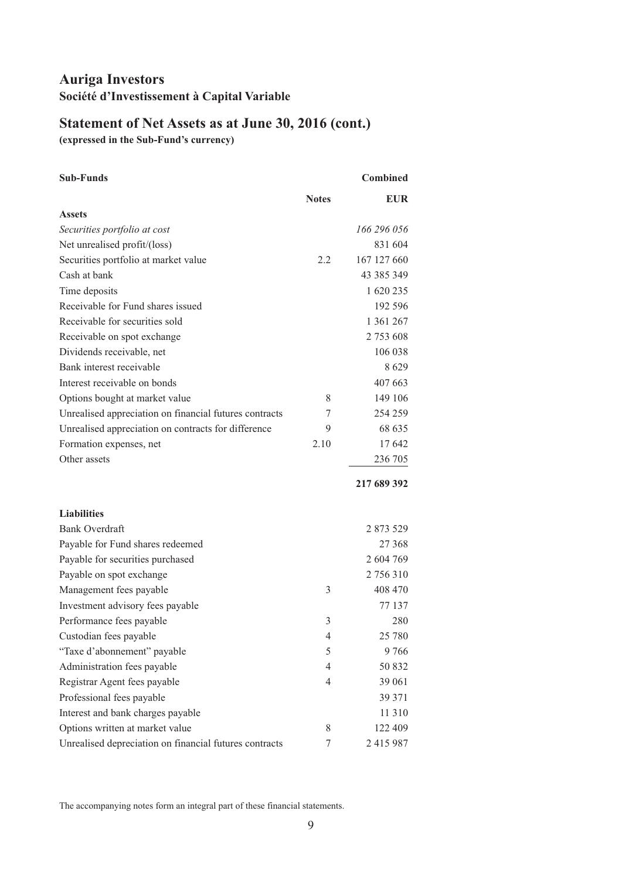# **Statement of Net Assets as at June 30, 2016 (cont.)**

**(expressed in the Sub-Fund's currency)**

| <b>Sub-Funds</b>                                       |              | <b>Combined</b> |
|--------------------------------------------------------|--------------|-----------------|
|                                                        | <b>Notes</b> | <b>EUR</b>      |
| <b>Assets</b>                                          |              |                 |
| Securities portfolio at cost                           |              | 166 296 056     |
| Net unrealised profit/(loss)                           |              | 831 604         |
| Securities portfolio at market value                   | 2.2          | 167 127 660     |
| Cash at bank                                           |              | 43 385 349      |
| Time deposits                                          |              | 1 620 235       |
| Receivable for Fund shares issued                      |              | 192 596         |
| Receivable for securities sold                         |              | 1 361 267       |
| Receivable on spot exchange                            |              | 2 753 608       |
| Dividends receivable, net                              |              | 106 038         |
| Bank interest receivable                               |              | 8629            |
| Interest receivable on bonds                           |              | 407 663         |
| Options bought at market value                         | 8            | 149 106         |
| Unrealised appreciation on financial futures contracts | 7            | 254 259         |
| Unrealised appreciation on contracts for difference    | 9            | 68 635          |
| Formation expenses, net                                | 2.10         | 17 642          |
| Other assets                                           |              | 236 705         |
|                                                        |              | 217 689 392     |
| <b>Liabilities</b>                                     |              |                 |
| <b>Bank Overdraft</b>                                  |              | 2 873 529       |
| Payable for Fund shares redeemed                       |              | 27 368          |
| Payable for securities purchased                       |              | 2 604 769       |
| Payable on spot exchange                               |              | 2 756 310       |
| Management fees payable                                | 3            | 408 470         |
| Investment advisory fees payable                       |              | 77 137          |
| Performance fees payable                               | 3            | 280             |
| Custodian fees payable                                 | 4            | 25 780          |
| "Taxe d'abonnement" payable                            | 5            | 9766            |
| Administration fees payable                            | 4            | 50 832          |
| Registrar Agent fees payable                           | 4            | 39 061          |
| Professional fees payable                              |              | 39 371          |
| Interest and bank charges payable                      |              | 11 310          |
| Options written at market value                        | 8            | 122 409         |
| Unrealised depreciation on financial futures contracts | 7            | 2 415 987       |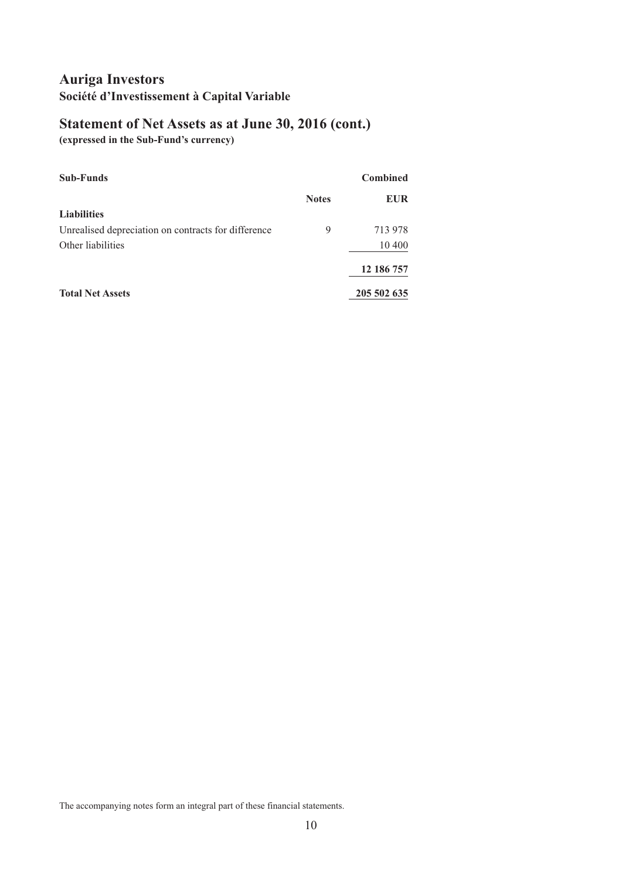# **Statement of Net Assets as at June 30, 2016 (cont.)**

**(expressed in the Sub-Fund's currency)**

| <b>Sub-Funds</b>                                    |              | <b>Combined</b> |
|-----------------------------------------------------|--------------|-----------------|
|                                                     | <b>Notes</b> | <b>EUR</b>      |
| <b>Liabilities</b>                                  |              |                 |
| Unrealised depreciation on contracts for difference | 9            | 713 978         |
| Other liabilities                                   |              | 10 400          |
|                                                     |              | 12 186 757      |
| <b>Total Net Assets</b>                             |              | 205 502 635     |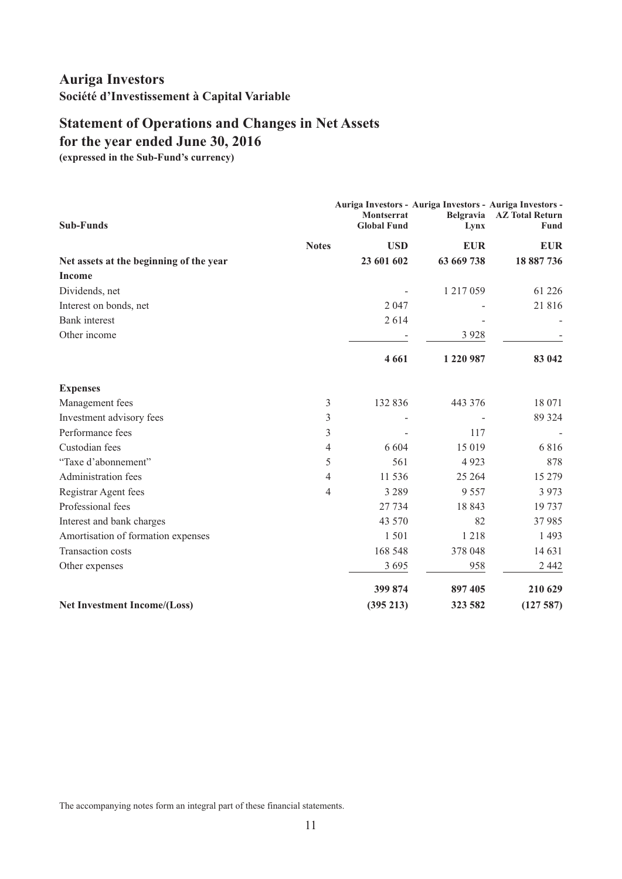## <span id="page-12-0"></span>**Statement of Operations and Changes in Net Assets for the year ended June 30, 2016**

**(expressed in the Sub-Fund's currency)**

| <b>Sub-Funds</b>                        | Montserrat<br><b>Global Fund</b> | Auriga Investors - Auriga Investors - Auriga Investors -<br>Belgravia<br>Lynx | <b>AZ Total Return</b><br>Fund |
|-----------------------------------------|----------------------------------|-------------------------------------------------------------------------------|--------------------------------|
| <b>Notes</b>                            |                                  | <b>USD</b><br><b>EUR</b>                                                      | <b>EUR</b>                     |
| Net assets at the beginning of the year | 23 601 602                       | 63 669 738                                                                    | 18 887 736                     |
| <b>Income</b>                           |                                  |                                                                               |                                |
| Dividends, net                          |                                  | 1 217 059                                                                     | 61 226                         |
| Interest on bonds, net                  | 2 0 4 7                          |                                                                               | 21816                          |
| <b>Bank</b> interest                    | 2614                             |                                                                               |                                |
| Other income                            |                                  | 3 9 2 8                                                                       |                                |
|                                         | 4 6 6 1                          | 1 220 987                                                                     | 83 042                         |
| <b>Expenses</b>                         |                                  |                                                                               |                                |
| Management fees                         | 3<br>132 836                     | 443 376                                                                       | 18 071                         |
| Investment advisory fees                | 3                                |                                                                               | 89 324                         |
| Performance fees                        | 3                                | 117                                                                           |                                |
| Custodian fees                          | 6 6 0 4<br>4                     | 15 019                                                                        | 6816                           |
| "Taxe d'abonnement"                     | 5                                | 561<br>4923                                                                   | 878                            |
| Administration fees                     | 11 536<br>4                      | 25 264                                                                        | 15 279                         |
| Registrar Agent fees                    | 3 2 8 9<br>4                     | 9 5 5 7                                                                       | 3 9 7 3                        |
| Professional fees                       | 27 734                           | 18843                                                                         | 19737                          |
| Interest and bank charges               | 43 570                           | 82                                                                            | 37985                          |
| Amortisation of formation expenses      | 1501                             | 1218                                                                          | 1 4 9 3                        |
| <b>Transaction costs</b>                | 168 548                          | 378 048                                                                       | 14 631                         |
| Other expenses                          | 3 6 9 5                          | 958                                                                           | 2 4 4 2                        |
|                                         | 399 874                          | 897 405                                                                       | 210 629                        |
| <b>Net Investment Income/(Loss)</b>     | (395 213)                        | 323 582                                                                       | (127587)                       |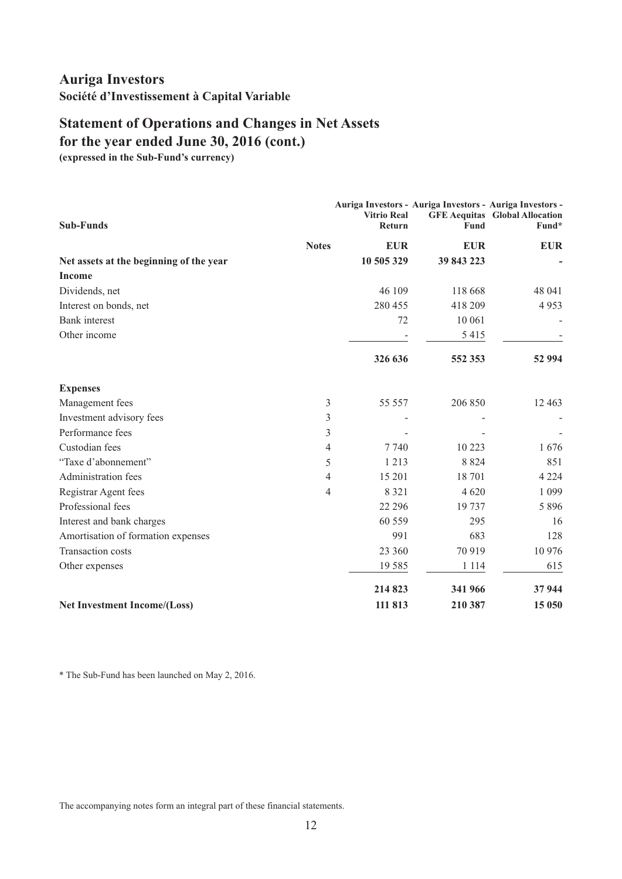## **Statement of Operations and Changes in Net Assets for the year ended June 30, 2016 (cont.)**

**(expressed in the Sub-Fund's currency)**

| <b>Sub-Funds</b>                        | <b>Vitrio Real</b><br>Return | Auriga Investors - Auriga Investors - Auriga Investors -<br>Fund | <b>GFE Aequitas</b> Global Allocation<br>Fund* |
|-----------------------------------------|------------------------------|------------------------------------------------------------------|------------------------------------------------|
| <b>Notes</b>                            | <b>EUR</b>                   | <b>EUR</b>                                                       | <b>EUR</b>                                     |
| Net assets at the beginning of the year | 10 505 329                   | 39 843 223                                                       |                                                |
| <b>Income</b>                           |                              |                                                                  |                                                |
| Dividends, net                          | 46 109                       | 118 668                                                          | 48 041                                         |
| Interest on bonds, net                  | 280 455                      | 418 209                                                          | 4953                                           |
| <b>Bank</b> interest                    | 72                           | 10 061                                                           |                                                |
| Other income                            |                              | 5415                                                             |                                                |
|                                         | 326 636                      | 552 353                                                          | 52 994                                         |
| <b>Expenses</b>                         |                              |                                                                  |                                                |
| Management fees                         | 3<br>55 557                  | 206 850                                                          | 12 4 63                                        |
| Investment advisory fees                | 3                            |                                                                  |                                                |
| Performance fees                        | 3                            |                                                                  |                                                |
| Custodian fees                          | 4<br>7 7 4 0                 | 10 223                                                           | 1676                                           |
| "Taxe d'abonnement"                     | 5<br>1 2 1 3                 | 8 8 2 4                                                          | 851                                            |
| Administration fees                     | 15 201<br>4                  | 18 701                                                           | 4 2 2 4                                        |
| Registrar Agent fees                    | 8 3 2 1<br>4                 | 4 6 20                                                           | 1 0 9 9                                        |
| Professional fees                       | 22 29 6                      | 19 737                                                           | 5 8 9 6                                        |
| Interest and bank charges               | 60 559                       | 295                                                              | 16                                             |
| Amortisation of formation expenses      | 991                          | 683                                                              | 128                                            |
| <b>Transaction costs</b>                | 23 360                       | 70 919                                                           | 10 976                                         |
| Other expenses                          | 19 5 8 5                     | 1 1 1 4                                                          | 615                                            |
|                                         | 214 823                      | 341 966                                                          | 37944                                          |
| Net Investment Income/(Loss)            | 111 813                      | 210 387                                                          | 15 050                                         |

\* The Sub-Fund has been launched on May 2, 2016.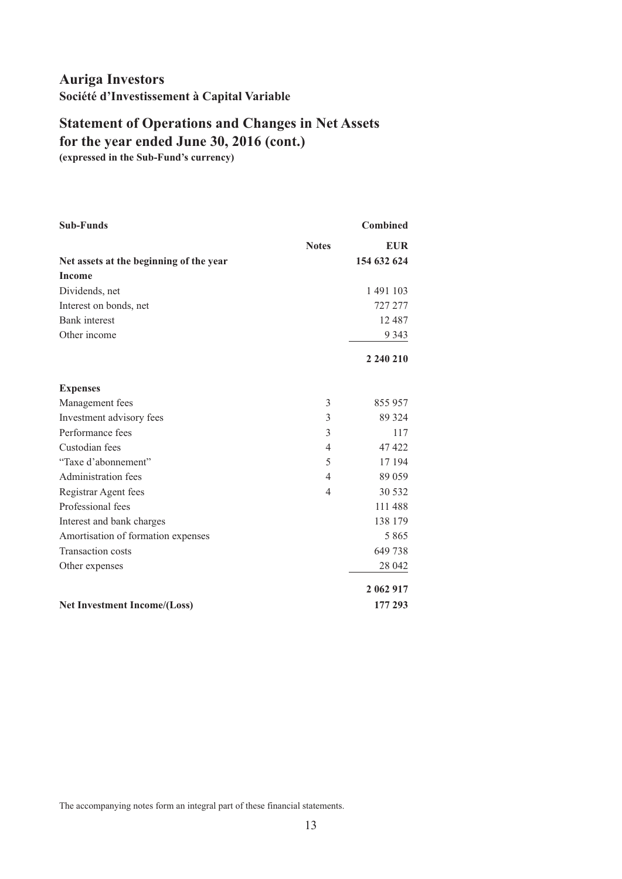# **Statement of Operations and Changes in Net Assets for the year ended June 30, 2016 (cont.)**

**(expressed in the Sub-Fund's currency)**

| <b>Sub-Funds</b>                        |                | <b>Combined</b> |
|-----------------------------------------|----------------|-----------------|
|                                         | <b>Notes</b>   | <b>EUR</b>      |
| Net assets at the beginning of the year |                | 154 632 624     |
| <b>Income</b>                           |                |                 |
| Dividends, net                          |                | 1 491 103       |
| Interest on bonds, net                  |                | 727 277         |
| <b>Bank</b> interest                    |                | 12 4 8 7        |
| Other income                            |                | 9 3 4 3         |
|                                         |                | 2 240 210       |
| <b>Expenses</b>                         |                |                 |
| Management fees                         | 3              | 855 957         |
| Investment advisory fees                | 3              | 89 324          |
| Performance fees                        | 3              | 117             |
| Custodian fees                          | 4              | 47422           |
| "Taxe d'abonnement"                     | 5              | 17 194          |
| Administration fees                     | $\overline{4}$ | 89 059          |
| Registrar Agent fees                    | 4              | 30 532          |
| Professional fees                       |                | 111 488         |
| Interest and bank charges               |                | 138 179         |
| Amortisation of formation expenses      |                | 5 8 6 5         |
| <b>Transaction costs</b>                |                | 649738          |
| Other expenses                          |                | 28 042          |
|                                         |                | 2 062 917       |
| <b>Net Investment Income/(Loss)</b>     |                | 177 293         |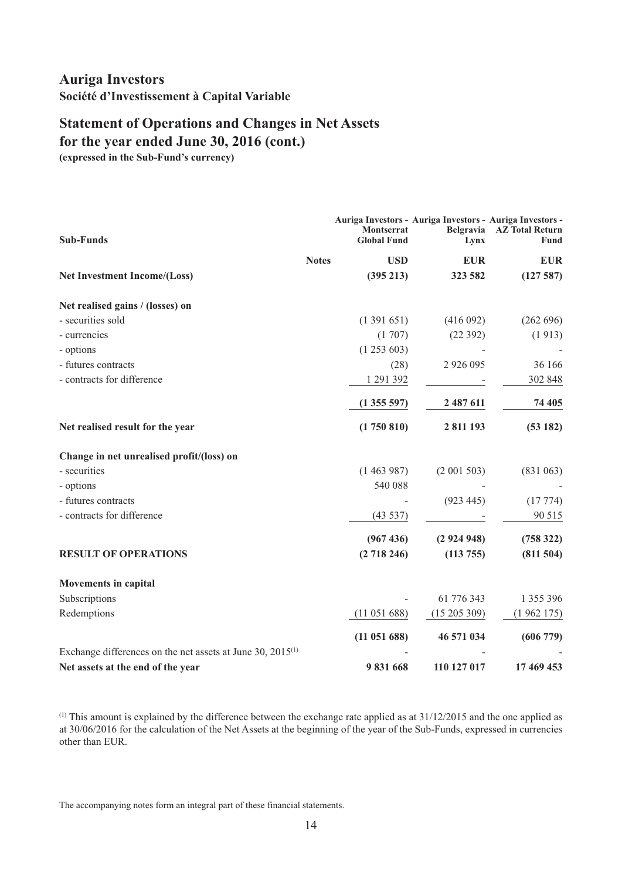## **Statement of Operations and Changes in Net Assets for the year ended June 30, 2016 (cont.)**

**(expressed in the Sub-Fund's currency)**

| <b>Sub-Funds</b>                                                | Auriga Investors - Auriga Investors - Auriga Investors -<br><b>Montserrat</b><br><b>Global Fund</b> | Lynx          | Belgravia AZ Total Return<br>Fund |
|-----------------------------------------------------------------|-----------------------------------------------------------------------------------------------------|---------------|-----------------------------------|
| <b>Notes</b>                                                    | <b>USD</b>                                                                                          | <b>EUR</b>    | <b>EUR</b>                        |
| Net Investment Income/(Loss)                                    | (395 213)                                                                                           | 323 582       | (127587)                          |
| Net realised gains / (losses) on                                |                                                                                                     |               |                                   |
| - securities sold                                               | (1391651)                                                                                           | (416092)      | (262 696)                         |
| - currencies                                                    | (1707)                                                                                              | (22392)       | (1913)                            |
| - options                                                       | (1253603)                                                                                           |               |                                   |
| - futures contracts                                             | (28)                                                                                                | 2 9 2 6 0 9 5 | 36 166                            |
| - contracts for difference                                      | 1 291 392                                                                                           |               | 302 848                           |
|                                                                 | (1355597)                                                                                           | 2 487 611     | 74 405                            |
| Net realised result for the year                                | (1750810)                                                                                           | 2 811 193     | (53182)                           |
| Change in net unrealised profit/(loss) on                       |                                                                                                     |               |                                   |
| - securities                                                    | (1463987)                                                                                           | (2 001 503)   | (831063)                          |
| - options                                                       | 540 088                                                                                             |               |                                   |
| - futures contracts                                             |                                                                                                     | (923 445)     | (17774)                           |
| - contracts for difference                                      | (43537)                                                                                             |               | 90 515                            |
|                                                                 | (967436)                                                                                            | (2924948)     | (758 322)                         |
| <b>RESULT OF OPERATIONS</b>                                     | (2718246)                                                                                           | (113 755)     | (811 504)                         |
| <b>Movements in capital</b>                                     |                                                                                                     |               |                                   |
| Subscriptions                                                   |                                                                                                     | 61 776 343    | 1 355 396                         |
| Redemptions                                                     | (11 051 688)                                                                                        | (15205309)    | (1962175)                         |
|                                                                 | (11 051 688)                                                                                        | 46 571 034    | (606779)                          |
| Exchange differences on the net assets at June 30, $2015^{(1)}$ |                                                                                                     |               |                                   |
| Net assets at the end of the year                               | 9831668                                                                                             | 110 127 017   | 17 469 453                        |

(1) This amount is explained by the difference between the exchange rate applied as at 31/12/2015 and the one applied as at 30/06/2016 for the calculation of the Net Assets at the beginning of the year of the Sub-Funds, expressed in currencies other than EUR.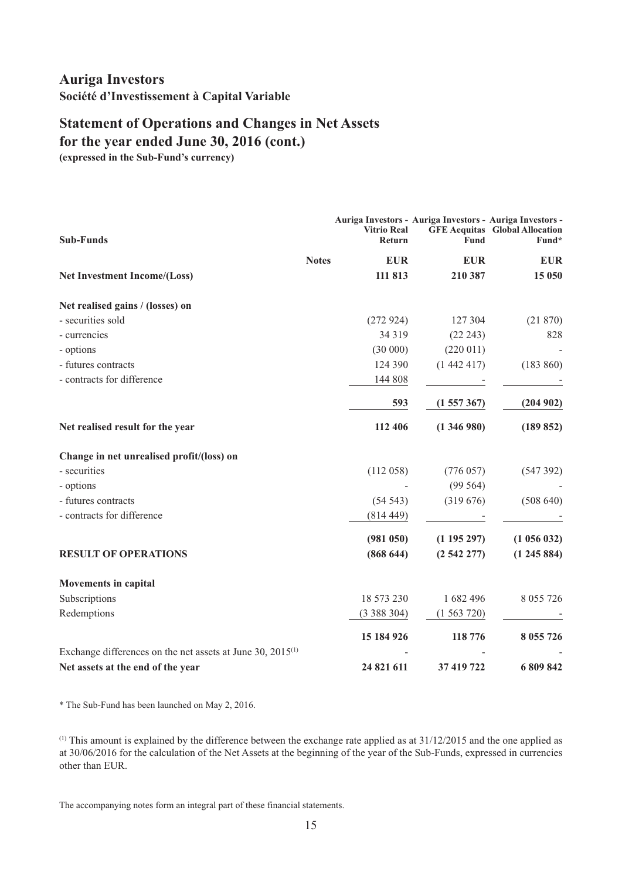## **Statement of Operations and Changes in Net Assets for the year ended June 30, 2016 (cont.)**

**(expressed in the Sub-Fund's currency)**

| <b>Sub-Funds</b>                                                | <b>Vitrio Real</b><br>Return | Auriga Investors - Auriga Investors - Auriga Investors -<br><b>Fund</b> | <b>GFE Aequitas</b> Global Allocation<br>Fund* |
|-----------------------------------------------------------------|------------------------------|-------------------------------------------------------------------------|------------------------------------------------|
|                                                                 | <b>Notes</b><br><b>EUR</b>   | <b>EUR</b>                                                              | <b>EUR</b>                                     |
| Net Investment Income/(Loss)                                    | 111 813                      | 210 387                                                                 | 15 050                                         |
| Net realised gains / (losses) on                                |                              |                                                                         |                                                |
| - securities sold                                               | (272924)                     | 127 304                                                                 | (21870)                                        |
| - currencies                                                    | 34 3 19                      | (22 243)                                                                | 828                                            |
| - options                                                       | (30000)                      | (220 011)                                                               |                                                |
| - futures contracts                                             | 124 390                      | (1442417)                                                               | (183 860)                                      |
| - contracts for difference                                      | 144 808                      |                                                                         |                                                |
|                                                                 | 593                          | (1557367)                                                               | (204902)                                       |
| Net realised result for the year                                | 112 406                      | (1346980)                                                               | (189 852)                                      |
| Change in net unrealised profit/(loss) on                       |                              |                                                                         |                                                |
| - securities                                                    | (112058)                     | (776057)                                                                | (547392)                                       |
| - options                                                       |                              | (99564)                                                                 |                                                |
| - futures contracts                                             | (54543)                      | (319676)                                                                | (508640)                                       |
| - contracts for difference                                      | (814449)                     |                                                                         |                                                |
|                                                                 | (981 050)                    | (1195297)                                                               | (1056032)                                      |
| <b>RESULT OF OPERATIONS</b>                                     | (868644)                     | (2542277)                                                               | (1245884)                                      |
| <b>Movements in capital</b>                                     |                              |                                                                         |                                                |
| Subscriptions                                                   | 18 573 230                   | 1682496                                                                 | 8 0 5 5 7 2 6                                  |
| Redemptions                                                     | (3388304)                    | (1563720)                                                               |                                                |
|                                                                 | 15 184 926                   | 118 776                                                                 | 8 0 5 5 7 2 6                                  |
| Exchange differences on the net assets at June 30, $2015^{(1)}$ |                              |                                                                         |                                                |
| Net assets at the end of the year                               | 24 821 611                   | 37 419 722                                                              | 6 809 842                                      |

\* The Sub-Fund has been launched on May 2, 2016.

 $(1)$  This amount is explained by the difference between the exchange rate applied as at  $31/12/2015$  and the one applied as at 30/06/2016 for the calculation of the Net Assets at the beginning of the year of the Sub-Funds, expressed in currencies other than EUR.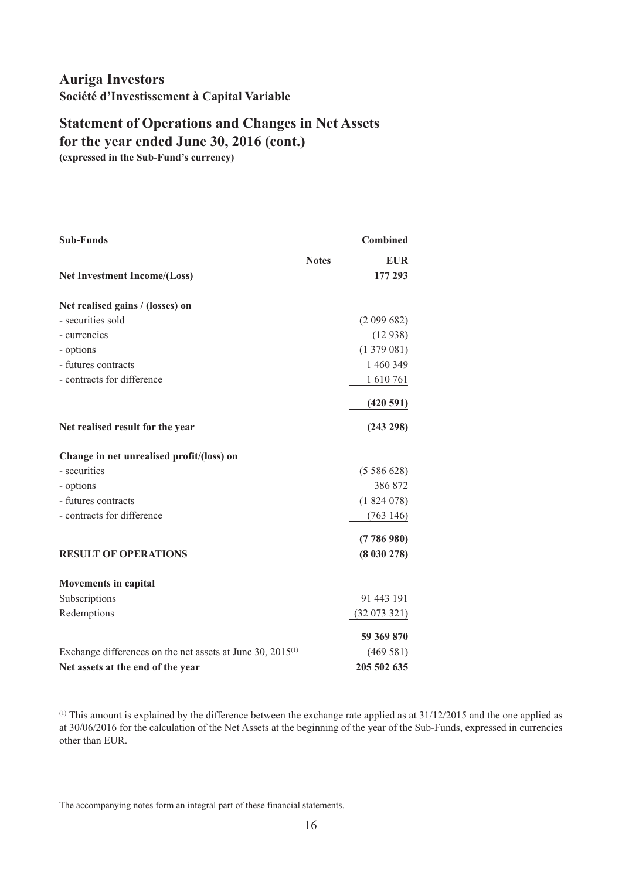# **Statement of Operations and Changes in Net Assets for the year ended June 30, 2016 (cont.)**

**(expressed in the Sub-Fund's currency)**

| <b>Sub-Funds</b>                                                |              | <b>Combined</b> |
|-----------------------------------------------------------------|--------------|-----------------|
|                                                                 | <b>Notes</b> | <b>EUR</b>      |
| <b>Net Investment Income/(Loss)</b>                             |              | 177 293         |
| Net realised gains / (losses) on                                |              |                 |
| - securities sold                                               |              | (2 099 682)     |
| - currencies                                                    |              | (12938)         |
| - options                                                       |              | (1379081)       |
| - futures contracts                                             |              | 1 460 349       |
| - contracts for difference                                      |              | 1610761         |
|                                                                 |              | (420591)        |
| Net realised result for the year                                |              | (243 298)       |
| Change in net unrealised profit/(loss) on                       |              |                 |
| - securities                                                    |              | (5586628)       |
| - options                                                       |              | 386 872         |
| - futures contracts                                             |              | (1824078)       |
| - contracts for difference                                      |              | (763146)        |
|                                                                 |              | (7786980)       |
| <b>RESULT OF OPERATIONS</b>                                     |              | (8030278)       |
| <b>Movements in capital</b>                                     |              |                 |
| Subscriptions                                                   |              | 91 443 191      |
| Redemptions                                                     |              | (32073321)      |
|                                                                 |              | 59 369 870      |
| Exchange differences on the net assets at June 30, $2015^{(1)}$ |              | (469581)        |
| Net assets at the end of the year                               |              | 205 502 635     |

(1) This amount is explained by the difference between the exchange rate applied as at 31/12/2015 and the one applied as at 30/06/2016 for the calculation of the Net Assets at the beginning of the year of the Sub-Funds, expressed in currencies other than EUR.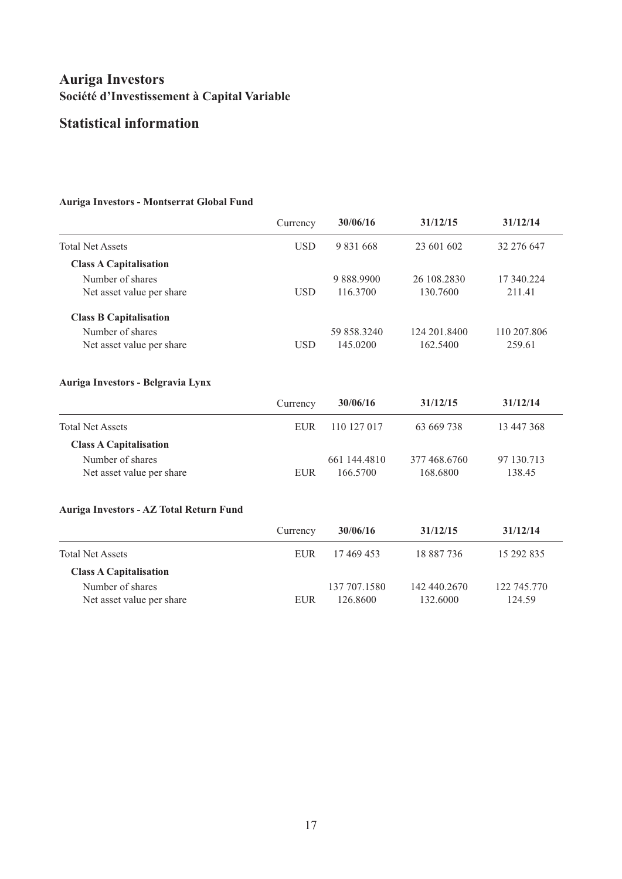## <span id="page-18-0"></span>**Statistical information**

#### **Auriga Investors - Montserrat Global Fund**

|                                         | Currency   | 30/06/16     | 31/12/15     | 31/12/14    |
|-----------------------------------------|------------|--------------|--------------|-------------|
| <b>Total Net Assets</b>                 | <b>USD</b> | 9 831 668    | 23 601 602   | 32 276 647  |
| <b>Class A Capitalisation</b>           |            |              |              |             |
| Number of shares                        |            | 9 888,9900   | 26 108.2830  | 17 340.224  |
| Net asset value per share               | <b>USD</b> | 116.3700     | 130.7600     | 211.41      |
| <b>Class B Capitalisation</b>           |            |              |              |             |
| Number of shares                        |            | 59 858.3240  | 124 201.8400 | 110 207.806 |
| Net asset value per share               | <b>USD</b> | 145.0200     | 162.5400     | 259.61      |
| Auriga Investors - Belgravia Lynx       |            |              |              |             |
|                                         | Currency   | 30/06/16     | 31/12/15     | 31/12/14    |
| <b>Total Net Assets</b>                 | <b>EUR</b> | 110 127 017  | 63 669 738   | 13 447 368  |
| <b>Class A Capitalisation</b>           |            |              |              |             |
| Number of shares                        |            | 661 144.4810 | 377 468,6760 | 97 130.713  |
| Net asset value per share               | <b>EUR</b> | 166.5700     | 168.6800     | 138.45      |
| Auriga Investors - AZ Total Return Fund |            |              |              |             |
|                                         | Currency   | 30/06/16     | 31/12/15     | 31/12/14    |
|                                         |            | .            |              |             |

| <b>Total Net Assets</b>       | EUR   | 17 469 453   | 18 887 736   | 15 292 835  |
|-------------------------------|-------|--------------|--------------|-------------|
| <b>Class A Capitalisation</b> |       |              |              |             |
| Number of shares              |       | 137 707 1580 | 142 440.2670 | 122 745,770 |
| Net asset value per share     | EI IR | 126.8600     | 132.6000     | 124.59      |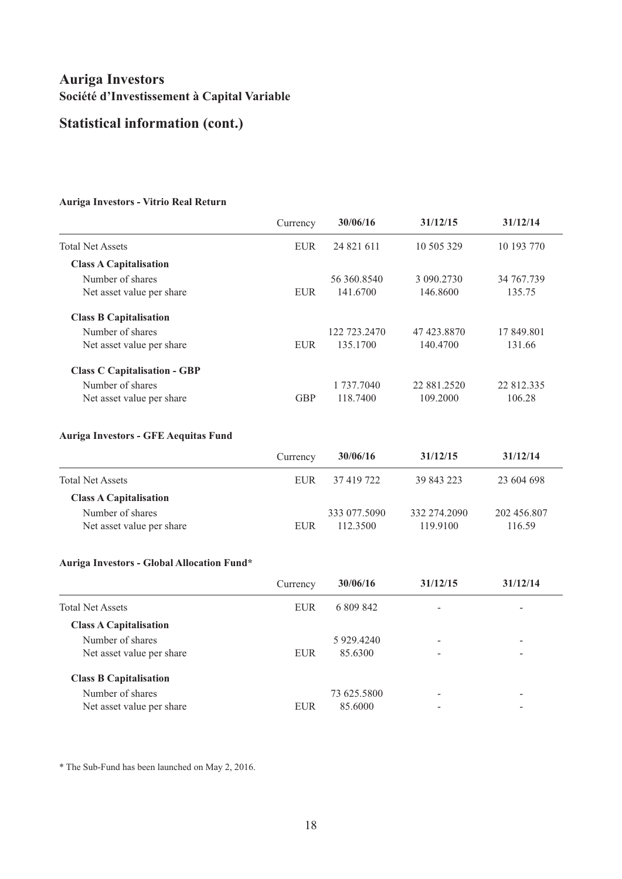# **Statistical information (cont.)**

#### **Auriga Investors - Vitrio Real Return**

|                                     | Currency   | 30/06/16     | 31/12/15    | 31/12/14   |
|-------------------------------------|------------|--------------|-------------|------------|
| <b>Total Net Assets</b>             | <b>EUR</b> | 24 821 611   | 10 505 329  | 10 193 770 |
| <b>Class A Capitalisation</b>       |            |              |             |            |
| Number of shares                    |            | 56 360,8540  | 3 090.2730  | 34 767.739 |
| Net asset value per share           | <b>EUR</b> | 141.6700     | 146.8600    | 135.75     |
| <b>Class B Capitalisation</b>       |            |              |             |            |
| Number of shares                    |            | 122 723,2470 | 47 423.8870 | 17 849.801 |
| Net asset value per share           | <b>EUR</b> | 135,1700     | 140.4700    | 131.66     |
| <b>Class C Capitalisation - GBP</b> |            |              |             |            |
| Number of shares                    |            | 1 737,7040   | 22 881.2520 | 22 812.335 |
| Net asset value per share           | <b>GBP</b> | 118,7400     | 109.2000    | 106.28     |

#### **Auriga Investors - GFE Aequitas Fund**

|                                               | Currency | 30/06/16                 | 31/12/15                 | 31/12/14              |
|-----------------------------------------------|----------|--------------------------|--------------------------|-----------------------|
| <b>Total Net Assets</b>                       | EUR.     | 37 419 722               | 39 843 223               | 23 604 698            |
| <b>Class A Capitalisation</b>                 |          |                          |                          |                       |
| Number of shares<br>Net asset value per share | EUR      | 333 077.5090<br>112.3500 | 332 274.2090<br>119.9100 | 202 456.807<br>116.59 |

#### **Auriga Investors - Global Allocation Fund\***

|                               | Currency   | 30/06/16    | 31/12/15                 | 31/12/14                 |
|-------------------------------|------------|-------------|--------------------------|--------------------------|
| <b>Total Net Assets</b>       | <b>EUR</b> | 6 809 842   | $\overline{\phantom{0}}$ | -                        |
| <b>Class A Capitalisation</b> |            |             |                          |                          |
| Number of shares              |            | 5 929.4240  |                          | -                        |
| Net asset value per share     | <b>EUR</b> | 85.6300     | -                        | $\overline{\phantom{0}}$ |
| <b>Class B Capitalisation</b> |            |             |                          |                          |
| Number of shares              |            | 73 625.5800 | $\overline{\phantom{0}}$ | -                        |
| Net asset value per share     | <b>EUR</b> | 85.6000     |                          | -                        |

\* The Sub-Fund has been launched on May 2, 2016.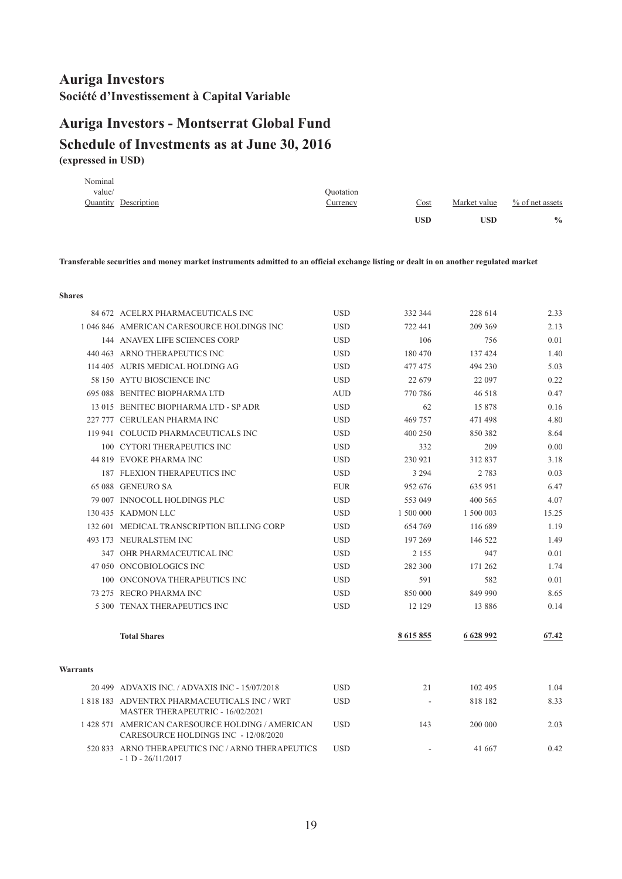# <span id="page-20-0"></span>**(expressed in USD) Schedule of Investments as at June 30, 2016 Auriga Investors - Montserrat Global Fund**

| Nominal |                      |                 |                                   |              |                    |
|---------|----------------------|-----------------|-----------------------------------|--------------|--------------------|
| value/  |                      | Ouotation       |                                   |              |                    |
|         | Quantity Description | <u>Currency</u> | $\frac{\text{Cost}}{\text{Cost}}$ | Market value | $\%$ of net assets |
|         |                      |                 | <b>USD</b>                        | <b>USD</b>   | $\frac{0}{0}$      |
|         |                      |                 |                                   |              |                    |

Transferable securities and money market instruments admitted to an official exchange listing or dealt in on another regulated market

**Shares**

|          | 84 672 ACELRX PHARMACEUTICALS INC                                                        | <b>USD</b> | 332 344   | 228 614   | 2.33  |
|----------|------------------------------------------------------------------------------------------|------------|-----------|-----------|-------|
|          | 1046 846 AMERICAN CARESOURCE HOLDINGS INC                                                | <b>USD</b> | 722 441   | 209 369   | 2.13  |
|          | 144 ANAVEX LIFE SCIENCES CORP                                                            | <b>USD</b> | 106       | 756       | 0.01  |
|          | 440 463 ARNO THERAPEUTICS INC                                                            | <b>USD</b> | 180 470   | 137 424   | 1.40  |
|          | 114 405 AURIS MEDICAL HOLDING AG                                                         | <b>USD</b> | 477475    | 494 230   | 5.03  |
|          | 58 150 AYTU BIOSCIENCE INC                                                               | <b>USD</b> | 22 679    | 22 097    | 0.22  |
|          | 695 088 BENITEC BIOPHARMA LTD                                                            | <b>AUD</b> | 770 786   | 46 518    | 0.47  |
|          | 13 015 BENITEC BIOPHARMA LTD - SP ADR                                                    | <b>USD</b> | 62        | 15878     | 0.16  |
|          | 227 777 CERULEAN PHARMA INC                                                              | <b>USD</b> | 469 757   | 471 498   | 4.80  |
|          | 119 941 COLUCID PHARMACEUTICALS INC                                                      | <b>USD</b> | 400 250   | 850 382   | 8.64  |
|          | 100 CYTORI THERAPEUTICS INC                                                              | <b>USD</b> | 332       | 209       | 0.00  |
|          | 44 819 EVOKE PHARMA INC                                                                  | <b>USD</b> | 230 921   | 312837    | 3.18  |
|          | 187 FLEXION THERAPEUTICS INC                                                             | <b>USD</b> | 3 2 9 4   | 2 7 8 3   | 0.03  |
|          | 65 088 GENEURO SA                                                                        | <b>EUR</b> | 952 676   | 635 951   | 6.47  |
|          | 79 007 INNOCOLL HOLDINGS PLC                                                             | <b>USD</b> | 553 049   | 400 565   | 4.07  |
|          | 130 435 KADMON LLC                                                                       | <b>USD</b> | 1 500 000 | 1 500 003 | 15.25 |
|          | 132 601 MEDICAL TRANSCRIPTION BILLING CORP                                               | <b>USD</b> | 654 769   | 116 689   | 1.19  |
|          | 493 173 NEURALSTEM INC                                                                   | <b>USD</b> | 197 269   | 146 522   | 1.49  |
|          | 347 OHR PHARMACEUTICAL INC                                                               | <b>USD</b> | 2 1 5 5   | 947       | 0.01  |
|          | 47 050 ONCOBIOLOGICS INC                                                                 | USD.       | 282 300   | 171 262   | 1.74  |
|          | 100 ONCONOVA THERAPEUTICS INC                                                            | <b>USD</b> | 591       | 582       | 0.01  |
|          | 73 275 RECRO PHARMA INC                                                                  | <b>USD</b> | 850 000   | 849 990   | 8.65  |
|          | 5 300 TENAX THERAPEUTICS INC                                                             | <b>USD</b> | 12 12 9   | 13 8 8 6  | 0.14  |
|          | <b>Total Shares</b>                                                                      |            | 8 615 855 | 6 628 992 | 67.42 |
| Warrants |                                                                                          |            |           |           |       |
|          | 20 499 ADVAXIS INC. / ADVAXIS INC - 15/07/2018                                           | <b>USD</b> | 21        | 102 495   | 1.04  |
|          | 1818 183 ADVENTRX PHARMACEUTICALS INC / WRT<br>MASTER THERAPEUTRIC - 16/02/2021          | <b>USD</b> |           | 818 182   | 8.33  |
|          | 1 428 571 AMERICAN CARESOURCE HOLDING / AMERICAN<br>CARESOURCE HOLDINGS INC - 12/08/2020 | <b>USD</b> | 143       | 200 000   | 2.03  |
|          | 520 833 ARNO THERAPEUTICS INC / ARNO THERAPEUTICS<br>$-1$ D $-26/11/2017$                | <b>USD</b> |           | 41 667    | 0.42  |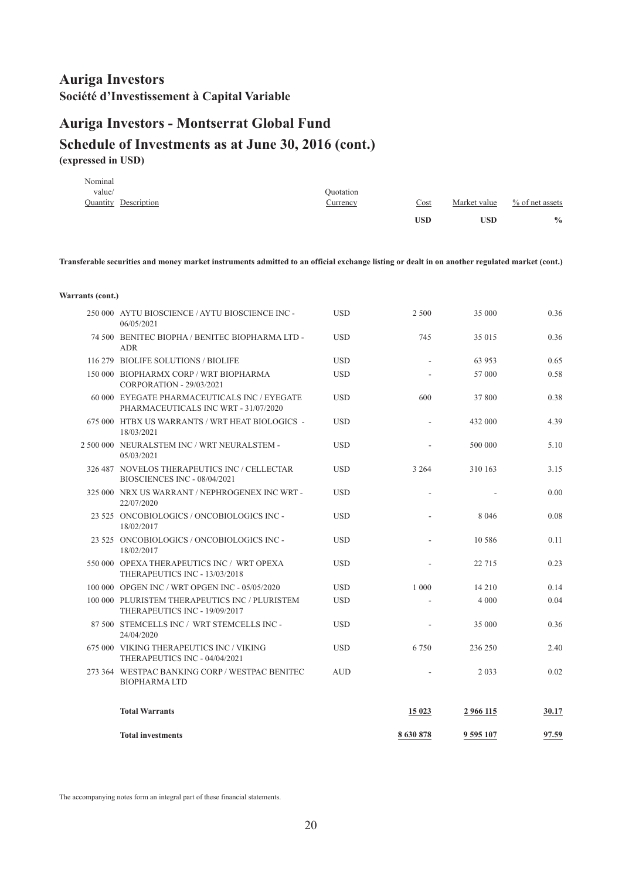## **Auriga Investors - Montserrat Global Fund Schedule of Investments as at June 30, 2016 (cont.) (expressed in USD)**

|         |                      |           | USD  | <b>USD</b>   | $\frac{0}{0}$      |
|---------|----------------------|-----------|------|--------------|--------------------|
|         | Quantity Description | Currency  | Cost | Market value | $\%$ of net assets |
| value/  |                      | Ouotation |      |              |                    |
| Nominal |                      |           |      |              |                    |

Transferable securities and money market instruments admitted to an official exchange listing or dealt in on another regulated market (cont.)

| <b>Total investments</b>                                                             |            | 8630878        | 9 595 107 | 97.59 |
|--------------------------------------------------------------------------------------|------------|----------------|-----------|-------|
| <b>Total Warrants</b>                                                                |            | 15 023         | 2 966 115 | 30.17 |
| 273 364 WESTPAC BANKING CORP / WESTPAC BENITEC<br><b>BIOPHARMALTD</b>                | <b>AUD</b> |                | 2 0 3 3   | 0.02  |
| 675 000 VIKING THERAPEUTICS INC / VIKING<br>THERAPEUTICS INC - 04/04/2021            | <b>USD</b> | 6750           | 236 250   | 2.40  |
| 87 500 STEMCELLS INC / WRT STEMCELLS INC -<br>24/04/2020                             | <b>USD</b> |                | 35 000    | 0.36  |
| 100 000 PLURISTEM THERAPEUTICS INC / PLURISTEM<br>THERAPEUTICS INC - 19/09/2017      | <b>USD</b> |                | 4 0 0 0   | 0.04  |
| 100 000 OPGEN INC / WRT OPGEN INC - 05/05/2020                                       | <b>USD</b> | 1 0 0 0        | 14 210    | 0.14  |
| 550 000 OPEXA THERAPEUTICS INC / WRT OPEXA<br>THERAPEUTICS INC - 13/03/2018          | <b>USD</b> |                | 22 7 15   | 0.23  |
| 23 525 ONCOBIOLOGICS / ONCOBIOLOGICS INC-<br>18/02/2017                              | <b>USD</b> |                | 10 58 6   | 0.11  |
| 23 525 ONCOBIOLOGICS / ONCOBIOLOGICS INC-<br>18/02/2017                              | <b>USD</b> |                | 8 0 4 6   | 0.08  |
| 325 000 NRX US WARRANT / NEPHROGENEX INC WRT -<br>22/07/2020                         | <b>USD</b> | $\overline{a}$ |           | 0.00  |
| 326 487 NOVELOS THERAPEUTICS INC / CELLECTAR<br>BIOSCIENCES INC - 08/04/2021         | <b>USD</b> | 3 2 6 4        | 310 163   | 3.15  |
| 2 500 000 NEURALSTEM INC / WRT NEURALSTEM -<br>05/03/2021                            | <b>USD</b> |                | 500 000   | 5.10  |
| 675 000 HTBX US WARRANTS / WRT HEAT BIOLOGICS -<br>18/03/2021                        | <b>USD</b> |                | 432 000   | 4.39  |
| 60 000 EYEGATE PHARMACEUTICALS INC / EYEGATE<br>PHARMACEUTICALS INC WRT - 31/07/2020 | <b>USD</b> | 600            | 37 800    | 0.38  |
| 150 000 BIOPHARMX CORP / WRT BIOPHARMA<br>CORPORATION - 29/03/2021                   | <b>USD</b> |                | 57 000    | 0.58  |
| 116 279 BIOLIFE SOLUTIONS / BIOLIFE                                                  | <b>USD</b> |                | 63 953    | 0.65  |
| 74 500 BENITEC BIOPHA / BENITEC BIOPHARMA LTD -<br><b>ADR</b>                        | <b>USD</b> | 745            | 35 015    | 0.36  |
| 250 000 AYTU BIOSCIENCE / AYTU BIOSCIENCE INC-<br>06/05/2021                         | <b>USD</b> | 2 500          | 35 000    | 0.36  |
|                                                                                      |            |                |           |       |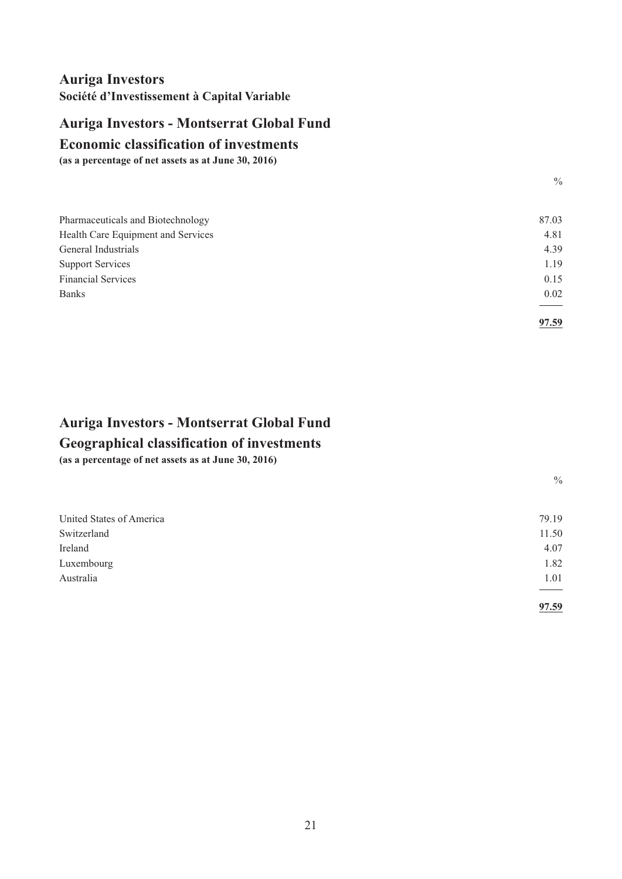## <span id="page-22-0"></span>**Auriga Investors - Montserrat Global Fund**

#### **Economic classification of investments**

**(as a percentage of net assets as at June 30, 2016)**

| Pharmaceuticals and Biotechnology  | 87.03 |
|------------------------------------|-------|
| Health Care Equipment and Services | 4.81  |
| General Industrials                | 4.39  |
| <b>Support Services</b>            | 1.19  |
| <b>Financial Services</b>          | 0.15  |
| <b>Banks</b>                       | 0.02  |
|                                    |       |
|                                    | 97.59 |

# **Geographical classification of investments Auriga Investors - Montserrat Global Fund**

**(as a percentage of net assets as at June 30, 2016)**

 $\frac{0}{0}$ 

 $\frac{0}{0}$ 

| United States of America | 79.19 |
|--------------------------|-------|
| Switzerland              | 11.50 |
| Ireland                  | 4.07  |
| Luxembourg               | 1.82  |
| Australia                | 1.01  |
|                          |       |
|                          | 97.59 |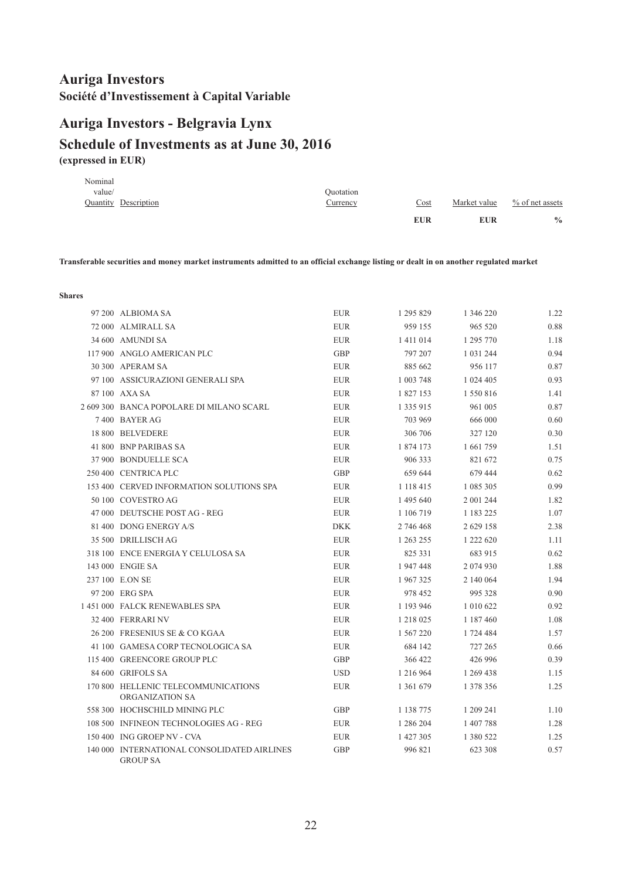## <span id="page-23-0"></span>**(expressed in EUR) Schedule of Investments as at June 30, 2016 Auriga Investors - Belgravia Lynx**

|         |                      |                 | <b>EUR</b> | <b>EUR</b>   | $\frac{0}{0}$      |
|---------|----------------------|-----------------|------------|--------------|--------------------|
|         | Quantity Description | <u>Currency</u> | Cost       | Market value | $\%$ of net assets |
| value/  |                      | Ouotation       |            |              |                    |
| Nominal |                      |                 |            |              |                    |

Transferable securities and money market instruments admitted to an official exchange listing or dealt in on another regulated market

| 97 200 ALBIOMA SA                                              | <b>EUR</b> | 1 295 829     | 1 346 220     | 1.22 |
|----------------------------------------------------------------|------------|---------------|---------------|------|
| 72 000 ALMIRALL SA                                             | <b>EUR</b> | 959 155       | 965 520       | 0.88 |
| 34 600 AMUNDI SA                                               | <b>EUR</b> | 1 411 014     | 1 295 770     | 1.18 |
| 117 900 ANGLO AMERICAN PLC                                     | <b>GBP</b> | 797 207       | 1 0 3 1 2 4 4 | 0.94 |
| 30 300 APERAM SA                                               | <b>EUR</b> | 885 662       | 956 117       | 0.87 |
| 97 100 ASSICURAZIONI GENERALI SPA                              | <b>EUR</b> | 1 003 748     | 1 024 405     | 0.93 |
| 87 100 AXA SA                                                  | <b>EUR</b> | 1827153       | 1 550 816     | 1.41 |
| 2 609 300 BANCA POPOLARE DI MILANO SCARL                       | <b>EUR</b> | 1 3 3 5 9 1 5 | 961 005       | 0.87 |
| 7400 BAYER AG                                                  | <b>EUR</b> | 703 969       | 666 000       | 0.60 |
| 18 800 BELVEDERE                                               | <b>EUR</b> | 306 706       | 327 120       | 0.30 |
| 41 800 BNP PARIBAS SA                                          | <b>EUR</b> | 1 874 173     | 1 661 759     | 1.51 |
| 37 900 BONDUELLE SCA                                           | <b>EUR</b> | 906 333       | 821 672       | 0.75 |
| 250 400 CENTRICA PLC                                           | <b>GBP</b> | 659 644       | 679 444       | 0.62 |
| 153 400 CERVED INFORMATION SOLUTIONS SPA                       | <b>EUR</b> | 1 118 415     | 1 085 305     | 0.99 |
| 50 100 COVESTRO AG                                             | <b>EUR</b> | 1 495 640     | 2 001 244     | 1.82 |
| 47 000 DEUTSCHE POST AG - REG                                  | <b>EUR</b> | 1 106 719     | 1 183 225     | 1.07 |
| 81 400 DONG ENERGY A/S                                         | <b>DKK</b> | 2 746 468     | 2 629 158     | 2.38 |
| 35 500 DRILLISCH AG                                            | <b>EUR</b> | 1 263 255     | 1 222 620     | 1.11 |
| 318 100 ENCE ENERGIA Y CELULOSA SA                             | <b>EUR</b> | 825 331       | 683 915       | 0.62 |
| 143 000 ENGIE SA                                               | <b>EUR</b> | 1947448       | 2 074 930     | 1.88 |
| 237 100 E.ON SE                                                | <b>EUR</b> | 1967325       | 2 140 064     | 1.94 |
| 97 200 ERG SPA                                                 | <b>EUR</b> | 978 452       | 995 328       | 0.90 |
| 1 451 000 FALCK RENEWABLES SPA                                 | <b>EUR</b> | 1 193 946     | 1 010 622     | 0.92 |
| 32 400 FERRARI NV                                              | <b>EUR</b> | 1 218 025     | 1 187 460     | 1.08 |
| 26 200 FRESENIUS SE & CO KGAA                                  | <b>EUR</b> | 1 567 220     | 1 724 484     | 1.57 |
| 41 100 GAMESA CORP TECNOLOGICA SA                              | <b>EUR</b> | 684 142       | 727 265       | 0.66 |
| 115 400 GREENCORE GROUP PLC                                    | <b>GBP</b> | 366 422       | 426 996       | 0.39 |
| 84 600 GRIFOLS SA                                              | <b>USD</b> | 1 216 964     | 1 269 438     | 1.15 |
| 170 800 HELLENIC TELECOMMUNICATIONS<br>ORGANIZATION SA         | <b>EUR</b> | 1 3 6 1 6 7 9 | 1 378 356     | 1.25 |
| 558 300 HOCHSCHILD MINING PLC                                  | GBP        | 1 138 775     | 1 209 241     | 1.10 |
| 108 500 INFINEON TECHNOLOGIES AG - REG                         | <b>EUR</b> | 1 286 204     | 1 407 788     | 1.28 |
| 150 400 ING GROEP NV - CVA                                     | <b>EUR</b> | 1 427 305     | 1 380 522     | 1.25 |
| 140 000 INTERNATIONAL CONSOLIDATED AIRLINES<br><b>GROUP SA</b> | <b>GBP</b> | 996 821       | 623 308       | 0.57 |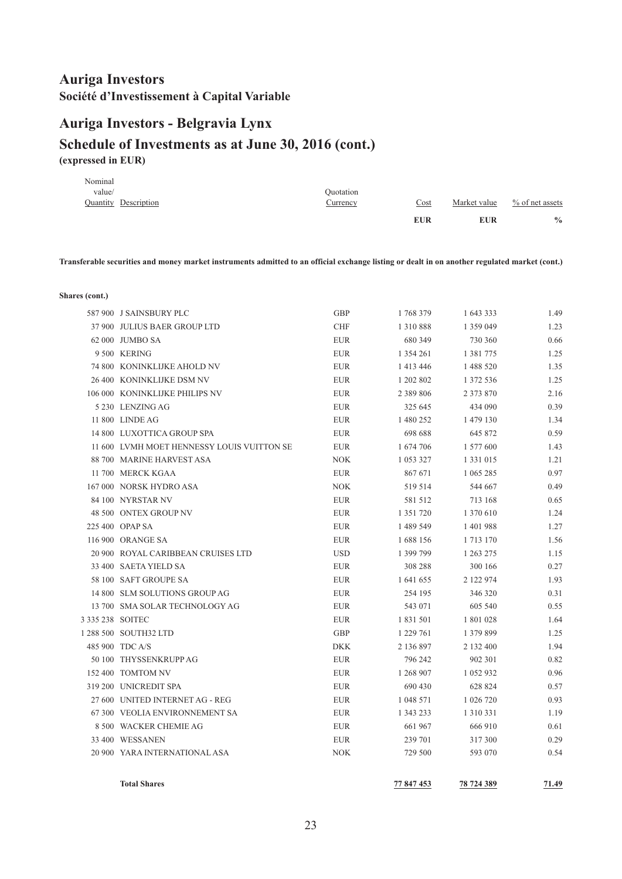#### **Auriga Investors - Belgravia Lynx**

#### **Schedule of Investments as at June 30, 2016 (cont.) (expressed in EUR)**

|         |                             |                 | <b>EUR</b> | <b>EUR</b>   | $\frac{0}{0}$      |
|---------|-----------------------------|-----------------|------------|--------------|--------------------|
|         | <b>Quantity Description</b> | <u>Currency</u> | Cost       | Market value | $\%$ of net assets |
| value/  |                             | Ouotation       |            |              |                    |
| Nominal |                             |                 |            |              |                    |

Transferable securities and money market instruments admitted to an official exchange listing or dealt in on another regulated market (cont.)

**Shares (cont.)**

|                  | <b>Total Shares</b>                          |                          | 77 847 453         | 78 724 389         | 71.49        |
|------------------|----------------------------------------------|--------------------------|--------------------|--------------------|--------------|
|                  |                                              |                          |                    |                    |              |
|                  | 20 900 YARA INTERNATIONAL ASA                | <b>NOK</b>               | 729 500            | 593 070            | 0.54         |
|                  | 33 400 WESSANEN                              | <b>EUR</b>               | 239 701            | 317 300            | 0.29         |
|                  | 8 500 WACKER CHEMIE AG                       | <b>EUR</b>               | 661 967            | 666 910            | 0.61         |
|                  | 67 300 VEOLIA ENVIRONNEMENT SA               | <b>EUR</b>               | 1 343 233          | 1 3 1 0 3 3 1      | 1.19         |
|                  | 27 600 UNITED INTERNET AG - REG              | <b>EUR</b>               | 1 048 571          | 1 026 720          | 0.93         |
|                  | 319 200 UNICREDIT SPA                        | <b>EUR</b>               | 690 430            | 628 824            | 0.57         |
|                  | 152 400 TOMTOM NV                            | <b>EUR</b>               | 1 268 907          | 1 0 5 2 9 3 2      | 0.96         |
|                  | 50 100 THYSSENKRUPP AG                       | <b>EUR</b>               | 796 242            | 902 301            | 0.82         |
|                  | 485 900 TDC A/S                              | <b>DKK</b>               | 2 136 897          | 2 132 400          | 1.94         |
|                  | 1 288 500 SOUTH32 LTD                        | <b>GBP</b>               | 1 229 761          | 1 379 899          | 1.25         |
| 3 335 238 SOITEC |                                              | <b>EUR</b>               | 1 831 501          | 1 801 028          | 1.64         |
|                  | 13 700 SMA SOLAR TECHNOLOGY AG               | <b>EUR</b>               | 543 071            | 605 540            | 0.55         |
|                  | 14 800 SLM SOLUTIONS GROUP AG                | <b>EUR</b>               | 254 195            | 346 320            | 0.31         |
|                  | 58 100 SAFT GROUPE SA                        | <b>EUR</b>               | 1 641 655          | 2 122 974          | 1.93         |
|                  | 33 400 SAETA YIELD SA                        | <b>EUR</b>               | 308 288            | 300 166            | 0.27         |
|                  | 20 900 ROYAL CARIBBEAN CRUISES LTD           | <b>USD</b>               | 1 399 799          | 1 263 275          | 1.15         |
|                  | 116 900 ORANGE SA                            | <b>EUR</b>               | 1688 156           | 1 7 1 3 1 7 0      | 1.56         |
|                  | 225 400 OPAP SA                              | <b>EUR</b>               | 1 489 549          | 1 401 988          | 1.27         |
|                  | 48 500 ONTEX GROUP NV                        | <b>EUR</b>               | 1 351 720          | 1 370 610          | 1.24         |
|                  | 84 100 NYRSTAR NV                            | <b>NOK</b><br><b>EUR</b> | 519 514<br>581 512 | 544 667<br>713 168 | 0.49<br>0.65 |
|                  | 11 700 MERCK KGAA<br>167 000 NORSK HYDRO ASA | <b>EUR</b>               | 867 671            | 1 065 285          | 0.97         |
|                  | 88 700 MARINE HARVEST ASA                    | <b>NOK</b>               | 1 053 327          | 1 3 3 1 0 1 5      | 1.21         |
|                  | 11 600 LVMH MOET HENNESSY LOUIS VUITTON SE   | <b>EUR</b>               | 1 674 706          | 1 577 600          | 1.43         |
|                  | 14 800 LUXOTTICA GROUP SPA                   | <b>EUR</b>               | 698 688            | 645 872            | 0.59         |
|                  | 11 800 LINDE AG                              | <b>EUR</b>               | 1 480 252          | 1 479 130          | 1.34         |
|                  | 5 230 LENZING AG                             | <b>EUR</b>               | 325 645            | 434 090            | 0.39         |
|                  | 106 000 KONINKLIJKE PHILIPS NV               | <b>EUR</b>               | 2 3 8 9 8 0 6      | 2 373 870          | 2.16         |
|                  | 26 400 KONINKLIJKE DSM NV                    | <b>EUR</b>               | 1 202 802          | 1 372 536          | 1.25         |
|                  | 74 800 KONINKLIJKE AHOLD NV                  | <b>EUR</b>               | 1 413 446          | 1 488 520          | 1.35         |
|                  | 9 500 KERING                                 | <b>EUR</b>               | 1 3 5 4 2 6 1      | 1 3 8 1 7 7 5      | 1.25         |
|                  | 62 000 JUMBO SA                              | <b>EUR</b>               | 680 349            | 730 360            | 0.66         |
|                  | 37 900 JULIUS BAER GROUP LTD                 | <b>CHF</b>               | 1 3 1 0 8 8 8      | 1 359 049          | 1.23         |
|                  | 587 900 J SAINSBURY PLC                      | GBP                      | 1768379            | 1 643 333          | 1.49         |
|                  |                                              |                          |                    |                    |              |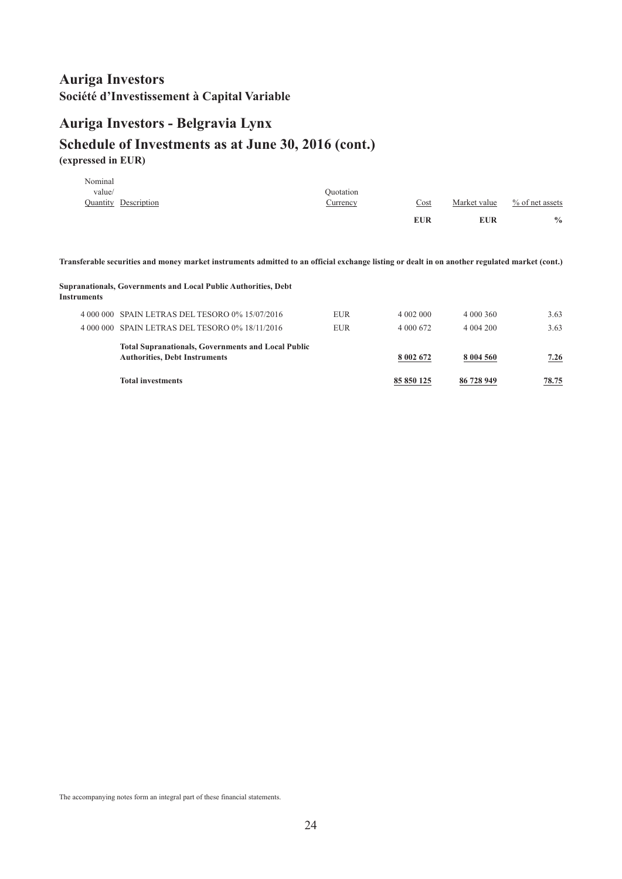# **Auriga Investors - Belgravia Lynx Schedule of Investments as at June 30, 2016 (cont.)**

**(expressed in EUR)**

|         |                             |                 | <b>EUR</b>  | <b>EUR</b>   | $\frac{0}{0}$      |
|---------|-----------------------------|-----------------|-------------|--------------|--------------------|
|         | <b>Quantity Description</b> | <u>Currency</u> | <u>Cost</u> | Market value | $\%$ of net assets |
| value/  |                             | Ouotation       |             |              |                    |
| Nominal |                             |                 |             |              |                    |

Transferable securities and money market instruments admitted to an official exchange listing or dealt in on another regulated market (cont.)

#### **Supranationals, Governments and Local Public Authorities, Debt Instruments**

| 4 000 000 SPAIN LETRAS DEL TESORO 0% 15/07/2016<br>4 000 000 SPAIN LETRAS DEL TESORO 0% 18/11/2016 | <b>EUR</b><br><b>EUR</b> | 4 002 000<br>4 000 672 | 4 000 360<br>4 004 200 | 3.63<br>3.63 |
|----------------------------------------------------------------------------------------------------|--------------------------|------------------------|------------------------|--------------|
| <b>Total Supranationals, Governments and Local Public</b><br><b>Authorities, Debt Instruments</b>  |                          | 8 002 672              | 8 004 560              | 7.26         |
| <b>Total investments</b>                                                                           |                          | 85 850 125             | 86 728 949             | 78.75        |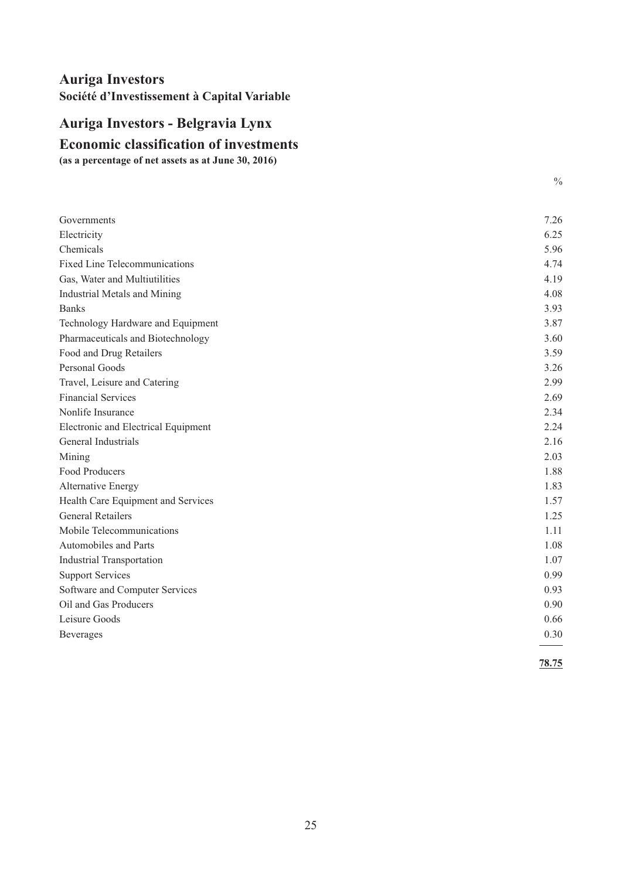# <span id="page-26-0"></span>**Economic classification of investments Auriga Investors - Belgravia Lynx**

**(as a percentage of net assets as at June 30, 2016)**

| Governments                          | 7.26  |
|--------------------------------------|-------|
| Electricity                          | 6.25  |
| Chemicals                            | 5.96  |
| <b>Fixed Line Telecommunications</b> | 4.74  |
| Gas, Water and Multiutilities        | 4.19  |
| Industrial Metals and Mining         | 4.08  |
| <b>Banks</b>                         | 3.93  |
| Technology Hardware and Equipment    | 3.87  |
| Pharmaceuticals and Biotechnology    | 3.60  |
| Food and Drug Retailers              | 3.59  |
| Personal Goods                       | 3.26  |
| Travel, Leisure and Catering         | 2.99  |
| <b>Financial Services</b>            | 2.69  |
| Nonlife Insurance                    | 2.34  |
| Electronic and Electrical Equipment  | 2.24  |
| General Industrials                  | 2.16  |
| Mining                               | 2.03  |
| Food Producers                       | 1.88  |
| Alternative Energy                   | 1.83  |
| Health Care Equipment and Services   | 1.57  |
| <b>General Retailers</b>             | 1.25  |
| Mobile Telecommunications            | 1.11  |
| Automobiles and Parts                | 1.08  |
| <b>Industrial Transportation</b>     | 1.07  |
| <b>Support Services</b>              | 0.99  |
| Software and Computer Services       | 0.93  |
| Oil and Gas Producers                | 0.90  |
| Leisure Goods                        | 0.66  |
| Beverages                            | 0.30  |
|                                      | 78.75 |

 $\frac{0}{0}$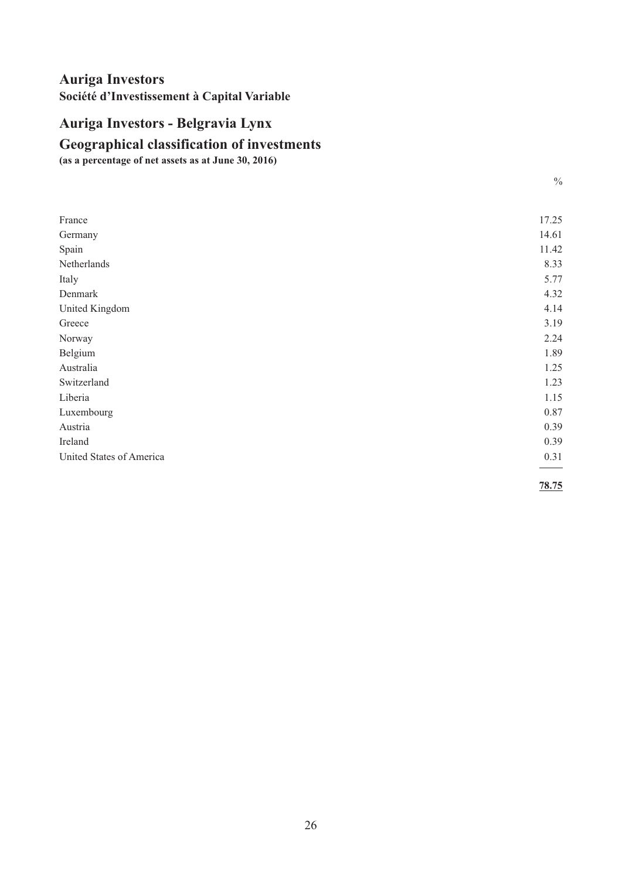# <span id="page-27-0"></span>**Auriga Investors - Belgravia Lynx**

#### **Geographical classification of investments**

**(as a percentage of net assets as at June 30, 2016)**

| e e<br>×<br>٦     |
|-------------------|
| i<br>۰.<br>×<br>I |

| France                   | 17.25 |
|--------------------------|-------|
| Germany                  | 14.61 |
| Spain                    | 11.42 |
| Netherlands              | 8.33  |
| Italy                    | 5.77  |
| Denmark                  | 4.32  |
| United Kingdom           | 4.14  |
| Greece                   | 3.19  |
| Norway                   | 2.24  |
| Belgium                  | 1.89  |
| Australia                | 1.25  |
| Switzerland              | 1.23  |
| Liberia                  | 1.15  |
| Luxembourg               | 0.87  |
| Austria                  | 0.39  |
| Ireland                  | 0.39  |
| United States of America | 0.31  |
|                          |       |

**78.75**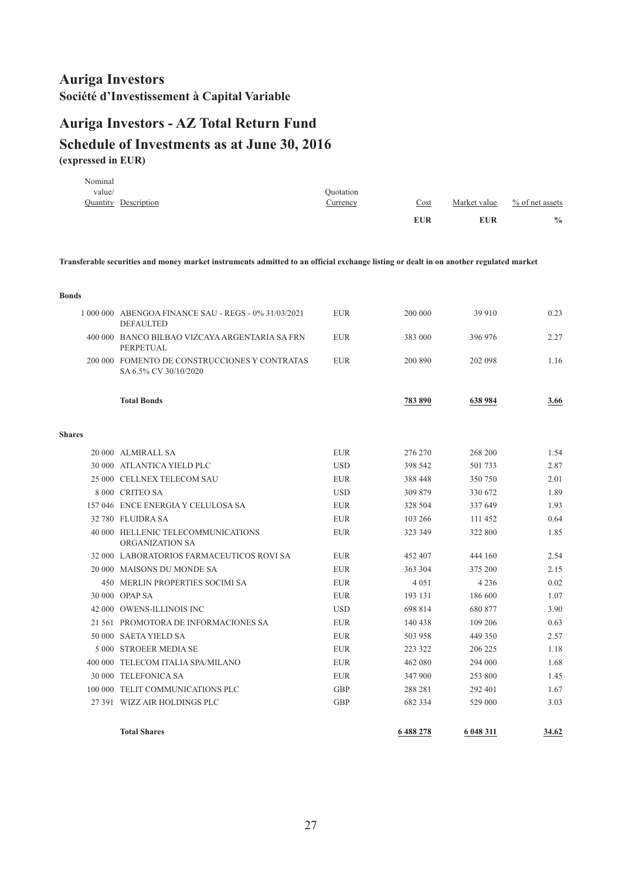# <span id="page-28-0"></span>**(expressed in EUR) Schedule of Investments as at June 30, 2016 Auriga Investors - AZ Total Return Fund**

|         |                             |           | <b>EUR</b> | <b>EUR</b>   | $\frac{0}{0}$   |
|---------|-----------------------------|-----------|------------|--------------|-----------------|
|         | <b>Quantity Description</b> | Currency  | Cost       | Market value | % of net assets |
| value/  |                             | Ouotation |            |              |                 |
| Nominal |                             |           |            |              |                 |

Transferable securities and money market instruments admitted to an official exchange listing or dealt in on another regulated market

| <b>Bonds</b>  |                                                                          |            |         |           |       |
|---------------|--------------------------------------------------------------------------|------------|---------|-----------|-------|
|               | 1 000 000 ABENGOA FINANCE SAU - REGS - 0% 31/03/2021<br><b>DEFAULTED</b> | <b>EUR</b> | 200 000 | 39 910    | 0.23  |
|               | 400 000 BANCO BILBAO VIZCAYA ARGENTARIA SA FRN<br>PERPETUAL              | <b>EUR</b> | 383 000 | 396 976   | 2.27  |
|               | 200 000 FOMENTO DE CONSTRUCCIONES Y CONTRATAS<br>SA 6.5% CV 30/10/2020   | <b>EUR</b> | 200 890 | 202 098   | 1.16  |
|               | <b>Total Bonds</b>                                                       |            | 783 890 | 638 984   | 3.66  |
| <b>Shares</b> |                                                                          |            |         |           |       |
|               | 20 000 ALMIRALL SA                                                       | <b>EUR</b> | 276 270 | 268 200   | 1.54  |
|               | 30 000 ATLANTICA YIELD PLC                                               | <b>USD</b> | 398 542 | 501 733   | 2.87  |
|               | 25 000 CELLNEX TELECOM SAU                                               | <b>EUR</b> | 388 448 | 350 750   | 2.01  |
|               | 8 000 CRITEO SA                                                          | <b>USD</b> | 309 879 | 330 672   | 1.89  |
|               | 157 046 ENCE ENERGIA Y CELULOSA SA                                       | <b>EUR</b> | 328 504 | 337 649   | 1.93  |
|               | 32 780 FLUIDRA SA                                                        | <b>EUR</b> | 103 266 | 111 452   | 0.64  |
|               | 40 000 HELLENIC TELECOMMUNICATIONS<br>ORGANIZATION SA                    | <b>EUR</b> | 323 349 | 322 800   | 1.85  |
|               | 32 000 LABORATORIOS FARMACEUTICOS ROVI SA                                | <b>EUR</b> | 452 407 | 444 160   | 2.54  |
|               | 20 000 MAISONS DU MONDE SA                                               | <b>EUR</b> | 363 304 | 375 200   | 2.15  |
|               | 450 MERLIN PROPERTIES SOCIMI SA                                          | <b>EUR</b> | 4 0 5 1 | 4 2 3 6   | 0.02  |
|               | 30 000 OPAP SA                                                           | <b>EUR</b> | 193 131 | 186 600   | 1.07  |
|               | 42 000 OWENS-ILLINOIS INC                                                | <b>USD</b> | 698 814 | 680 877   | 3.90  |
|               | 21 561 PROMOTORA DE INFORMACIONES SA                                     | <b>EUR</b> | 140 438 | 109 206   | 0.63  |
|               | 50 000 SAETA YIELD SA                                                    | <b>EUR</b> | 503 958 | 449 350   | 2.57  |
|               | 5 000 STROEER MEDIA SE                                                   | <b>EUR</b> | 223 322 | 206 225   | 1.18  |
|               | 400 000 TELECOM ITALIA SPA/MILANO                                        | <b>EUR</b> | 462 080 | 294 000   | 1.68  |
|               | 30 000 TELEFONICA SA                                                     | <b>EUR</b> | 347 900 | 253 800   | 1.45  |
|               | 100 000 TELIT COMMUNICATIONS PLC                                         | <b>GBP</b> | 288 281 | 292 401   | 1.67  |
|               | 27 391 WIZZ AIR HOLDINGS PLC                                             | <b>GBP</b> | 682 334 | 529 000   | 3.03  |
|               | <b>Total Shares</b>                                                      |            | 6488278 | 6 048 311 | 34.62 |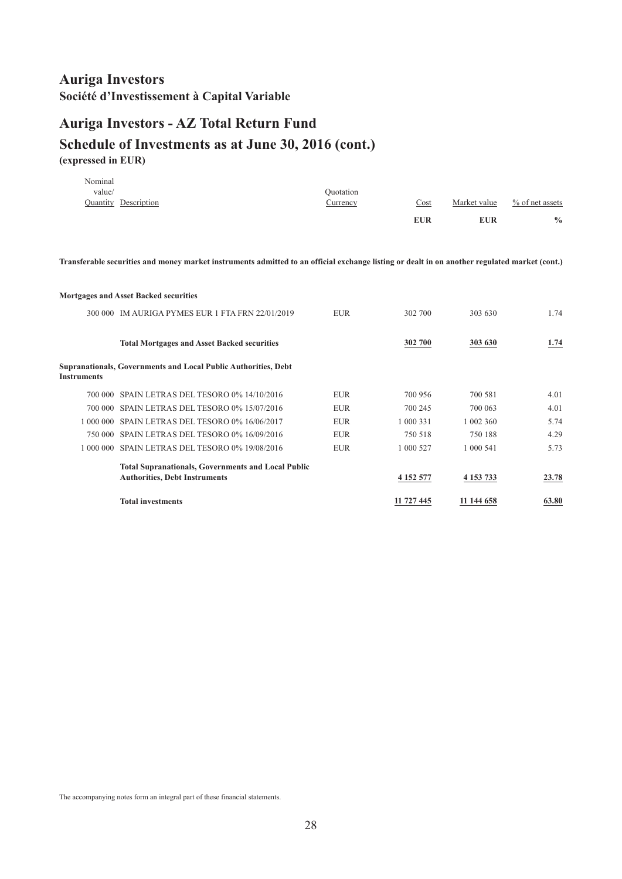#### **Auriga Investors - AZ Total Return Fund Schedule of Investments as at June 30, 2016 (cont.) (expressed in EUR)**

|         |                      |                 | <b>EUR</b> | <b>EUR</b>   | $\frac{0}{0}$      |
|---------|----------------------|-----------------|------------|--------------|--------------------|
|         | Quantity Description | <u>Currency</u> | Cost       | Market value | $\%$ of net assets |
| value/  |                      | Ouotation       |            |              |                    |
| Nominal |                      |                 |            |              |                    |

Transferable securities and money market instruments admitted to an official exchange listing or dealt in on another regulated market (cont.)

#### **Mortgages and Asset Backed securities** 300 000 IM AURIGA PYMES EUR 1 FTA FRN 22/01/2019 EUR 302 700 303 630 1.74 **Total Mortgages and Asset Backed securities 302 700 303 630 1.74 Supranationals, Governments and Local Public Authorities, Debt Instruments** 700 000 SPAIN LETRAS DEL TESORO 0% 14/10/2016 EUR 700 956 700 581 4.01 700 000 SPAIN LETRAS DEL TESORO 0% 15/07/2016 EUR 700 245 700 063 4.01 1 000 000 SPAIN LETRAS DEL TESORO 0% 16/06/2017 EUR 1 000 331 1 002 360 5.74 750 000 SPAIN LETRAS DEL TESORO 0% 16/09/2016 EUR 750 518 750 188 4.29 1 000 000 SPAIN LETRAS DEL TESORO 0% 19/08/2016 EUR 1 000 527 1 000 541 5.73 **4 152 577 4 153 733 23.78 Total Supranationals, Governments and Local Public Authorities, Debt Instruments Total investments 11 727 445 11 144 658 63.80**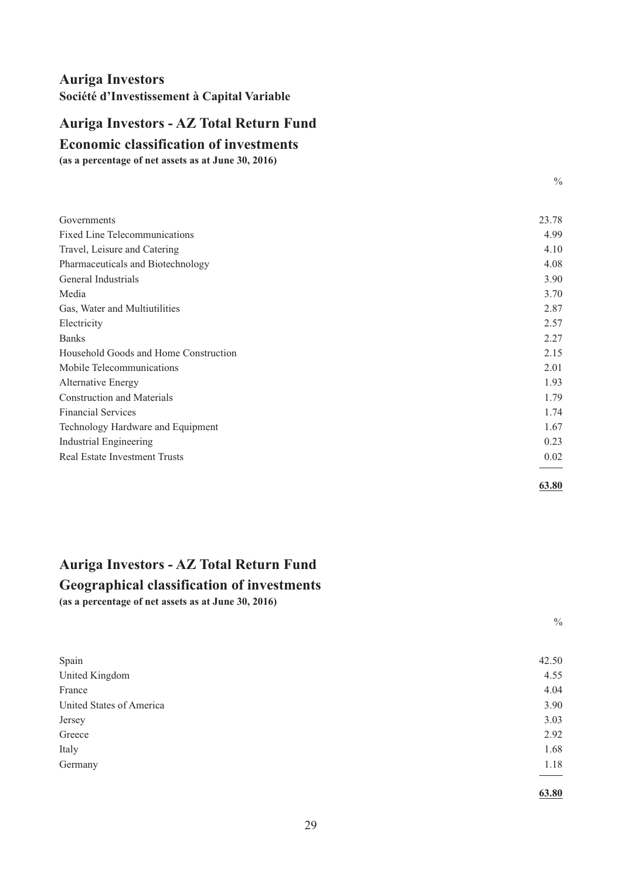# <span id="page-30-0"></span>**Auriga Investors - AZ Total Return Fund**

#### **Economic classification of investments**

**(as a percentage of net assets as at June 30, 2016)**

| Governments                           | 23.78 |
|---------------------------------------|-------|
| <b>Fixed Line Telecommunications</b>  | 4.99  |
| Travel, Leisure and Catering          | 4.10  |
| Pharmaceuticals and Biotechnology     | 4.08  |
| General Industrials                   | 3.90  |
| Media                                 | 3.70  |
| Gas, Water and Multiutilities         | 2.87  |
| Electricity                           | 2.57  |
| <b>Banks</b>                          | 2.27  |
| Household Goods and Home Construction | 2.15  |
| Mobile Telecommunications             | 2.01  |
| Alternative Energy                    | 1.93  |
| <b>Construction and Materials</b>     | 1.79  |
| <b>Financial Services</b>             | 1.74  |
| Technology Hardware and Equipment     | 1.67  |
| <b>Industrial Engineering</b>         | 0.23  |
| <b>Real Estate Investment Trusts</b>  | 0.02  |
|                                       | 63.80 |

#### **Auriga Investors - AZ Total Return Fund**

#### **Geographical classification of investments**

**(as a percentage of net assets as at June 30, 2016)**

 $\frac{0}{0}$ 

 $\frac{0}{0}$ 

| Spain                    | 42.50 |
|--------------------------|-------|
| United Kingdom           | 4.55  |
| France                   | 4.04  |
| United States of America | 3.90  |
| Jersey                   | 3.03  |
| Greece                   | 2.92  |
| Italy                    | 1.68  |
| Germany                  | 1.18  |
|                          |       |

**63.80**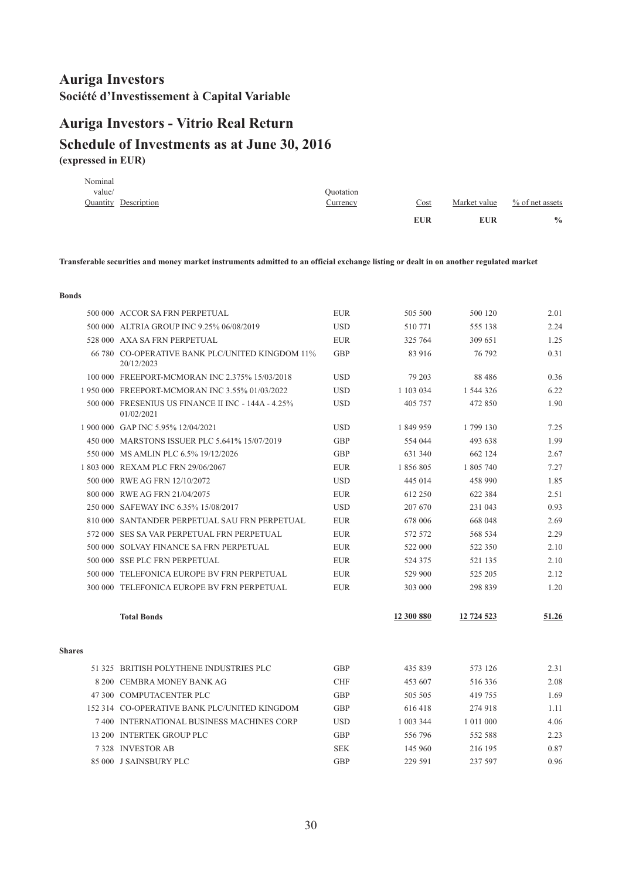# <span id="page-31-0"></span>**Auriga Investors - Vitrio Real Return**

#### **(expressed in EUR) Schedule of Investments as at June 30, 2016**

|         |                             |           | <b>EUR</b> | <b>EUR</b>   | $\frac{0}{0}$      |
|---------|-----------------------------|-----------|------------|--------------|--------------------|
|         | <b>Quantity Description</b> | Currency  | Cost       | Market value | $\%$ of net assets |
| value/  |                             | Ouotation |            |              |                    |
| Nominal |                             |           |            |              |                    |

Transferable securities and money market instruments admitted to an official exchange listing or dealt in on another regulated market

#### **Bonds**

|               | 500 000 ACCOR SA FRN PERPETUAL                                   | <b>EUR</b> | 505 500    | 500 120       | 2.01  |
|---------------|------------------------------------------------------------------|------------|------------|---------------|-------|
|               | 500 000 ALTRIA GROUP INC 9.25% 06/08/2019                        | <b>USD</b> | 510771     | 555 138       | 2.24  |
|               | 528 000 AXA SA FRN PERPETUAL                                     | <b>EUR</b> | 325 764    | 309 651       | 1.25  |
|               | 66 780 CO-OPERATIVE BANK PLC/UNITED KINGDOM 11%<br>20/12/2023    | GBP        | 83 916     | 76 792        | 0.31  |
|               | 100 000 FREEPORT-MCMORAN INC 2.375% 15/03/2018                   | <b>USD</b> | 79 203     | 88 4 8 6      | 0.36  |
|               | 1 950 000 FREEPORT-MCMORAN INC 3.55% 01/03/2022                  | <b>USD</b> | 1 103 034  | 1 544 326     | 6.22  |
|               | 500 000 FRESENIUS US FINANCE II INC - 144A - 4.25%<br>01/02/2021 | <b>USD</b> | 405 757    | 472 850       | 1.90  |
|               | 1 900 000 GAP INC 5.95% 12/04/2021                               | <b>USD</b> | 1 849 959  | 1799 130      | 7.25  |
|               | 450 000 MARSTONS ISSUER PLC 5.641% 15/07/2019                    | GBP        | 554 044    | 493 638       | 1.99  |
|               | 550 000 MS AMLIN PLC 6.5% 19/12/2026                             | <b>GBP</b> | 631 340    | 662 124       | 2.67  |
|               | 1803 000 REXAM PLC FRN 29/06/2067                                | <b>EUR</b> | 1856805    | 1 805 740     | 7.27  |
|               | 500 000 RWE AG FRN 12/10/2072                                    | <b>USD</b> | 445 014    | 458 990       | 1.85  |
|               | 800 000 RWE AG FRN 21/04/2075                                    | <b>EUR</b> | 612 250    | 622 384       | 2.51  |
|               | 250 000 SAFEWAY INC 6.35% 15/08/2017                             | <b>USD</b> | 207 670    | 231 043       | 0.93  |
|               | 810 000 SANTANDER PERPETUAL SAU FRN PERPETUAL                    | <b>EUR</b> | 678 006    | 668 048       | 2.69  |
|               | 572 000 SES SA VAR PERPETUAL FRN PERPETUAL                       | <b>EUR</b> | 572 572    | 568 534       | 2.29  |
|               | 500 000 SOLVAY FINANCE SA FRN PERPETUAL                          | <b>EUR</b> | 522 000    | 522 350       | 2.10  |
|               | 500 000 SSE PLC FRN PERPETUAL                                    | <b>EUR</b> | 524 375    | 521 135       | 2.10  |
|               | 500 000 TELEFONICA EUROPE BV FRN PERPETUAL                       | <b>EUR</b> | 529 900    | 525 205       | 2.12  |
|               | 300 000 TELEFONICA EUROPE BV FRN PERPETUAL                       | <b>EUR</b> | 303 000    | 298 839       | 1.20  |
|               | <b>Total Bonds</b>                                               |            | 12 300 880 | 12 724 523    | 51.26 |
| <b>Shares</b> |                                                                  |            |            |               |       |
|               | 51 325 BRITISH POLYTHENE INDUSTRIES PLC                          | <b>GBP</b> | 435 839    | 573 126       | 2.31  |
|               | 8 200 CEMBRA MONEY BANK AG                                       | <b>CHF</b> | 453 607    | 516336        | 2.08  |
|               | 47 300 COMPUTACENTER PLC                                         | <b>GBP</b> | 505 505    | 419 755       | 1.69  |
|               | 152 314 CO-OPERATIVE BANK PLC/UNITED KINGDOM                     | <b>GBP</b> | 616418     | 274 918       | 1.11  |
|               | 7400 INTERNATIONAL BUSINESS MACHINES CORP                        | <b>USD</b> | 1 003 344  | 1 0 1 1 0 0 0 | 4.06  |
|               | 13 200 INTERTEK GROUP PLC                                        | GBP        | 556 796    | 552 588       | 2.23  |
|               | 7328 INVESTOR AB                                                 | <b>SEK</b> | 145 960    | 216 195       | 0.87  |
|               | 85 000 J SAINSBURY PLC                                           | <b>GBP</b> | 229 591    | 237 597       | 0.96  |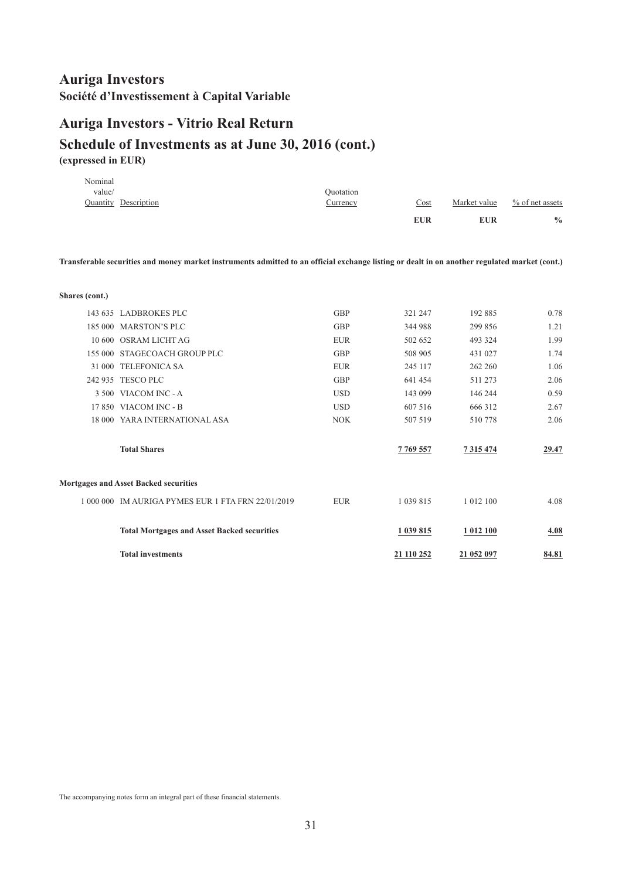## **Auriga Investors - Vitrio Real Return**

#### **Schedule of Investments as at June 30, 2016 (cont.) (expressed in EUR)**

|         |                      |                 | <b>EUR</b> | <b>EUR</b>   | $\frac{0}{0}$      |
|---------|----------------------|-----------------|------------|--------------|--------------------|
|         | Quantity Description | <u>Currency</u> | Cost       | Market value | $\%$ of net assets |
| value/  |                      | Ouotation       |            |              |                    |
| Nominal |                      |                 |            |              |                    |

Transferable securities and money market instruments admitted to an official exchange listing or dealt in on another regulated market (cont.)

| Shares (cont.) |                                                    |            |               |               |       |
|----------------|----------------------------------------------------|------------|---------------|---------------|-------|
|                | 143 635 LADBROKES PLC                              | <b>GBP</b> | 321 247       | 192 885       | 0.78  |
|                |                                                    |            |               |               |       |
|                | 185 000 MARSTON'S PLC                              | GBP        | 344 988       | 299 856       | 1.21  |
| 10.600         | OSRAM LICHT AG                                     | <b>EUR</b> | 502 652       | 493 324       | 1.99  |
|                | 155 000 STAGECOACH GROUP PLC                       | GBP        | 508 905       | 431 027       | 1.74  |
| 31 000         | <b>TELEFONICA SA</b>                               | <b>EUR</b> | 245 117       | 262 260       | 1.06  |
|                | 242 935 TESCO PLC                                  | <b>GBP</b> | 641 454       | 511 273       | 2.06  |
|                | 3 500 VIACOM INC - A                               | <b>USD</b> | 143 099       | 146 244       | 0.59  |
|                | 17 850 VIACOM INC - B                              | <b>USD</b> | 607 516       | 666 312       | 2.67  |
|                | 18 000 YARA INTERNATIONAL ASA                      | <b>NOK</b> | 507 519       | 510778        | 2.06  |
|                | <b>Total Shares</b>                                |            | 7769557       | 7 3 1 5 4 7 4 | 29.47 |
|                | Mortgages and Asset Backed securities              |            |               |               |       |
|                | 1 000 000 IM AURIGA PYMES EUR 1 FTA FRN 22/01/2019 | <b>EUR</b> | 1 0 3 9 8 1 5 | 1 0 1 2 1 0 0 | 4.08  |
|                | <b>Total Mortgages and Asset Backed securities</b> |            | 1 039 815     | 1 012 100     | 4.08  |
|                | <b>Total investments</b>                           |            | 21 110 252    | 21 052 097    | 84.81 |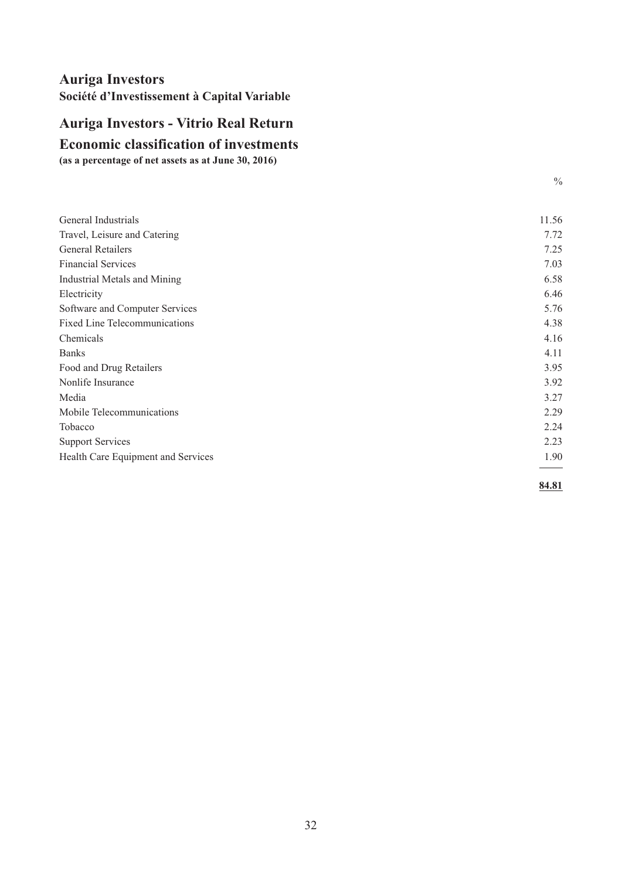# <span id="page-33-0"></span>**Auriga Investors - Vitrio Real Return**

**Economic classification of investments**

**(as a percentage of net assets as at June 30, 2016)**

| General Industrials                  | 11.56 |
|--------------------------------------|-------|
| Travel, Leisure and Catering         | 7.72  |
| <b>General Retailers</b>             | 7.25  |
| <b>Financial Services</b>            | 7.03  |
| <b>Industrial Metals and Mining</b>  | 6.58  |
| Electricity                          | 6.46  |
| Software and Computer Services       | 5.76  |
| <b>Fixed Line Telecommunications</b> | 4.38  |
| Chemicals                            | 4.16  |
| <b>Banks</b>                         | 4.11  |
| Food and Drug Retailers              | 3.95  |
| Nonlife Insurance                    | 3.92  |
| Media                                | 3.27  |
| Mobile Telecommunications            | 2.29  |
| Tobacco                              | 2.24  |
| <b>Support Services</b>              | 2.23  |
| Health Care Equipment and Services   | 1.90  |
|                                      |       |

**84.81**

 $\frac{0}{0}$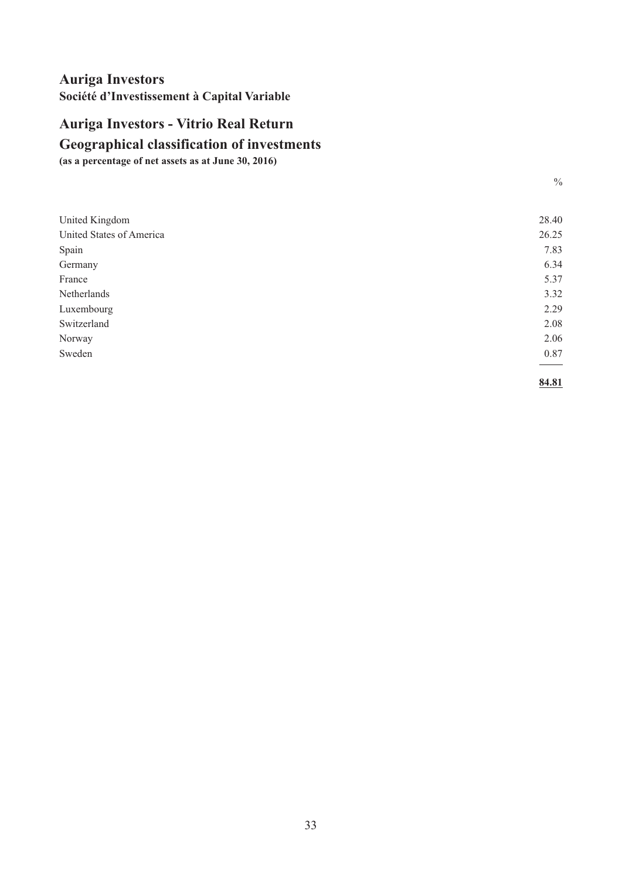# <span id="page-34-0"></span>**Auriga Investors - Vitrio Real Return**

## **Geographical classification of investments**

**(as a percentage of net assets as at June 30, 2016)**

| United Kingdom           | 28.40 |
|--------------------------|-------|
| United States of America | 26.25 |
| Spain                    | 7.83  |
| Germany                  | 6.34  |
| France                   | 5.37  |
| Netherlands              | 3.32  |
| Luxembourg               | 2.29  |
| Switzerland              | 2.08  |
| Norway                   | 2.06  |
| Sweden                   | 0.87  |
|                          |       |
|                          |       |

**84.81**

 $\frac{0}{0}$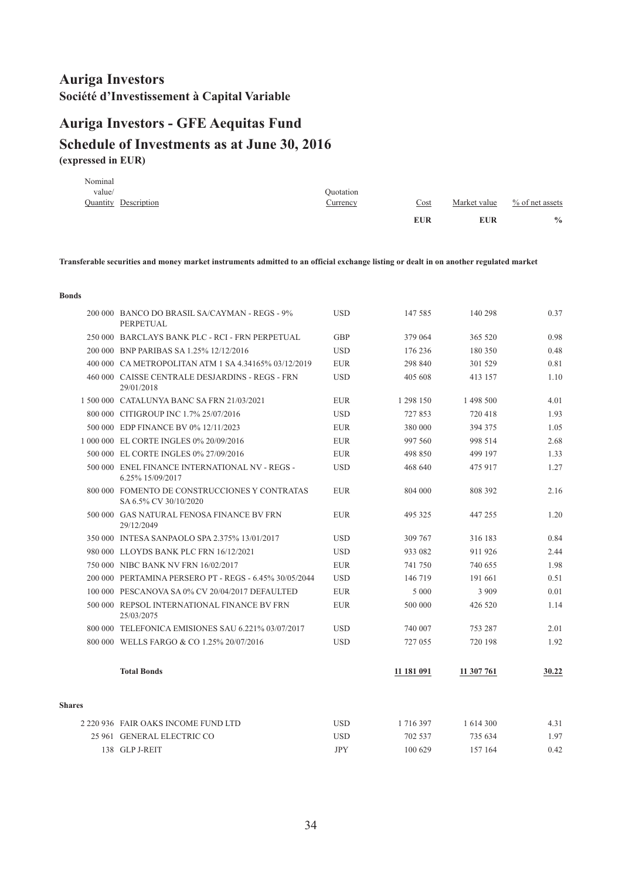## <span id="page-35-0"></span>**(expressed in EUR) Schedule of Investments as at June 30, 2016 Auriga Investors - GFE Aequitas Fund**

|         |                             |                 | <b>EUR</b>  | EUR          | $\frac{0}{0}$   |
|---------|-----------------------------|-----------------|-------------|--------------|-----------------|
|         | <b>Quantity Description</b> | <u>Currency</u> | <u>Cost</u> | Market value | % of net assets |
| value/  |                             | Quotation       |             |              |                 |
| Nominal |                             |                 |             |              |                 |

Transferable securities and money market instruments admitted to an official exchange listing or dealt in on another regulated market

|               | 200 000 BANCO DO BRASIL SA/CAYMAN - REGS - 9%<br>PERPETUAL             | <b>USD</b> | 147 585    | 140 298       | 0.37  |
|---------------|------------------------------------------------------------------------|------------|------------|---------------|-------|
|               | 250 000 BARCLAYS BANK PLC - RCI - FRN PERPETUAL                        | <b>GBP</b> | 379 064    | 365 520       | 0.98  |
|               | 200 000 BNP PARIBAS SA 1.25% 12/12/2016                                | <b>USD</b> | 176 236    | 180 350       | 0.48  |
|               | 400 000 CA METROPOLITAN ATM 1 SA 4.34165% 03/12/2019                   | <b>EUR</b> | 298 840    | 301 529       | 0.81  |
|               | 460 000 CAISSE CENTRALE DESJARDINS - REGS - FRN<br>29/01/2018          | <b>USD</b> | 405 608    | 413 157       | 1.10  |
|               | 1 500 000 CATALUNYA BANC SA FRN 21/03/2021                             | <b>EUR</b> | 1 298 150  | 1 498 500     | 4.01  |
|               | 800 000 CITIGROUP INC 1.7% 25/07/2016                                  | <b>USD</b> | 727853     | 720418        | 1.93  |
|               | 500 000 EDP FINANCE BV 0% 12/11/2023                                   | <b>EUR</b> | 380 000    | 394 375       | 1.05  |
|               | 1 000 000 EL CORTE INGLES 0% 20/09/2016                                | <b>EUR</b> | 997 560    | 998 514       | 2.68  |
|               | 500 000 EL CORTE INGLES 0% 27/09/2016                                  | <b>EUR</b> | 498 850    | 499 197       | 1.33  |
|               | 500 000 ENEL FINANCE INTERNATIONAL NV - REGS -<br>6.25% 15/09/2017     | <b>USD</b> | 468 640    | 475 917       | 1.27  |
|               | 800 000 FOMENTO DE CONSTRUCCIONES Y CONTRATAS<br>SA 6.5% CV 30/10/2020 | <b>EUR</b> | 804 000    | 808 392       | 2.16  |
|               | 500 000 GAS NATURAL FENOSA FINANCE BV FRN<br>29/12/2049                | <b>EUR</b> | 495 325    | 447 255       | 1.20  |
|               | 350 000 INTESA SANPAOLO SPA 2.375% 13/01/2017                          | <b>USD</b> | 309 767    | 316 183       | 0.84  |
|               | 980 000 LLOYDS BANK PLC FRN 16/12/2021                                 | <b>USD</b> | 933 082    | 911 926       | 2.44  |
|               | 750 000 NIBC BANK NV FRN 16/02/2017                                    | <b>EUR</b> | 741 750    | 740 655       | 1.98  |
|               | 200 000 PERTAMINA PERSERO PT - REGS - 6.45% 30/05/2044                 | <b>USD</b> | 146 719    | 191 661       | 0.51  |
|               | 100 000 PESCANOVA SA 0% CV 20/04/2017 DEFAULTED                        | <b>EUR</b> | 5 0 0 0    | 3 9 0 9       | 0.01  |
|               | 500 000 REPSOL INTERNATIONAL FINANCE BV FRN<br>25/03/2075              | <b>EUR</b> | 500 000    | 426 520       | 1.14  |
|               | 800 000 TELEFONICA EMISIONES SAU 6.221% 03/07/2017                     | <b>USD</b> | 740 007    | 753 287       | 2.01  |
|               | 800 000 WELLS FARGO & CO 1.25% 20/07/2016                              | <b>USD</b> | 727 055    | 720 198       | 1.92  |
|               | <b>Total Bonds</b>                                                     |            | 11 181 091 | 11 307 761    | 30.22 |
| <b>Shares</b> |                                                                        |            |            |               |       |
|               | 2 220 936 FAIR OAKS INCOME FUND LTD                                    | <b>USD</b> | 1716397    | 1 6 1 4 3 0 0 | 4.31  |
|               | 25 961 GENERAL ELECTRIC CO                                             | <b>USD</b> | 702 537    | 735 634       | 1.97  |
|               | 138 GLP J-REIT                                                         | <b>JPY</b> | 100 629    | 157 164       | 0.42  |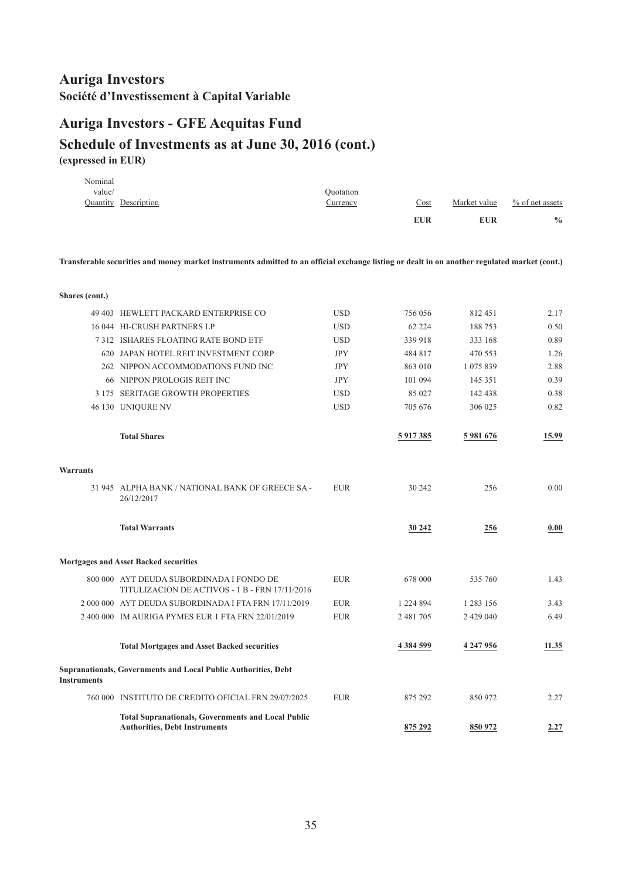## **Auriga Investors - GFE Aequitas Fund**

#### **Schedule of Investments as at June 30, 2016 (cont.) (expressed in EUR)**

|         |                             |           | <b>EUR</b>  | <b>EUR</b>   | $\frac{0}{0}$      |
|---------|-----------------------------|-----------|-------------|--------------|--------------------|
|         | <b>Quantity Description</b> | Currency  | <u>Cost</u> | Market value | $\%$ of net assets |
| value/  |                             | Ouotation |             |              |                    |
| Nominal |                             |           |             |              |                    |

Transferable securities and money market instruments admitted to an official exchange listing or dealt in on another regulated market (cont.)

| Shares (cont.)     |                                                                                            |            |               |           |       |
|--------------------|--------------------------------------------------------------------------------------------|------------|---------------|-----------|-------|
|                    | 49 403 HEWLETT PACKARD ENTERPRISE CO                                                       | <b>USD</b> | 756 056       | 812451    | 2.17  |
|                    | 16 044 HI-CRUSH PARTNERS LP                                                                | <b>USD</b> | 62 2 2 4      | 188753    | 0.50  |
|                    | <b>7312 ISHARES FLOATING RATE BOND ETF</b>                                                 | <b>USD</b> | 339 918       | 333 168   | 0.89  |
|                    | 620 JAPAN HOTEL REIT INVESTMENT CORP                                                       | <b>JPY</b> | 484 817       | 470 553   | 1.26  |
|                    | 262 NIPPON ACCOMMODATIONS FUND INC                                                         | <b>JPY</b> | 863 010       | 1 075 839 | 2.88  |
|                    | 66 NIPPON PROLOGIS REIT INC                                                                | <b>JPY</b> | 101 094       | 145 351   | 0.39  |
|                    | 3 175 SERITAGE GROWTH PROPERTIES                                                           | <b>USD</b> | 85 027        | 142 438   | 0.38  |
|                    | 46 130 UNIQURE NV                                                                          | <b>USD</b> | 705 676       | 306 025   | 0.82  |
|                    | <b>Total Shares</b>                                                                        |            | 5 917 385     | 5 981 676 | 15.99 |
| Warrants           |                                                                                            |            |               |           |       |
|                    | 31 945 ALPHA BANK / NATIONAL BANK OF GREECE SA-<br>26/12/2017                              | <b>EUR</b> | 30 24 2       | 256       | 0.00  |
|                    | <b>Total Warrants</b>                                                                      |            | 30 24 2       | 256       | 0.00  |
|                    |                                                                                            |            |               |           |       |
|                    | <b>Mortgages and Asset Backed securities</b>                                               |            |               |           |       |
|                    | 800 000 AYT DEUDA SUBORDINADA I FONDO DE<br>TITULIZACION DE ACTIVOS - 1 B - FRN 17/11/2016 | <b>EUR</b> | 678 000       | 535 760   | 1.43  |
|                    | 2 000 000 AYT DEUDA SUBORDINADA I FTA FRN 17/11/2019                                       | <b>EUR</b> | 1 224 894     | 1 283 156 | 3.43  |
|                    | 2 400 000 IM AURIGA PYMES EUR 1 FTA FRN 22/01/2019                                         | <b>EUR</b> | 2 481 705     | 2 429 040 | 6.49  |
|                    | <b>Total Mortgages and Asset Backed securities</b>                                         |            | 4 3 8 4 5 9 9 | 4 247 956 | 11.35 |
| <b>Instruments</b> | Supranationals, Governments and Local Public Authorities, Debt                             |            |               |           |       |
|                    | 760 000 INSTITUTO DE CREDITO OFICIAL FRN 29/07/2025                                        | <b>EUR</b> | 875 292       | 850 972   | 2.27  |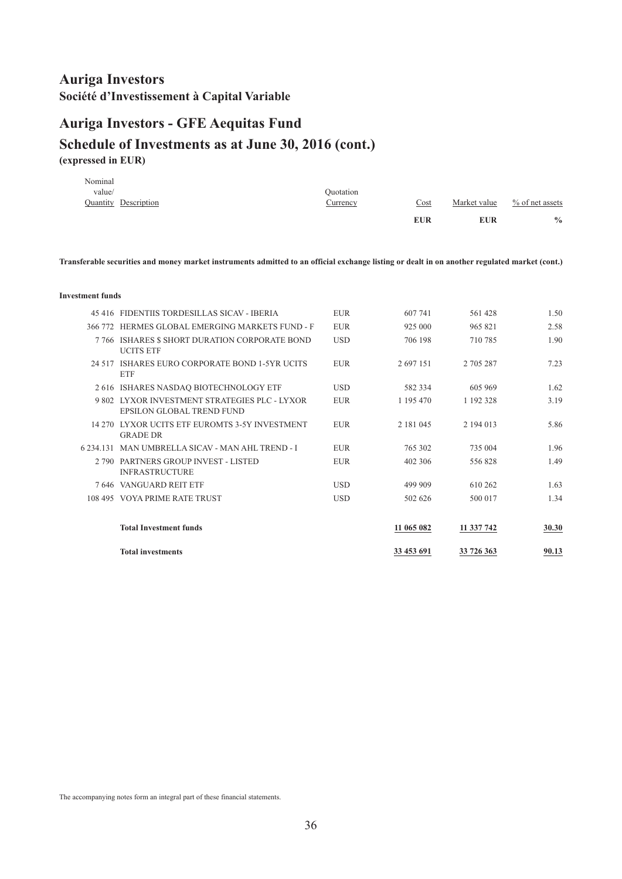### **Auriga Investors - GFE Aequitas Fund**

#### **Schedule of Investments as at June 30, 2016 (cont.) (expressed in EUR)**

|         |                      |           | <b>EUR</b> | EUR          | $\frac{0}{0}$      |
|---------|----------------------|-----------|------------|--------------|--------------------|
|         | Quantity Description | Currency  | Cost       | Market value | $\%$ of net assets |
| value/  |                      | Ouotation |            |              |                    |
| Nominal |                      |           |            |              |                    |

Transferable securities and money market instruments admitted to an official exchange listing or dealt in on another regulated market (cont.)

#### **Investment funds**

|           | <b>Total investments</b>                                                  |            | 33 453 691 | 33 726 363 | 90.13        |
|-----------|---------------------------------------------------------------------------|------------|------------|------------|--------------|
|           | <b>Total Investment funds</b>                                             |            | 11 065 082 | 11 337 742 | <b>30.30</b> |
|           | 108 495 VOYA PRIME RATE TRUST                                             | <b>USD</b> | 502 626    | 500 017    | 1.34         |
|           | 7 646 VANGUARD REIT ETF                                                   | <b>USD</b> | 499 909    | 610 262    | 1.63         |
|           | 2790 PARTNERS GROUP INVEST - LISTED<br><b>INFRASTRUCTURE</b>              | <b>EUR</b> | 402 306    | 556828     | 1.49         |
| 6 234 131 | MAN UMBRELLA SICAV - MAN AHL TREND - I                                    | <b>EUR</b> | 765 302    | 735 004    | 1.96         |
|           | 14 270 LYXOR UCITS ETF EUROMTS 3-5Y INVESTMENT<br><b>GRADE DR</b>         | <b>EUR</b> | 2 181 045  | 2 194 013  | 5.86         |
|           | 9802 LYXOR INVESTMENT STRATEGIES PLC - LYXOR<br>EPSILON GLOBAL TREND FUND | <b>EUR</b> | 1 195 470  | 1 192 328  | 3.19         |
|           | 2 616 ISHARES NASDAQ BIOTECHNOLOGY ETF                                    | <b>USD</b> | 582 334    | 605 969    | 1.62         |
| 24.517    | ISHARES EURO CORPORATE BOND 1-5YR UCITS<br><b>ETF</b>                     | <b>EUR</b> | 2 697 151  | 2 705 287  | 7.23         |
|           | 7766 ISHARES \$ SHORT DURATION CORPORATE BOND<br><b>UCITS ETF</b>         | <b>USD</b> | 706 198    | 710 785    | 1.90         |
|           | 366 772 HERMES GLOBAL EMERGING MARKETS FUND - F                           | <b>EUR</b> | 925 000    | 965 821    | 2.58         |
|           | 45 416 FIDENTIIS TORDESILLAS SICAV - IBERIA                               | <b>EUR</b> | 607 741    | 561 428    | 1.50         |
|           |                                                                           |            |            |            |              |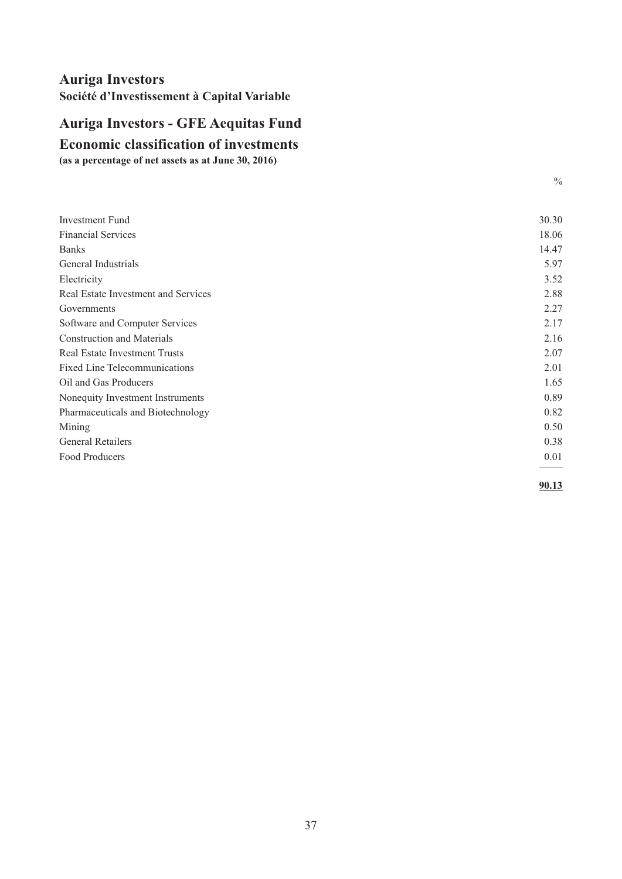# <span id="page-38-0"></span>**Auriga Investors - GFE Aequitas Fund**

**Economic classification of investments**

**(as a percentage of net assets as at June 30, 2016)**

| <b>Investment Fund</b>               | 30.30 |
|--------------------------------------|-------|
| <b>Financial Services</b>            | 18.06 |
| <b>Banks</b>                         | 14.47 |
| General Industrials                  | 5.97  |
| Electricity                          | 3.52  |
| Real Estate Investment and Services  | 2.88  |
| Governments                          | 2.27  |
| Software and Computer Services       | 2.17  |
| <b>Construction and Materials</b>    | 2.16  |
| <b>Real Estate Investment Trusts</b> | 2.07  |
| <b>Fixed Line Telecommunications</b> | 2.01  |
| Oil and Gas Producers                | 1.65  |
| Nonequity Investment Instruments     | 0.89  |
| Pharmaceuticals and Biotechnology    | 0.82  |
| Mining                               | 0.50  |
| <b>General Retailers</b>             | 0.38  |
| Food Producers                       | 0.01  |
|                                      |       |

**90.13**

 $\frac{0}{0}$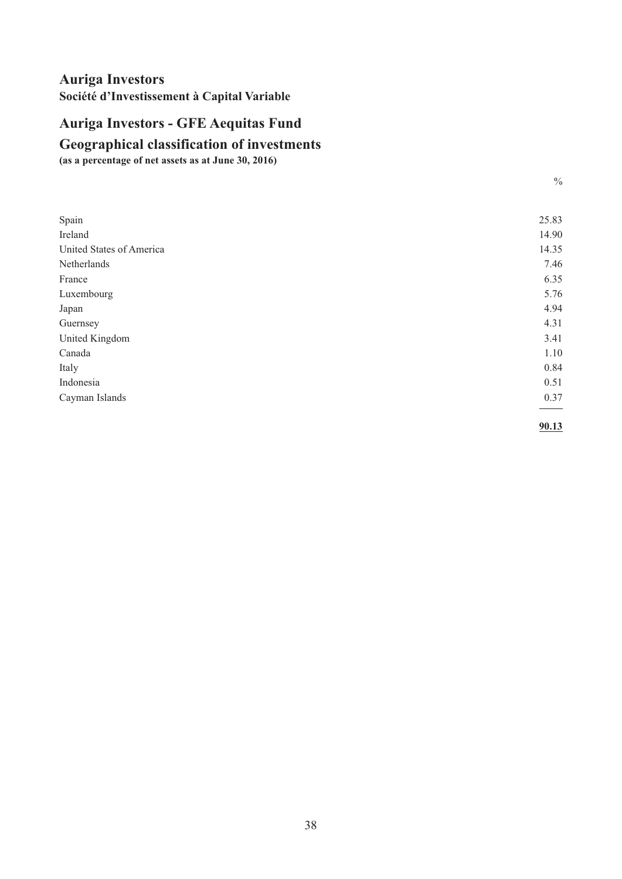# <span id="page-39-0"></span>**Auriga Investors - GFE Aequitas Fund**

#### **Geographical classification of investments**

**(as a percentage of net assets as at June 30, 2016)**

| I<br>e e          |
|-------------------|
| i<br>×<br>۰.<br>I |

| Spain                    | 25.83 |
|--------------------------|-------|
| Ireland                  | 14.90 |
| United States of America | 14.35 |
| Netherlands              | 7.46  |
| France                   | 6.35  |
| Luxembourg               | 5.76  |
| Japan                    | 4.94  |
| Guernsey                 | 4.31  |
| United Kingdom           | 3.41  |
| Canada                   | 1.10  |
| Italy                    | 0.84  |
| Indonesia                | 0.51  |
| Cayman Islands           | 0.37  |
|                          | 90.13 |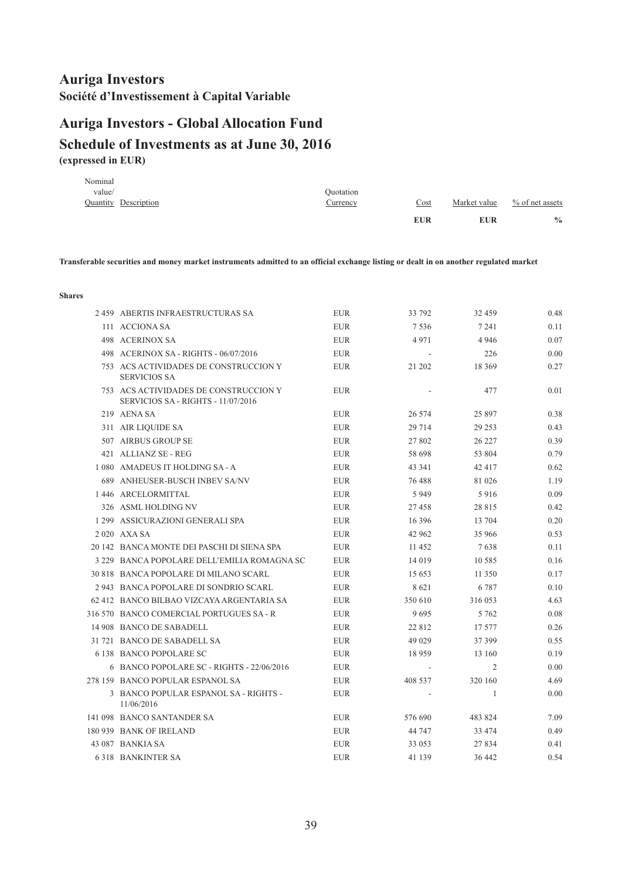# <span id="page-40-0"></span>**(expressed in EUR) Schedule of Investments as at June 30, 2016 Auriga Investors - Global Allocation Fund**

| Nominal<br>value/    | <i><b>Ouotation</b></i> |            |              |                 |
|----------------------|-------------------------|------------|--------------|-----------------|
| Quantity Description | Currency                | Cost       | Market value | % of net assets |
|                      |                         | <b>EUR</b> | <b>EUR</b>   | $\frac{0}{0}$   |

Transferable securities and money market instruments admitted to an official exchange listing or dealt in on another regulated market

| 2459 ABERTIS INFRAESTRUCTURAS SA                                            | <b>EUR</b> | 33 792   | 32 459   | 0.48 |
|-----------------------------------------------------------------------------|------------|----------|----------|------|
| 111 ACCIONA SA                                                              | <b>EUR</b> | 7536     | 7 2 4 1  | 0.11 |
| 498 ACERINOX SA                                                             | <b>EUR</b> | 4971     | 4 9 4 6  | 0.07 |
| 498 ACERINOX SA - RIGHTS - 06/07/2016                                       | <b>EUR</b> |          | 226      | 0.00 |
| 753 ACS ACTIVIDADES DE CONSTRUCCION Y<br><b>SERVICIOS SA</b>                | <b>EUR</b> | 21 202   | 18 3 6 9 | 0.27 |
| 753 ACS ACTIVIDADES DE CONSTRUCCION Y<br>SERVICIOS SA - RIGHTS - 11/07/2016 | <b>EUR</b> |          | 477      | 0.01 |
| 219 AENA SA                                                                 | <b>EUR</b> | 26 574   | 25 897   | 0.38 |
| 311 AIR LIQUIDE SA                                                          | <b>EUR</b> | 29 7 14  | 29 25 3  | 0.43 |
| 507 AIRBUS GROUP SE                                                         | <b>EUR</b> | 27 802   | 26 227   | 0.39 |
| 421 ALLIANZ SE - REG                                                        | <b>EUR</b> | 58 698   | 53 804   | 0.79 |
| 1 080 AMADEUS IT HOLDING SA - A                                             | <b>EUR</b> | 43 341   | 42 417   | 0.62 |
| 689 ANHEUSER-BUSCH INBEV SA/NV                                              | <b>EUR</b> | 76 488   | 81 026   | 1.19 |
| 1446 ARCELORMITTAL                                                          | <b>EUR</b> | 5949     | 5916     | 0.09 |
| 326 ASML HOLDING NV                                                         | <b>EUR</b> | 27458    | 28 815   | 0.42 |
| 1 299 ASSICURAZIONI GENERALI SPA                                            | <b>EUR</b> | 16 3 9 6 | 13 704   | 0.20 |
| 2 020 AXA SA                                                                | <b>EUR</b> | 42 962   | 35 966   | 0.53 |
| 20 142 BANCA MONTE DEI PASCHI DI SIENA SPA                                  | <b>EUR</b> | 11 452   | 7638     | 0.11 |
| 3 229 BANCA POPOLARE DELL'EMILIA ROMAGNA SC                                 | EUR        | 14 0 19  | 10 5 8 5 | 0.16 |
| 30 818 BANCA POPOLARE DI MILANO SCARL                                       | <b>EUR</b> | 15 653   | 11 350   | 0.17 |
| 2943 BANCA POPOLARE DI SONDRIO SCARL                                        | <b>EUR</b> | 8621     | 6 7 8 7  | 0.10 |
| 62 412 BANCO BILBAO VIZCAYA ARGENTARIA SA                                   | <b>EUR</b> | 350 610  | 316 053  | 4.63 |
| 316 570 BANCO COMERCIAL PORTUGUES SA - R                                    | <b>EUR</b> | 9695     | 5 7 6 2  | 0.08 |
| 14 908 BANCO DE SABADELL                                                    | <b>EUR</b> | 22 8 12  | 17 577   | 0.26 |
| 31 721 BANCO DE SABADELL SA                                                 | <b>EUR</b> | 49 0 29  | 37 399   | 0.55 |
| 6 138 BANCO POPOLARE SC                                                     | <b>EUR</b> | 18 9 59  | 13 160   | 0.19 |
| 6 BANCO POPOLARE SC - RIGHTS - 22/06/2016                                   | <b>EUR</b> |          | 2        | 0.00 |
| 278 159 BANCO POPULAR ESPANOL SA                                            | <b>EUR</b> | 408 537  | 320 160  | 4.69 |
| 3 BANCO POPULAR ESPANOL SA - RIGHTS -<br>11/06/2016                         | <b>EUR</b> |          | 1        | 0.00 |
| 141 098 BANCO SANTANDER SA                                                  | <b>EUR</b> | 576 690  | 483 824  | 7.09 |
| 180 939 BANK OF IRELAND                                                     | <b>EUR</b> | 44 747   | 33 474   | 0.49 |
| 43 087 BANKIA SA                                                            | <b>EUR</b> | 33 053   | 27 834   | 0.41 |
| <b>6318 BANKINTER SA</b>                                                    | <b>EUR</b> | 41 139   | 36 442   | 0.54 |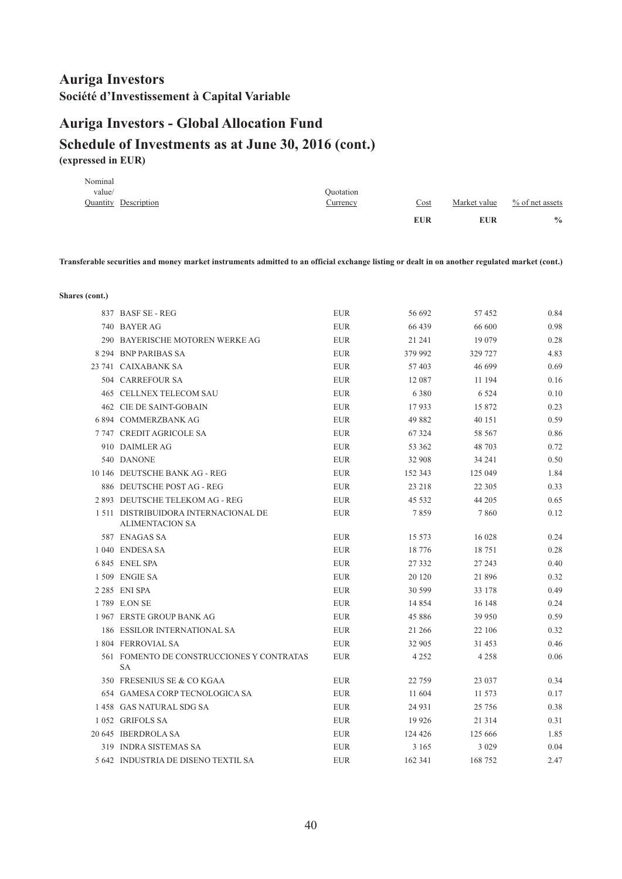# **Auriga Investors - Global Allocation Fund**

#### **Schedule of Investments as at June 30, 2016 (cont.) (expressed in EUR)**

|         |                      |           | <b>EUR</b> | <b>EUR</b>   | $\frac{0}{0}$      |
|---------|----------------------|-----------|------------|--------------|--------------------|
|         | Quantity Description | Currency  | Cost       | Market value | $\%$ of net assets |
| value/  |                      | Quotation |            |              |                    |
| Nominal |                      |           |            |              |                    |

Transferable securities and money market instruments admitted to an official exchange listing or dealt in on another regulated market (cont.)

**Shares (cont.)**

| 837 BASF SE - REG                                              | <b>EUR</b> | 56 692   | 57452    | 0.84 |
|----------------------------------------------------------------|------------|----------|----------|------|
| 740 BAYER AG                                                   | <b>EUR</b> | 66 439   | 66 600   | 0.98 |
| 290 BAYERISCHE MOTOREN WERKE AG                                | <b>EUR</b> | 21 24 1  | 19 0 79  | 0.28 |
| 8 294 BNP PARIBAS SA                                           | <b>EUR</b> | 379 992  | 329 727  | 4.83 |
| 23 741 CAIXABANK SA                                            | <b>EUR</b> | 57 403   | 46 699   | 0.69 |
| 504 CARREFOUR SA                                               | <b>EUR</b> | 12 087   | 11 194   | 0.16 |
| 465 CELLNEX TELECOM SAU                                        | <b>EUR</b> | 6 3 8 0  | 6 5 2 4  | 0.10 |
| <b>462 CIE DE SAINT-GOBAIN</b>                                 | <b>EUR</b> | 17933    | 15 872   | 0.23 |
| <b>6894 COMMERZBANKAG</b>                                      | <b>EUR</b> | 49 882   | 40 151   | 0.59 |
| 7747 CREDIT AGRICOLE SA                                        | <b>EUR</b> | 67 324   | 58 567   | 0.86 |
| 910 DAIMLER AG                                                 | <b>EUR</b> | 53 362   | 48 703   | 0.72 |
| 540 DANONE                                                     | <b>EUR</b> | 32 908   | 34 24 1  | 0.50 |
| 10 146 DEUTSCHE BANK AG - REG                                  | <b>EUR</b> | 152 343  | 125 049  | 1.84 |
| 886 DEUTSCHE POST AG - REG                                     | <b>EUR</b> | 23 218   | 22 3 05  | 0.33 |
| 2 893 DEUTSCHE TELEKOM AG - REG                                | <b>EUR</b> | 45 5 32  | 44 205   | 0.65 |
| 1 511 DISTRIBUIDORA INTERNACIONAL DE<br><b>ALIMENTACION SA</b> | <b>EUR</b> | 7859     | 7860     | 0.12 |
| 587 ENAGAS SA                                                  | <b>EUR</b> | 15 573   | 16 028   | 0.24 |
| 1 040 ENDESA SA                                                | <b>EUR</b> | 18 776   | 18751    | 0.28 |
| 6 845 ENEL SPA                                                 | <b>EUR</b> | 27 3 3 2 | 27 243   | 0.40 |
| 1 509 ENGIE SA                                                 | <b>EUR</b> | 20 120   | 21896    | 0.32 |
| 2 285 ENI SPA                                                  | <b>EUR</b> | 30 599   | 33 178   | 0.49 |
| 1789 E.ON SE                                                   | <b>EUR</b> | 14 8 5 4 | 16 148   | 0.24 |
| 1967 ERSTE GROUP BANK AG                                       | <b>EUR</b> | 45 8 8 6 | 39 950   | 0.59 |
| <b>186 ESSILOR INTERNATIONAL SA</b>                            | EUR        | 21 266   | 22 106   | 0.32 |
| 1 804 FERROVIAL SA                                             | <b>EUR</b> | 32 905   | 31 453   | 0.46 |
| 561 FOMENTO DE CONSTRUCCIONES Y CONTRATAS<br><b>SA</b>         | <b>EUR</b> | 4 2 5 2  | 4 2 5 8  | 0.06 |
| 350 FRESENIUS SE & CO KGAA                                     | <b>EUR</b> | 22 759   | 23 037   | 0.34 |
| 654 GAMESA CORP TECNOLOGICA SA                                 | <b>EUR</b> | 11 604   | 11 573   | 0.17 |
| 1458 GAS NATURAL SDG SA                                        | <b>EUR</b> | 24 9 31  | 25 7 5 6 | 0.38 |
| 1052 GRIFOLS SA                                                | <b>EUR</b> | 19 9 26  | 21 3 14  | 0.31 |
| 20 645 IBERDROLA SA                                            | <b>EUR</b> | 124 426  | 125 666  | 1.85 |
| 319 INDRA SISTEMAS SA                                          | <b>EUR</b> | 3 1 6 5  | 3 0 2 9  | 0.04 |
| 5 642 INDUSTRIA DE DISENO TEXTIL SA                            | <b>EUR</b> | 162 341  | 168 752  | 2.47 |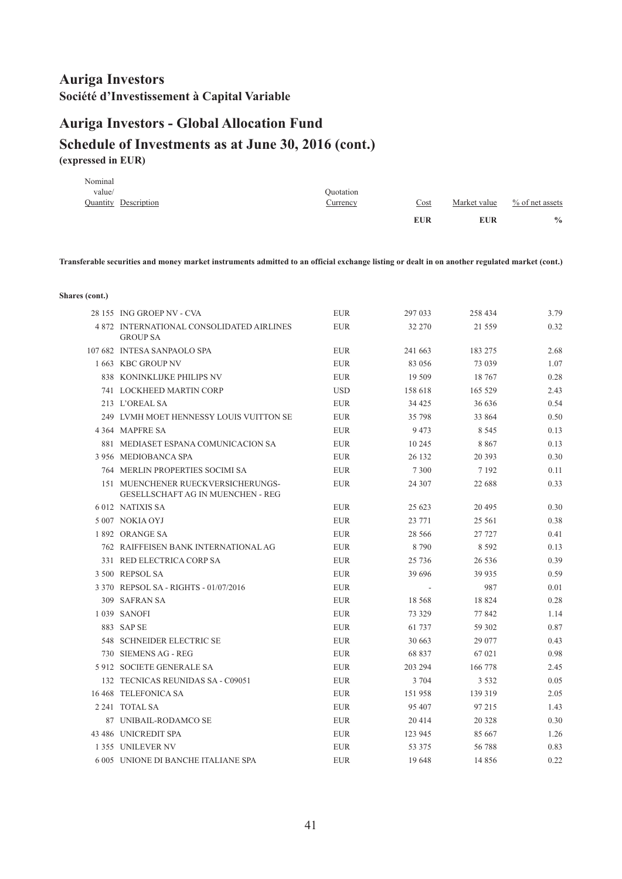# **Auriga Investors - Global Allocation Fund**

#### **Schedule of Investments as at June 30, 2016 (cont.) (expressed in EUR)**

| Nominal<br>value/ |                      | Quotation |            |              |                    |
|-------------------|----------------------|-----------|------------|--------------|--------------------|
|                   | Quantity Description | Currency  | Cost       | Market value | $\%$ of net assets |
|                   |                      |           | <b>EUR</b> | <b>EUR</b>   | $\frac{0}{0}$      |

Transferable securities and money market instruments admitted to an official exchange listing or dealt in on another regulated market (cont.)

**Shares (cont.)**

| 28 155 ING GROEP NV - CVA                                                      | <b>EUR</b> | 297 033  | 258 434  | 3.79 |
|--------------------------------------------------------------------------------|------------|----------|----------|------|
| 4872 INTERNATIONAL CONSOLIDATED AIRLINES<br><b>GROUP SA</b>                    | <b>EUR</b> | 32 270   | 21 559   | 0.32 |
| 107 682 INTESA SANPAOLO SPA                                                    | <b>EUR</b> | 241 663  | 183 275  | 2.68 |
| 1 663 KBC GROUP NV                                                             | <b>EUR</b> | 83 056   | 73 039   | 1.07 |
| 838 KONINKLIJKE PHILIPS NV                                                     | <b>EUR</b> | 19 509   | 18 767   | 0.28 |
| 741 LOCKHEED MARTIN CORP                                                       | <b>USD</b> | 158 618  | 165 529  | 2.43 |
| 213 L'OREAL SA                                                                 | <b>EUR</b> | 34 4 25  | 36 636   | 0.54 |
| 249 LVMH MOET HENNESSY LOUIS VUITTON SE                                        | <b>EUR</b> | 35 798   | 33 864   | 0.50 |
| 4 364 MAPFRE SA                                                                | <b>EUR</b> | 9473     | 8 5 4 5  | 0.13 |
| 881 MEDIASET ESPANA COMUNICACION SA                                            | <b>EUR</b> | 10 245   | 8867     | 0.13 |
| 3 956 MEDIOBANCA SPA                                                           | <b>EUR</b> | 26 132   | 20 39 3  | 0.30 |
| 764 MERLIN PROPERTIES SOCIMI SA                                                | <b>EUR</b> | 7 3 0 0  | 7 1 9 2  | 0.11 |
| 151 MUENCHENER RUECKVERSICHERUNGS-<br><b>GESELLSCHAFT AG IN MUENCHEN - REG</b> | <b>EUR</b> | 24 307   | 22 688   | 0.33 |
| 6012 NATIXIS SA                                                                | <b>EUR</b> | 25 623   | 20 4 95  | 0.30 |
| 5 007 NOKIA OYJ                                                                | <b>EUR</b> | 23 771   | 25 5 61  | 0.38 |
| 1892 ORANGE SA                                                                 | <b>EUR</b> | 28 5 6 6 | 27 727   | 0.41 |
| 762 RAIFFEISEN BANK INTERNATIONAL AG                                           | <b>EUR</b> | 8790     | 8 5 9 2  | 0.13 |
| 331 RED ELECTRICA CORP SA                                                      | <b>EUR</b> | 25 7 36  | 26 5 36  | 0.39 |
| 3 500 REPSOL SA                                                                | <b>EUR</b> | 39 69 6  | 39 9 35  | 0.59 |
| 3 370 REPSOL SA - RIGHTS - 01/07/2016                                          | <b>EUR</b> |          | 987      | 0.01 |
| 309 SAFRAN SA                                                                  | EUR        | 18 5 68  | 18 824   | 0.28 |
| 1 039 SANOFI                                                                   | <b>EUR</b> | 73 329   | 77 842   | 1.14 |
| 883 SAP SE                                                                     | <b>EUR</b> | 61 737   | 59 302   | 0.87 |
| 548 SCHNEIDER ELECTRIC SE                                                      | <b>EUR</b> | 30 663   | 29 077   | 0.43 |
| 730 SIEMENS AG - REG                                                           | <b>EUR</b> | 68 837   | 67 021   | 0.98 |
| 5 912 SOCIETE GENERALE SA                                                      | <b>EUR</b> | 203 294  | 166 778  | 2.45 |
| 132 TECNICAS REUNIDAS SA - C09051                                              | <b>EUR</b> | 3 704    | 3 5 3 2  | 0.05 |
| 16 468 TELEFONICA SA                                                           | <b>EUR</b> | 151 958  | 139 319  | 2.05 |
| 2 241 TOTAL SA                                                                 | <b>EUR</b> | 95 407   | 97 215   | 1.43 |
| 87 UNIBAIL-RODAMCO SE                                                          | <b>EUR</b> | 20 4 14  | 20 3 28  | 0.30 |
| 43 486 UNICREDIT SPA                                                           | <b>EUR</b> | 123 945  | 85 667   | 1.26 |
| 1355 UNILEVER NV                                                               | <b>EUR</b> | 53 375   | 56788    | 0.83 |
| 6 005 UNIONE DI BANCHE ITALIANE SPA                                            | <b>EUR</b> | 19648    | 14 8 5 6 | 0.22 |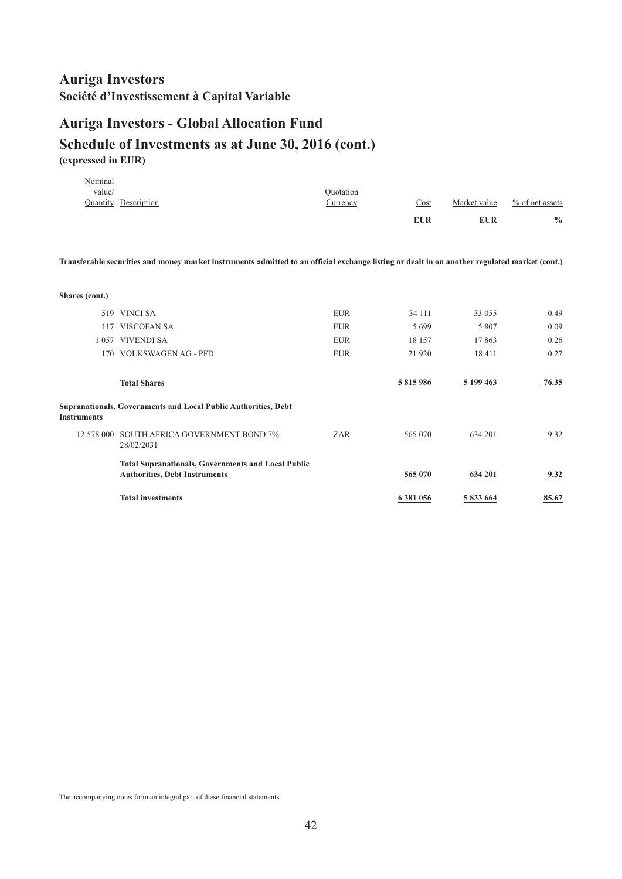## **Auriga Investors - Global Allocation Fund**

#### **Schedule of Investments as at June 30, 2016 (cont.) (expressed in EUR)**

|         |                             |           | <b>EUR</b> | <b>EUR</b>   | $\frac{0}{0}$      |
|---------|-----------------------------|-----------|------------|--------------|--------------------|
|         | <b>Quantity Description</b> | Currency  | Cost       | Market value | $\%$ of net assets |
| value/  |                             | Ouotation |            |              |                    |
| Nominal |                             |           |            |              |                    |

Transferable securities and money market instruments admitted to an official exchange listing or dealt in on another regulated market (cont.)

| Shares (cont.)     |                                                                                                   |            |           |            |       |
|--------------------|---------------------------------------------------------------------------------------------------|------------|-----------|------------|-------|
| 519                | VINCI SA                                                                                          | <b>EUR</b> | 34 111    | 33 055     | 0.49  |
| 117                | <b>VISCOFAN SA</b>                                                                                | <b>EUR</b> | 5 6 9 9   | 5 8 0 7    | 0.09  |
|                    | 1057 VIVENDI SA                                                                                   | <b>EUR</b> | 18 157    | 17863      | 0.26  |
|                    | 170 VOLKSWAGEN AG - PFD                                                                           | <b>EUR</b> | 21 9 20   | 18411      | 0.27  |
|                    | <b>Total Shares</b>                                                                               |            | 5 815 986 | 5 199 4 63 | 76.35 |
| <b>Instruments</b> | <b>Supranationals, Governments and Local Public Authorities, Debt</b>                             |            |           |            |       |
|                    | 12 578 000 SOUTH AFRICA GOVERNMENT BOND 7%<br>28/02/2031                                          | ZAR        | 565 070   | 634 201    | 9.32  |
|                    | <b>Total Supranationals, Governments and Local Public</b><br><b>Authorities, Debt Instruments</b> |            | 565 070   | 634 201    | 9.32  |
|                    | <b>Total investments</b>                                                                          |            | 6 381 056 | 5 833 664  | 85.67 |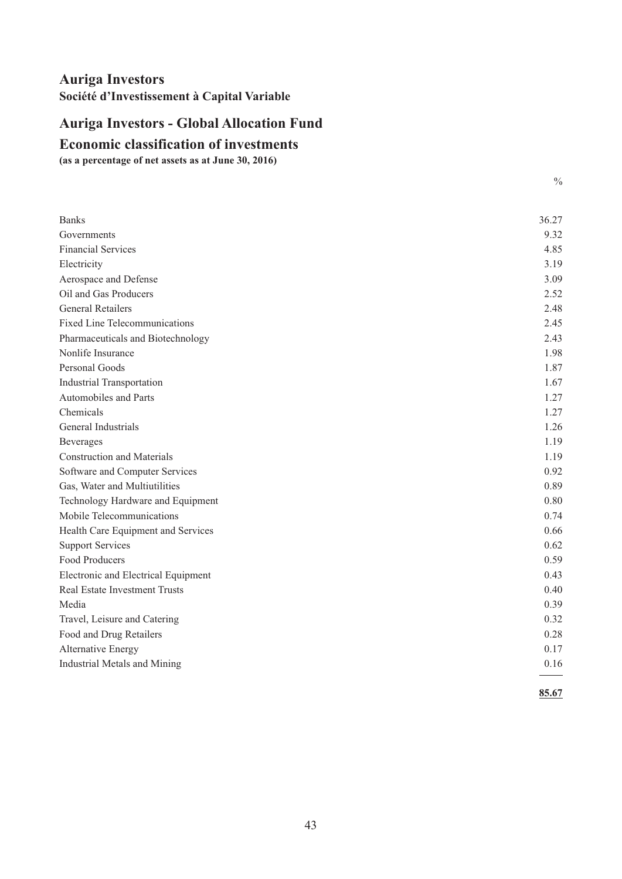# <span id="page-44-0"></span>**Auriga Investors - Global Allocation Fund**

#### **Economic classification of investments**

**(as a percentage of net assets as at June 30, 2016)**

| <b>Banks</b>                         | 36.27 |
|--------------------------------------|-------|
| Governments                          | 9.32  |
| <b>Financial Services</b>            | 4.85  |
| Electricity                          | 3.19  |
| Aerospace and Defense                | 3.09  |
| Oil and Gas Producers                | 2.52  |
| <b>General Retailers</b>             | 2.48  |
| <b>Fixed Line Telecommunications</b> | 2.45  |
| Pharmaceuticals and Biotechnology    | 2.43  |
| Nonlife Insurance                    | 1.98  |
| Personal Goods                       | 1.87  |
| <b>Industrial Transportation</b>     | 1.67  |
| Automobiles and Parts                | 1.27  |
| Chemicals                            | 1.27  |
| General Industrials                  | 1.26  |
| <b>Beverages</b>                     | 1.19  |
| <b>Construction and Materials</b>    | 1.19  |
| Software and Computer Services       | 0.92  |
| Gas, Water and Multiutilities        | 0.89  |
| Technology Hardware and Equipment    | 0.80  |
| Mobile Telecommunications            | 0.74  |
| Health Care Equipment and Services   | 0.66  |
| <b>Support Services</b>              | 0.62  |
| Food Producers                       | 0.59  |
| Electronic and Electrical Equipment  | 0.43  |
| <b>Real Estate Investment Trusts</b> | 0.40  |
| Media                                | 0.39  |
| Travel, Leisure and Catering         | 0.32  |
| Food and Drug Retailers              | 0.28  |
| <b>Alternative Energy</b>            | 0.17  |
| Industrial Metals and Mining         | 0.16  |
|                                      | 85.67 |

 $\frac{0}{0}$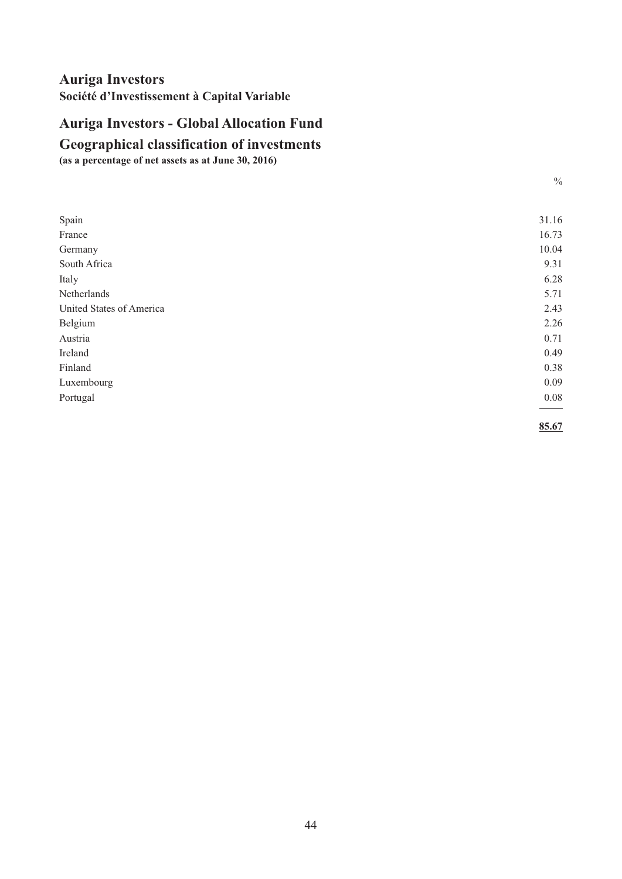# <span id="page-45-0"></span>**Auriga Investors - Global Allocation Fund**

**Geographical classification of investments**

**(as a percentage of net assets as at June 30, 2016)**

| I<br>e e          |
|-------------------|
| i<br>×<br>۰.<br>I |

| Spain                    | 31.16 |
|--------------------------|-------|
| France                   | 16.73 |
| Germany                  | 10.04 |
| South Africa             | 9.31  |
| Italy                    | 6.28  |
| Netherlands              | 5.71  |
| United States of America | 2.43  |
| Belgium                  | 2.26  |
| Austria                  | 0.71  |
| Ireland                  | 0.49  |
| Finland                  | 0.38  |
| Luxembourg               | 0.09  |
| Portugal                 | 0.08  |
|                          | 85.67 |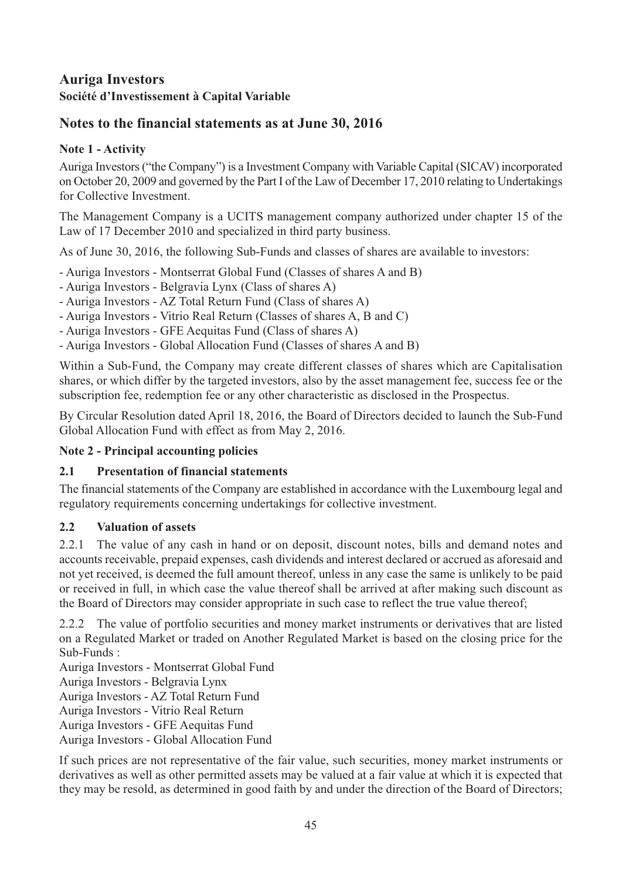## <span id="page-46-0"></span>**Notes to the financial statements as at June 30, 2016**

## **Note 1 - Activity**

Auriga Investors("the Company") is a Investment Company with Variable Capital (SICAV) incorporated on October 20, 2009 and governed by the Part I of the Law of December 17, 2010 relating to Undertakings for Collective Investment.

The Management Company is a UCITS management company authorized under chapter 15 of the Law of 17 December 2010 and specialized in third party business.

As of June 30, 2016, the following Sub-Funds and classes of shares are available to investors:

- Auriga Investors Montserrat Global Fund (Classes of shares A and B)
- Auriga Investors Belgravia Lynx (Class of shares A)
- Auriga Investors AZ Total Return Fund (Class of shares A)
- Auriga Investors Vitrio Real Return (Classes of shares A, B and C)
- Auriga Investors GFE Aequitas Fund (Class of shares A)
- Auriga Investors Global Allocation Fund (Classes of shares A and B)

Within a Sub-Fund, the Company may create different classes of shares which are Capitalisation shares, or which differ by the targeted investors, also by the asset management fee, success fee or the subscription fee, redemption fee or any other characteristic as disclosed in the Prospectus.

By Circular Resolution dated April 18, 2016, the Board of Directors decided to launch the Sub-Fund Global Allocation Fund with effect as from May 2, 2016.

#### **Note 2 - Principal accounting policies**

#### **2.1 Presentation of financial statements**

The financial statements of the Company are established in accordance with the Luxembourg legal and regulatory requirements concerning undertakings for collective investment.

#### **2.2 Valuation of assets**

2.2.1 The value of any cash in hand or on deposit, discount notes, bills and demand notes and accounts receivable, prepaid expenses, cash dividends and interest declared or accrued as aforesaid and not yet received, is deemed the full amount thereof, unless in any case the same is unlikely to be paid or received in full, in which case the value thereof shall be arrived at after making such discount as the Board of Directors may consider appropriate in such case to reflect the true value thereof;

2.2.2 The value of portfolio securities and money market instruments or derivatives that are listed on a Regulated Market or traded on Another Regulated Market is based on the closing price for the Sub-Funds :

Auriga Investors - Montserrat Global Fund

Auriga Investors - Belgravia Lynx

Auriga Investors - AZ Total Return Fund

Auriga Investors - Vitrio Real Return

Auriga Investors - GFE Aequitas Fund

Auriga Investors - Global Allocation Fund

If such prices are not representative of the fair value, such securities, money market instruments or derivatives as well as other permitted assets may be valued at a fair value at which it is expected that they may be resold, as determined in good faith by and under the direction of the Board of Directors;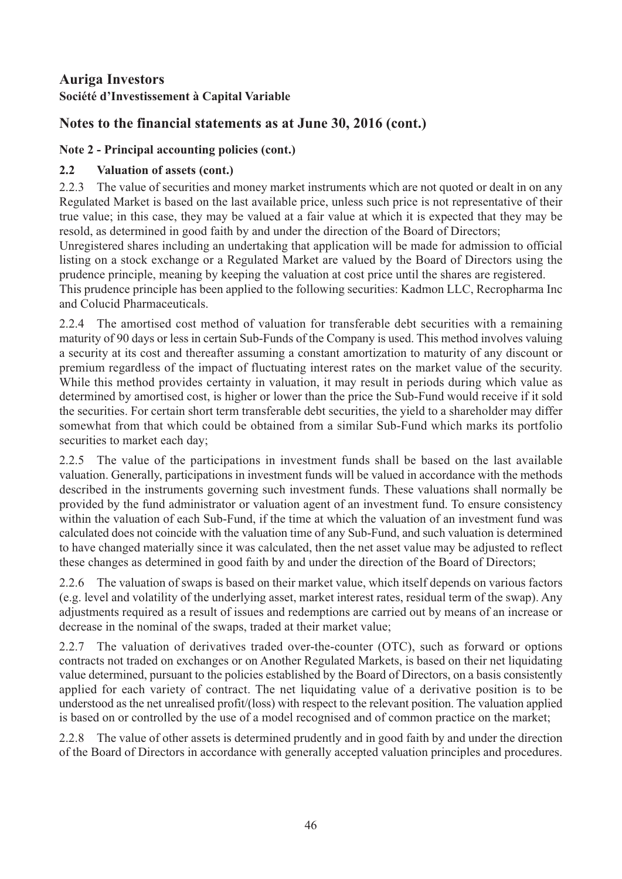## **Notes to the financial statements as at June 30, 2016 (cont.)**

## **Note 2 - Principal accounting policies (cont.)**

## **2.2 Valuation of assets (cont.)**

2.2.3 The value of securities and money market instruments which are not quoted or dealt in on any Regulated Market is based on the last available price, unless such price is not representative of their true value; in this case, they may be valued at a fair value at which it is expected that they may be resold, as determined in good faith by and under the direction of the Board of Directors;

Unregistered shares including an undertaking that application will be made for admission to official listing on a stock exchange or a Regulated Market are valued by the Board of Directors using the prudence principle, meaning by keeping the valuation at cost price until the shares are registered. This prudence principle has been applied to the following securities: Kadmon LLC, Recropharma Inc

and Colucid Pharmaceuticals.

2.2.4 The amortised cost method of valuation for transferable debt securities with a remaining maturity of 90 days or less in certain Sub-Funds of the Company is used. This method involves valuing a security at its cost and thereafter assuming a constant amortization to maturity of any discount or premium regardless of the impact of fluctuating interest rates on the market value of the security. While this method provides certainty in valuation, it may result in periods during which value as determined by amortised cost, is higher or lower than the price the Sub-Fund would receive if it sold the securities. For certain short term transferable debt securities, the yield to a shareholder may differ somewhat from that which could be obtained from a similar Sub-Fund which marks its portfolio securities to market each day;

2.2.5 The value of the participations in investment funds shall be based on the last available valuation. Generally, participations in investment funds will be valued in accordance with the methods described in the instruments governing such investment funds. These valuations shall normally be provided by the fund administrator or valuation agent of an investment fund. To ensure consistency within the valuation of each Sub-Fund, if the time at which the valuation of an investment fund was calculated does not coincide with the valuation time of any Sub-Fund, and such valuation is determined to have changed materially since it was calculated, then the net asset value may be adjusted to reflect these changes as determined in good faith by and under the direction of the Board of Directors;

2.2.6 The valuation of swaps is based on their market value, which itself depends on various factors (e.g. level and volatility of the underlying asset, market interest rates, residual term of the swap). Any adjustments required as a result of issues and redemptions are carried out by means of an increase or decrease in the nominal of the swaps, traded at their market value;

2.2.7 The valuation of derivatives traded over-the-counter (OTC), such as forward or options contracts not traded on exchanges or on Another Regulated Markets, is based on their net liquidating value determined, pursuant to the policies established by the Board of Directors, on a basis consistently applied for each variety of contract. The net liquidating value of a derivative position is to be understood as the net unrealised profit/(loss) with respect to the relevant position. The valuation applied is based on or controlled by the use of a model recognised and of common practice on the market;

2.2.8 The value of other assets is determined prudently and in good faith by and under the direction of the Board of Directors in accordance with generally accepted valuation principles and procedures.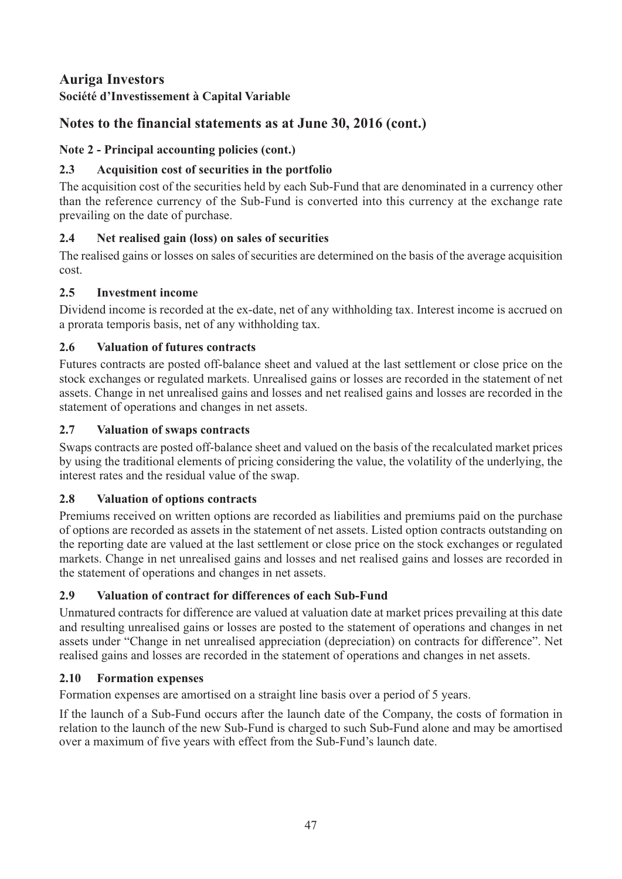## **Auriga Investors**

#### **Société d'Investissement à Capital Variable**

## **Notes to the financial statements as at June 30, 2016 (cont.)**

#### **Note 2 - Principal accounting policies (cont.)**

#### **2.3 Acquisition cost of securities in the portfolio**

The acquisition cost of the securities held by each Sub-Fund that are denominated in a currency other than the reference currency of the Sub-Fund is converted into this currency at the exchange rate prevailing on the date of purchase.

#### **2.4 Net realised gain (loss) on sales of securities**

The realised gains or losses on sales of securities are determined on the basis of the average acquisition cost.

#### **2.5 Investment income**

Dividend income is recorded at the ex-date, net of any withholding tax. Interest income is accrued on a prorata temporis basis, net of any withholding tax.

#### **2.6 Valuation of futures contracts**

Futures contracts are posted off-balance sheet and valued at the last settlement or close price on the stock exchanges or regulated markets. Unrealised gains or losses are recorded in the statement of net assets. Change in net unrealised gains and losses and net realised gains and losses are recorded in the statement of operations and changes in net assets.

#### **2.7 Valuation of swaps contracts**

Swaps contracts are posted off-balance sheet and valued on the basis of the recalculated market prices by using the traditional elements of pricing considering the value, the volatility of the underlying, the interest rates and the residual value of the swap.

#### **2.8 Valuation of options contracts**

Premiums received on written options are recorded as liabilities and premiums paid on the purchase of options are recorded as assets in the statement of net assets. Listed option contracts outstanding on the reporting date are valued at the last settlement or close price on the stock exchanges or regulated markets. Change in net unrealised gains and losses and net realised gains and losses are recorded in the statement of operations and changes in net assets.

#### **2.9 Valuation of contract for differences of each Sub-Fund**

Unmatured contracts for difference are valued at valuation date at market prices prevailing at this date and resulting unrealised gains or losses are posted to the statement of operations and changes in net assets under "Change in net unrealised appreciation (depreciation) on contracts for difference". Net realised gains and losses are recorded in the statement of operations and changes in net assets.

#### **2.10 Formation expenses**

Formation expenses are amortised on a straight line basis over a period of 5 years.

If the launch of a Sub-Fund occurs after the launch date of the Company, the costs of formation in relation to the launch of the new Sub-Fund is charged to such Sub-Fund alone and may be amortised over a maximum of five years with effect from the Sub-Fund's launch date.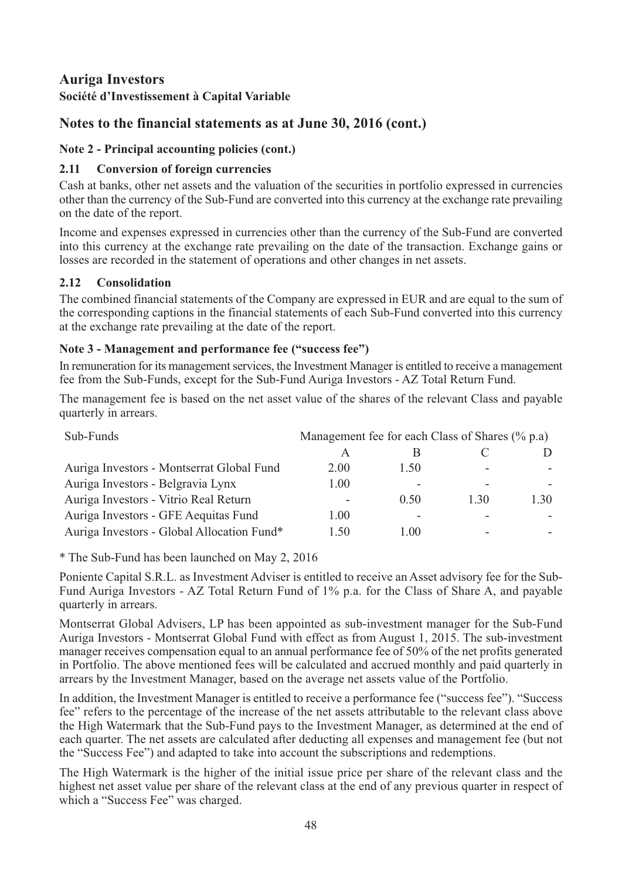#### **Auriga Investors**

#### **Société d'Investissement à Capital Variable**

#### **Notes to the financial statements as at June 30, 2016 (cont.)**

#### **Note 2 - Principal accounting policies (cont.)**

#### **2.11 Conversion of foreign currencies**

Cash at banks, other net assets and the valuation of the securities in portfolio expressed in currencies other than the currency of the Sub-Fund are converted into this currency at the exchange rate prevailing on the date of the report.

Income and expenses expressed in currencies other than the currency of the Sub-Fund are converted into this currency at the exchange rate prevailing on the date of the transaction. Exchange gains or losses are recorded in the statement of operations and other changes in net assets.

#### **2.12 Consolidation**

The combined financial statements of the Company are expressed in EUR and are equal to the sum of the corresponding captions in the financial statements of each Sub-Fund converted into this currency at the exchange rate prevailing at the date of the report.

#### **Note 3 - Management and performance fee ("success fee")**

In remuneration for its management services, the Investment Manager is entitled to receive a management fee from the Sub-Funds, except for the Sub-Fund Auriga Investors - AZ Total Return Fund.

The management fee is based on the net asset value of the shares of the relevant Class and payable quarterly in arrears.

| Sub-Funds                                  | Management fee for each Class of Shares (% p.a) |      |                          |      |
|--------------------------------------------|-------------------------------------------------|------|--------------------------|------|
|                                            |                                                 |      |                          |      |
| Auriga Investors - Montserrat Global Fund  | 2.00                                            | 1.50 |                          |      |
| Auriga Investors - Belgravia Lynx          | 1.00                                            |      |                          |      |
| Auriga Investors - Vitrio Real Return      |                                                 | 0.50 | 1.30                     | 1.30 |
| Auriga Investors - GFE Aequitas Fund       | 1.00                                            |      |                          |      |
| Auriga Investors - Global Allocation Fund* | 1.50                                            | l 00 | $\overline{\phantom{a}}$ |      |

\* The Sub-Fund has been launched on May 2, 2016

Poniente Capital S.R.L. as Investment Adviser is entitled to receive an Asset advisory fee for the Sub-Fund Auriga Investors - AZ Total Return Fund of 1% p.a. for the Class of Share A, and payable quarterly in arrears.

Montserrat Global Advisers, LP has been appointed as sub-investment manager for the Sub-Fund Auriga Investors - Montserrat Global Fund with effect as from August 1, 2015. The sub-investment manager receives compensation equal to an annual performance fee of 50% of the net profits generated in Portfolio. The above mentioned fees will be calculated and accrued monthly and paid quarterly in arrears by the Investment Manager, based on the average net assets value of the Portfolio.

In addition, the Investment Manager is entitled to receive a performance fee ("success fee"). "Success fee" refers to the percentage of the increase of the net assets attributable to the relevant class above the High Watermark that the Sub-Fund pays to the Investment Manager, as determined at the end of each quarter. The net assets are calculated after deducting all expenses and management fee (but not the "Success Fee") and adapted to take into account the subscriptions and redemptions.

The High Watermark is the higher of the initial issue price per share of the relevant class and the highest net asset value per share of the relevant class at the end of any previous quarter in respect of which a "Success Fee" was charged.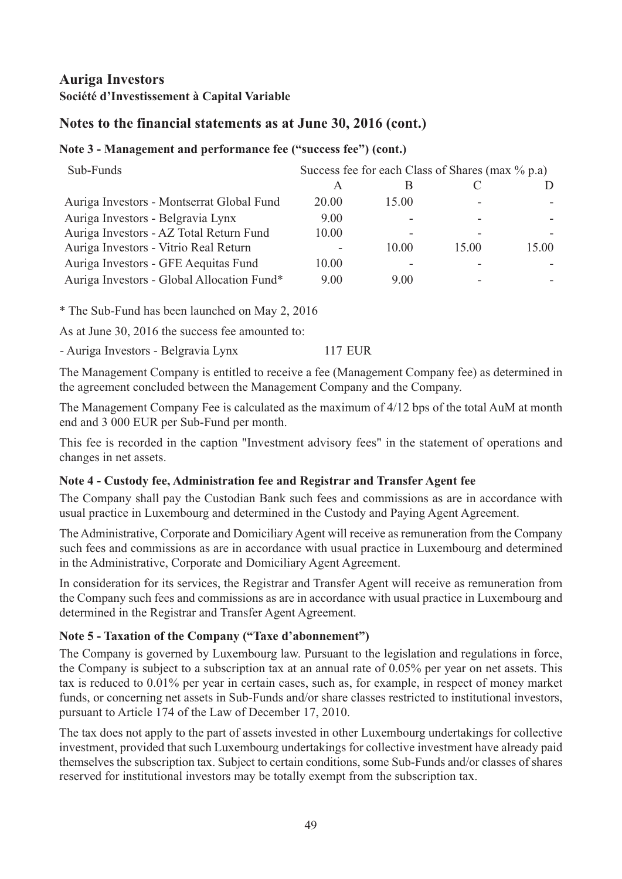## **Notes to the financial statements as at June 30, 2016 (cont.)**

#### **Note 3 - Management and performance fee ("success fee") (cont.)**

| Sub-Funds                                  | Success fee for each Class of Shares (max % p.a) |       |       |       |  |
|--------------------------------------------|--------------------------------------------------|-------|-------|-------|--|
|                                            | А                                                | В     |       |       |  |
| Auriga Investors - Montserrat Global Fund  | 20.00                                            | 15.00 |       |       |  |
| Auriga Investors - Belgravia Lynx          | 9.00                                             |       |       |       |  |
| Auriga Investors - AZ Total Return Fund    | 10.00                                            |       |       |       |  |
| Auriga Investors - Vitrio Real Return      |                                                  | 10.00 | 15.00 | 15.00 |  |
| Auriga Investors - GFE Aequitas Fund       | 10.00                                            |       |       |       |  |
| Auriga Investors - Global Allocation Fund* | 9.00                                             | 9.00  |       |       |  |

\* The Sub-Fund has been launched on May 2, 2016

As at June 30, 2016 the success fee amounted to:

- Auriga Investors - Belgravia Lynx 117 EUR

The Management Company is entitled to receive a fee (Management Company fee) as determined in the agreement concluded between the Management Company and the Company.

The Management Company Fee is calculated as the maximum of 4/12 bps of the total AuM at month end and 3 000 EUR per Sub-Fund per month.

This fee is recorded in the caption "Investment advisory fees" in the statement of operations and changes in net assets.

#### **Note 4 - Custody fee, Administration fee and Registrar and Transfer Agent fee**

The Company shall pay the Custodian Bank such fees and commissions as are in accordance with usual practice in Luxembourg and determined in the Custody and Paying Agent Agreement.

The Administrative, Corporate and Domiciliary Agent will receive as remuneration from the Company such fees and commissions as are in accordance with usual practice in Luxembourg and determined in the Administrative, Corporate and Domiciliary Agent Agreement.

In consideration for its services, the Registrar and Transfer Agent will receive as remuneration from the Company such fees and commissions as are in accordance with usual practice in Luxembourg and determined in the Registrar and Transfer Agent Agreement.

#### **Note 5 - Taxation of the Company ("Taxe d'abonnement")**

The Company is governed by Luxembourg law. Pursuant to the legislation and regulations in force, the Company is subject to a subscription tax at an annual rate of 0.05% per year on net assets. This tax is reduced to 0.01% per year in certain cases, such as, for example, in respect of money market funds, or concerning net assets in Sub-Funds and/or share classes restricted to institutional investors, pursuant to Article 174 of the Law of December 17, 2010.

The tax does not apply to the part of assets invested in other Luxembourg undertakings for collective investment, provided that such Luxembourg undertakings for collective investment have already paid themselves the subscription tax. Subject to certain conditions, some Sub-Funds and/or classes of shares reserved for institutional investors may be totally exempt from the subscription tax.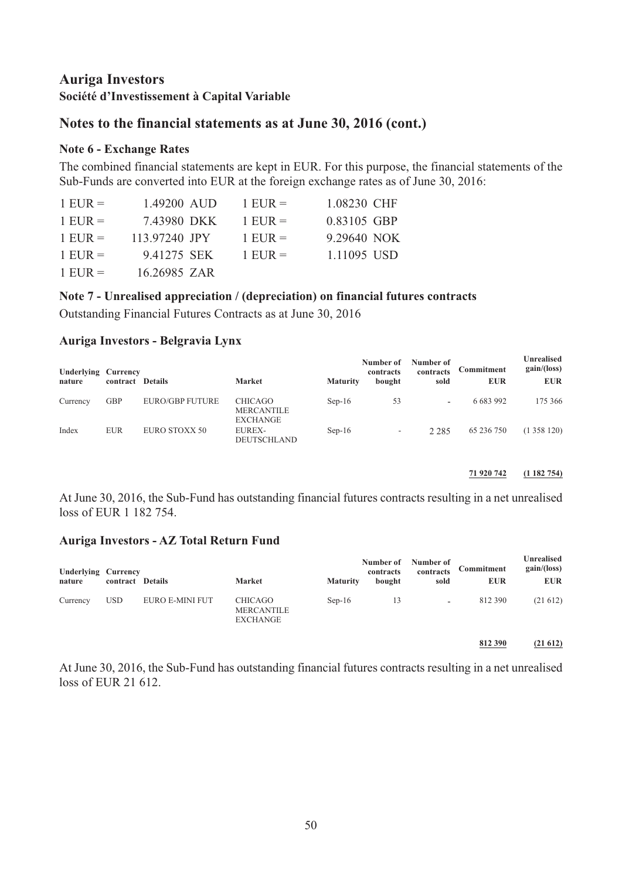#### **Notes to the financial statements as at June 30, 2016 (cont.)**

#### **Note 6 - Exchange Rates**

The combined financial statements are kept in EUR. For this purpose, the financial statements of the Sub-Funds are converted into EUR at the foreign exchange rates as of June 30, 2016:

| $1$ EUR = | 1.49200 AUD   | $1$ EUR =   | 1.08230 CHF |
|-----------|---------------|-------------|-------------|
| $1$ EUR = | 7.43980 DKK   | $1$ EUR =   | 0.83105 GBP |
| $1$ EUR = | 113.97240 JPY | $1$ EUR $=$ | 9.29640 NOK |
| $1$ EUR = | 9.41275 SEK   | $1$ EUR =   | 1.11095 USD |
| $1$ EUR = | 16.26985 ZAR  |             |             |

#### **Note 7 - Unrealised appreciation / (depreciation) on financial futures contracts**

Outstanding Financial Futures Contracts as at June 30, 2016

#### **Auriga Investors - Belgravia Lynx**

| <b>Underlying Currency</b><br>nature | contract Details |                        | <b>Market</b>                                          | <b>Maturity</b> | Number of<br>contracts<br>bought | Number of<br>contracts<br>sold | Commitment<br><b>EUR</b> | <b>Unrealised</b><br>gain/(loss)<br><b>EUR</b> |
|--------------------------------------|------------------|------------------------|--------------------------------------------------------|-----------------|----------------------------------|--------------------------------|--------------------------|------------------------------------------------|
| Currency                             | <b>GBP</b>       | <b>EURO/GBP FUTURE</b> | <b>CHICAGO</b><br><b>MERCANTILE</b><br><b>EXCHANGE</b> | $Sep-16$        | 53                               | $\overline{\phantom{0}}$       | 6 683 992                | 175 366                                        |
| Index                                | <b>EUR</b>       | EURO STOXX 50          | <b>EUREX-</b><br>DEUTSCHLAND                           | $Sep-16$        | -                                | 2 2 8 5                        | 65 236 750               | (1358120)                                      |

#### **71 920 742 (1 182 754)**

At June 30, 2016, the Sub-Fund has outstanding financial futures contracts resulting in a net unrealised loss of EUR 1 182 754.

#### **Auriga Investors - AZ Total Return Fund**

| <b>Underlying Currency</b><br>nature | contract Details |                 | Market                                                 | <b>Maturity</b> | Number of<br>contracts<br>bought | Number of<br>contracts<br>sold | Commitment<br><b>EUR</b> | Unrealised<br>gain/(loss)<br><b>EUR</b> |
|--------------------------------------|------------------|-----------------|--------------------------------------------------------|-----------------|----------------------------------|--------------------------------|--------------------------|-----------------------------------------|
| Currency                             | <b>USD</b>       | EURO E-MINI FUT | <b>CHICAGO</b><br><b>MERCANTILE</b><br><b>EXCHANGE</b> | $Sep-16$        | 13                               | $\overline{\phantom{0}}$       | 812 390                  | (21612)                                 |
|                                      |                  |                 |                                                        |                 |                                  |                                | 812 390                  | (21612)                                 |

At June 30, 2016, the Sub-Fund has outstanding financial futures contracts resulting in a net unrealised loss of EUR 21 612.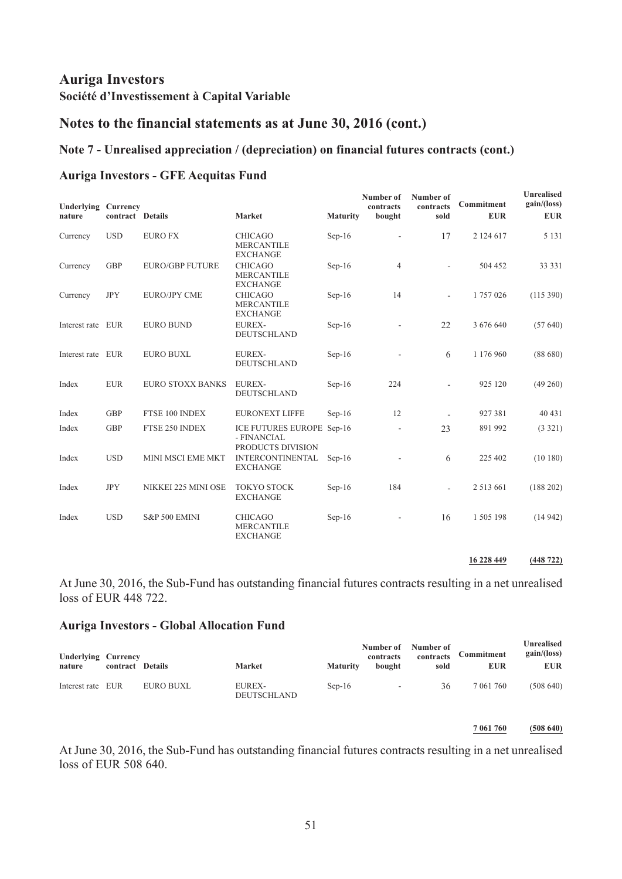#### **Notes to the financial statements as at June 30, 2016 (cont.)**

#### **Note 7 - Unrealised appreciation / (depreciation) on financial futures contracts (cont.)**

#### **Auriga Investors - GFE Aequitas Fund**

| Underlying        | Currency         |                         |                                                        |                 | Number of<br>contracts   | Number of<br>contracts   | Commitment    | Unrealised<br>gain/(loss) |
|-------------------|------------------|-------------------------|--------------------------------------------------------|-----------------|--------------------------|--------------------------|---------------|---------------------------|
| nature            | contract Details |                         | Market                                                 | <b>Maturity</b> | bought                   | sold                     | <b>EUR</b>    | <b>EUR</b>                |
| Currency          | <b>USD</b>       | <b>EURO FX</b>          | <b>CHICAGO</b><br><b>MERCANTILE</b><br><b>EXCHANGE</b> | $Sep-16$        | $\overline{a}$           | 17                       | 2 124 617     | 5 1 3 1                   |
| Currency          | <b>GBP</b>       | <b>EURO/GBP FUTURE</b>  | <b>CHICAGO</b><br><b>MERCANTILE</b><br><b>EXCHANGE</b> | $Sep-16$        | 4                        | $\overline{a}$           | 504 452       | 33 33 1                   |
| Currency          | <b>JPY</b>       | <b>EURO/JPY CME</b>     | <b>CHICAGO</b><br><b>MERCANTILE</b><br><b>EXCHANGE</b> | $Sep-16$        | 14                       | $\overline{\phantom{a}}$ | 1757026       | (115 390)                 |
| Interest rate EUR |                  | <b>EURO BUND</b>        | <b>EUREX-</b><br>DEUTSCHLAND                           | $Sep-16$        | $\overline{\phantom{a}}$ | 22                       | 3 676 640     | (57640)                   |
| Interest rate EUR |                  | <b>EURO BUXL</b>        | <b>EUREX-</b><br>DEUTSCHLAND                           | $Sep-16$        | $\overline{\phantom{0}}$ | 6                        | 1 176 960     | (88680)                   |
| Index             | <b>EUR</b>       | <b>EURO STOXX BANKS</b> | <b>EUREX-</b><br>DEUTSCHLAND                           | $Sep-16$        | 224                      | $\overline{\phantom{0}}$ | 925 120       | (49260)                   |
| Index             | <b>GBP</b>       | FTSE 100 INDEX          | <b>EURONEXT LIFFE</b>                                  | $Sep-16$        | 12                       |                          | 927 381       | 40 431                    |
| Index             | <b>GBP</b>       | FTSE 250 INDEX          | ICE FUTURES EUROPE<br>- FINANCIAL<br>PRODUCTS DIVISION | Sep-16          | $\overline{a}$           | 23                       | 891 992       | (3 321)                   |
| Index             | <b>USD</b>       | MINI MSCI EME MKT       | <b>INTERCONTINENTAL</b><br><b>EXCHANGE</b>             | $Sep-16$        |                          | 6                        | 225 402       | (10180)                   |
| Index             | <b>JPY</b>       | NIKKEI 225 MINI OSE     | <b>TOKYO STOCK</b><br><b>EXCHANGE</b>                  | $Sep-16$        | 184                      | $\overline{\phantom{a}}$ | 2 5 1 3 6 6 1 | (188 202)                 |
| Index             | <b>USD</b>       | S&P 500 EMINI           | <b>CHICAGO</b><br><b>MERCANTILE</b><br><b>EXCHANGE</b> | $Sep-16$        | $\overline{\phantom{a}}$ | 16                       | 1 505 198     | (14942)                   |

**16 228 449 (448 722)**

At June 30, 2016, the Sub-Fund has outstanding financial futures contracts resulting in a net unrealised loss of EUR 448 722.

#### **Auriga Investors - Global Allocation Fund**

| <b>Underlying Currency</b><br>nature | contract Details |           | <b>Market</b>                       | <b>Maturity</b> | Number of<br>contracts<br>bought | Number of<br>contracts<br>sold | Commitment<br><b>EUR</b> | Unrealised<br>gain/(loss)<br><b>EUR</b> |
|--------------------------------------|------------------|-----------|-------------------------------------|-----------------|----------------------------------|--------------------------------|--------------------------|-----------------------------------------|
| Interest rate EUR                    |                  | EURO BUXL | <b>EUREX-</b><br><b>DEUTSCHLAND</b> | $Sep-16$        | $\sim$                           | 36                             | 7 061 760                | (508640)                                |

**7 061 760 (508 640)**

At June 30, 2016, the Sub-Fund has outstanding financial futures contracts resulting in a net unrealised loss of EUR 508 640.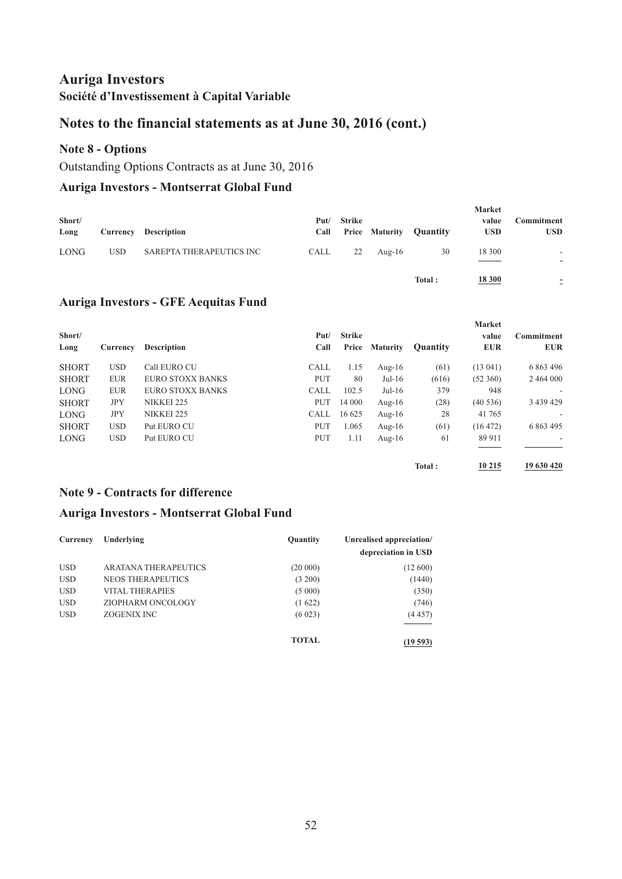#### **Notes to the financial statements as at June 30, 2016 (cont.)**

#### **Note 8 - Options**

Outstanding Options Contracts as at June 30, 2016

#### **Auriga Investors - Montserrat Global Fund**

| Short/<br>Long | Currency   | <b>Description</b>       | Put/<br>Call | Strike |           | <b>Price Maturity Quantity</b> | <b>Market</b><br>value<br><b>USD</b> | Commitment<br><b>USD</b>                             |
|----------------|------------|--------------------------|--------------|--------|-----------|--------------------------------|--------------------------------------|------------------------------------------------------|
| <b>LONG</b>    | <b>USD</b> | SAREPTA THERAPEUTICS INC | CALL         | 22     | Aug- $16$ | 30                             | 18 300                               | $\overline{\phantom{a}}$                             |
|                |            |                          |              |        |           | Total:                         | 18 300                               | $\overline{\phantom{a}}$<br>$\overline{\phantom{0}}$ |

#### **Auriga Investors - GFE Aequitas Fund**

| Short/<br>Long | Currency   | <b>Description</b>      | Put/<br>Call | <b>Strike</b><br>Price | <b>Maturity</b> | <b>Quantity</b> | <b>Market</b><br>value<br><b>EUR</b> | Commitment<br><b>EUR</b> |
|----------------|------------|-------------------------|--------------|------------------------|-----------------|-----------------|--------------------------------------|--------------------------|
| <b>SHORT</b>   | <b>USD</b> | Call EURO CU            | <b>CALL</b>  | 1.15                   | Aug- $16$       | (61)            | (13.041)                             | 6 863 496                |
| <b>SHORT</b>   | <b>EUR</b> | EURO STOXX BANKS        | <b>PUT</b>   | 80                     | $Jul-16$        | (616)           | (52, 360)                            | 2 464 000                |
| <b>LONG</b>    | <b>EUR</b> | <b>EURO STOXX BANKS</b> | <b>CALL</b>  | 102.5                  | $Jul-16$        | 379             | 948                                  | $\overline{\phantom{a}}$ |
| <b>SHORT</b>   | <b>JPY</b> | NIKKEI 225              | <b>PUT</b>   | 14 000                 | Aug- $16$       | (28)            | (40536)                              | 3 439 429                |
| <b>LONG</b>    | <b>JPY</b> | NIKKEI 225              | <b>CALL</b>  | 16 625                 | Aug- $16$       | 28              | 41 765                               | ۰                        |
| <b>SHORT</b>   | USD.       | Put EURO CU             | <b>PUT</b>   | 1.065                  | Aug- $16$       | (61)            | (16 472)                             | 6 863 495                |
| <b>LONG</b>    | USD.       | Put EURO CU             | <b>PUT</b>   | 1.11                   | Aug- $16$       | 61              | 89 911                               | $\overline{\phantom{a}}$ |
|                |            |                         |              |                        |                 | Total:          | 10 215                               | 19 630 420               |

#### **Note 9 - Contracts for difference**

#### **Auriga Investors - Montserrat Global Fund**

| Currency   | Underlying                  | Quantity     | Unrealised appreciation/<br>depreciation in USD |
|------------|-----------------------------|--------------|-------------------------------------------------|
| <b>USD</b> | <b>ARATANA THERAPEUTICS</b> | (20 000)     | (12600)                                         |
| <b>USD</b> | <b>NEOS THERAPEUTICS</b>    | (3 200)      | (1440)                                          |
| <b>USD</b> | <b>VITAL THERAPIES</b>      | (5000)       | (350)                                           |
| <b>USD</b> | ZIOPHARM ONCOLOGY           | (1622)       | (746)                                           |
| <b>USD</b> | <b>ZOGENIX INC</b>          | (6023)       | (4457)                                          |
|            |                             | <b>TOTAL</b> | (19593)                                         |